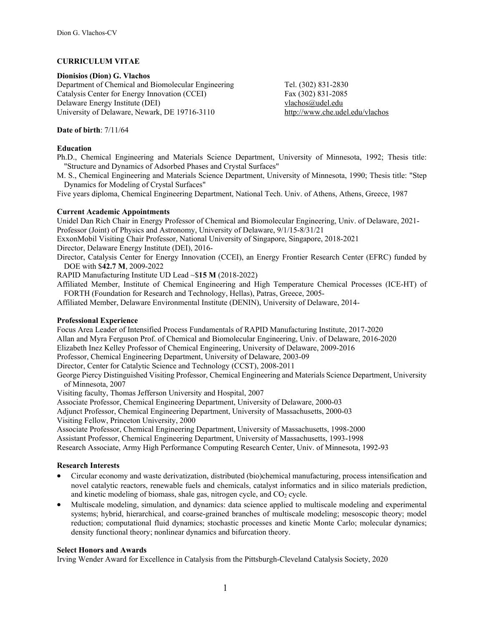## **CURRICULUM VITAE**

**Dionisios (Dion) G. Vlachos**  Department of Chemical and Biomolecular Engineering Tel. (302) 831-2830 Catalysis Center for Energy Innovation (CCEI) Fax (302) 831-2085 Delaware Energy Institute (DEI) vlachos *Qudel.edu* University of Delaware, Newark, DE 19716-3110 http://www.che.udel.edu/vlachos

## **Date of birth**: 7/11/64

#### **Education**

Ph.D., Chemical Engineering and Materials Science Department, University of Minnesota, 1992; Thesis title: "Structure and Dynamics of Adsorbed Phases and Crystal Surfaces"

M. S., Chemical Engineering and Materials Science Department, University of Minnesota, 1990; Thesis title: "Step Dynamics for Modeling of Crystal Surfaces"

Five years diploma, Chemical Engineering Department, National Tech. Univ. of Athens, Athens, Greece, 1987

#### **Current Academic Appointments**

Unidel Dan Rich Chair in Energy Professor of Chemical and Biomolecular Engineering, Univ. of Delaware, 2021- Professor (Joint) of Physics and Astronomy, University of Delaware, 9/1/15-8/31/21

ExxonMobil Visiting Chair Professor, National University of Singapore, Singapore, 2018-2021

Director, Delaware Energy Institute (DEI), 2016-

Director, Catalysis Center for Energy Innovation (CCEI), an Energy Frontier Research Center (EFRC) funded by DOE with \$**42.7 M**, 2009-2022

RAPID Manufacturing Institute UD Lead ~\$**15 M** (2018-2022)

Affiliated Member, Institute of Chemical Engineering and High Temperature Chemical Processes (ICE-HT) of FORTH (Foundation for Research and Technology, Hellas), Patras, Greece, 2005-

Affiliated Member, Delaware Environmental Institute (DENIN), University of Delaware, 2014-

#### **Professional Experience**

Focus Area Leader of Intensified Process Fundamentals of RAPID Manufacturing Institute, 2017-2020

Allan and Myra Ferguson Prof. of Chemical and Biomolecular Engineering, Univ. of Delaware, 2016-2020

Elizabeth Inez Kelley Professor of Chemical Engineering, University of Delaware, 2009-2016

Professor, Chemical Engineering Department, University of Delaware, 2003-09

Director, Center for Catalytic Science and Technology (CCST), 2008-2011

George Piercy Distinguished Visiting Professor, Chemical Engineering and Materials Science Department, University of Minnesota, 2007

Visiting faculty, Thomas Jefferson University and Hospital, 2007

Associate Professor, Chemical Engineering Department, University of Delaware, 2000-03

Adjunct Professor, Chemical Engineering Department, University of Massachusetts, 2000-03

Visiting Fellow, Princeton University, 2000

Associate Professor, Chemical Engineering Department, University of Massachusetts, 1998-2000

Assistant Professor, Chemical Engineering Department, University of Massachusetts, 1993-1998

Research Associate, Army High Performance Computing Research Center, Univ. of Minnesota, 1992-93

# **Research Interests**

- Circular economy and waste derivatization, distributed (bio)chemical manufacturing, process intensification and novel catalytic reactors, renewable fuels and chemicals, catalyst informatics and in silico materials prediction, and kinetic modeling of biomass, shale gas, nitrogen cycle, and  $CO<sub>2</sub>$  cycle.
- Multiscale modeling, simulation, and dynamics: data science applied to multiscale modeling and experimental systems; hybrid, hierarchical, and coarse-grained branches of multiscale modeling; mesoscopic theory; model reduction; computational fluid dynamics; stochastic processes and kinetic Monte Carlo; molecular dynamics; density functional theory; nonlinear dynamics and bifurcation theory.

# **Select Honors and Awards**

Irving Wender Award for Excellence in Catalysis from the Pittsburgh-Cleveland Catalysis Society, 2020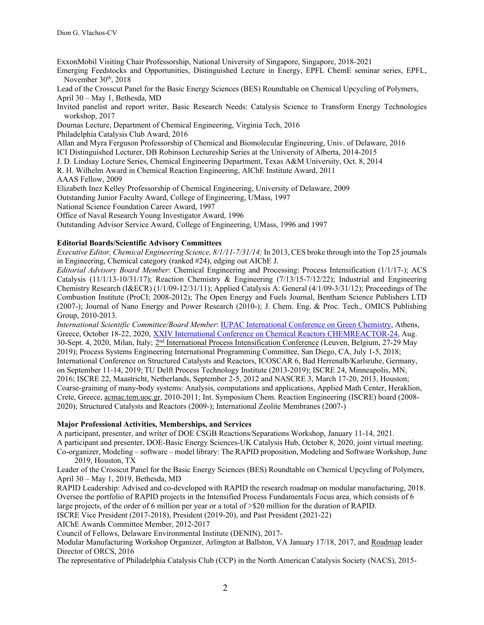ExxonMobil Visiting Chair Professorship, National University of Singapore, Singapore, 2018-2021

Emerging Feedstocks and Opportunities, Distinguished Lecture in Energy, EPFL ChemE seminar series, EPFL, November 30<sup>th</sup>, 2018

Lead of the Crosscut Panel for the Basic Energy Sciences (BES) Roundtable on Chemical Upcycling of Polymers,

April 30 – May 1, Bethesda, MD

Invited panelist and report writer, Basic Research Needs: Catalysis Science to Transform Energy Technologies workshop, 2017

Doumas Lecture, Department of Chemical Engineering, Virginia Tech, 2016

Philadelphia Catalysis Club Award, 2016

Allan and Myra Ferguson Professorship of Chemical and Biomolecular Engineering, Univ. of Delaware, 2016

ICI Distinguished Lecturer, DB Robinson Lectureship Series at the University of Alberta, 2014-2015

J. D. Lindsay Lecture Series, Chemical Engineering Department, Texas A&M University, Oct. 8, 2014

R. H. Wilhelm Award in Chemical Reaction Engineering, AIChE Institute Award, 2011

AAAS Fellow, 2009

Elizabeth Inez Kelley Professorship of Chemical Engineering, University of Delaware, 2009

Outstanding Junior Faculty Award, College of Engineering, UMass, 1997

National Science Foundation Career Award, 1997

Office of Naval Research Young Investigator Award, 1996

Outstanding Advisor Service Award, College of Engineering, UMass, 1996 and 1997

# **Editorial Boards/Scientific Advisory Committees**

*Executive Editor, Chemical Engineering Science, 8/1/11-7/31/14;* In 2013, CES broke through into the Top 25 journals in Engineering, Chemical category (ranked #24), edging out AIChE J.

 *Editorial Advisory Board Member*: Chemical Engineering and Processing: Process Intensification (1/1/17-); ACS Catalysis (11/1/13-10/31/17); Reaction Chemistry & Engineering (7/13/15-7/12/22); Industrial and Engineering Chemistry Research (I&ECR) (1/1/09-12/31/11); Applied Catalysis A: General (4/1/09-3/31/12); Proceedings of The Combustion Institute (ProCI; 2008-2012); The Open Energy and Fuels Journal, Bentham Science Publishers LTD (2007-); Journal of Nano Energy and Power Research (2010-); J. Chem. Eng. & Proc. Tech., OMICS Publishing Group, 2010-2013.

*International Scientific Committee/Board Member*: IUPAC International Conference on Green Chemistry, Athens, Greece, October 18-22, 2020, XXIV International Conference on Chemical Reactors CHEMREACTOR-24, Aug. 30-Sept. 4, 2020, Milan, Italy; 2<sup>nd</sup> International Process Intensification Conference (Leuven, Belgium, 27-29 May 2019); Process Systems Engineering International Programming Committee, San Diego, CA, July 1-5, 2018; International Conference on Structured Catalysts and Reactors, ICOSCAR 6, Bad Herrenalb/Karlsruhe, Germany, on September 11-14, 2019; TU Delft Process Technology Institute (2013-2019); ISCRE 24, Minneapolis, MN, 2016; ISCRE 22, Maastricht, Netherlands, September 2-5, 2012 and NASCRE 3, March 17-20, 2013, Houston; Coarse-graining of many-body systems: Analysis, computations and applications, Applied Math Center, Heraklion, Crete, Greece, acmac.tem.uoc.gr, 2010-2011; Int. Symposium Chem. Reaction Engineering (ISCRE) board (2008- 2020); Structured Catalysts and Reactors (2009-); International Zeolite Membranes (2007-)

# **Major Professional Activities, Memberships, and Services**

A participant, presenter, and writer of DOE CSGB Reactions/Separations Workshop, January 11-14, 2021.

A participant and presenter, DOE-Basic Energy Sciences-UK Catalysis Hub, October 8, 2020, joint virtual meeting. Co-organizer, Modeling – software – model library: The RAPID proposition, Modeling and Software Workshop, June 2019, Houston, TX

Leader of the Crosscut Panel for the Basic Energy Sciences (BES) Roundtable on Chemical Upcycling of Polymers, April 30 – May 1, 2019, Bethesda, MD

RAPID Leadership: Advised and co-developed with RAPID the research roadmap on modular manufacturing, 2018. Oversee the portfolio of RAPID projects in the Intensified Process Fundamentals Focus area, which consists of 6 large projects, of the order of 6 million per year or a total of >\$20 million for the duration of RAPID.

ISCRE Vice President (2017-2018), President (2019-20), and Past President (2021-22)

AIChE Awards Committee Member, 2012-2017

Council of Fellows, Delaware Environmental Institute (DENIN), 2017-

Modular Manufacturing Workshop Organizer, Arlington at Ballston, VA January 17/18, 2017, and Roadmap leader Director of ORCS, 2016

The representative of Philadelphia Catalysis Club (CCP) in the North American Catalysis Society (NACS), 2015-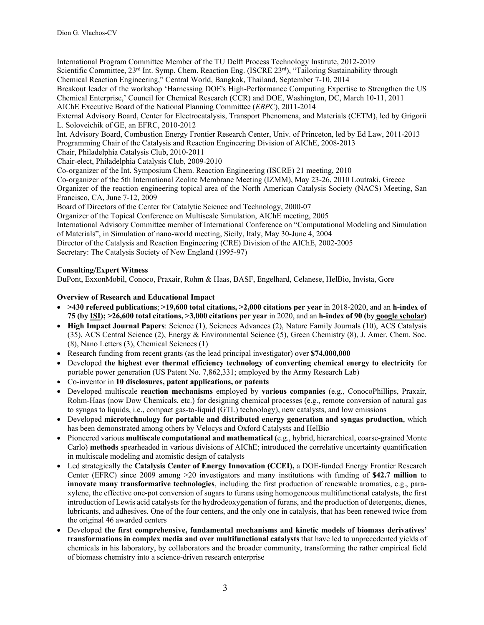International Program Committee Member of the TU Delft Process Technology Institute, 2012-2019 Scientific Committee, 23<sup>rd</sup> Int. Symp. Chem. Reaction Eng. (ISCRE 23<sup>rd</sup>), "Tailoring Sustainability through Chemical Reaction Engineering," Central World, Bangkok, Thailand, September 7-10, 2014 Breakout leader of the workshop 'Harnessing DOE's High-Performance Computing Expertise to Strengthen the US Chemical Enterprise,' Council for Chemical Research (CCR) and DOE, Washington, DC, March 10-11, 2011 AIChE Executive Board of the National Planning Committee (*EBPC*), 2011-2014 External Advisory Board, Center for Electrocatalysis, Transport Phenomena, and Materials (CETM), led by Grigorii L. Soloveichik of GE, an EFRC, 2010-2012

Int. Advisory Board, Combustion Energy Frontier Research Center, Univ. of Princeton, led by Ed Law, 2011-2013 Programming Chair of the Catalysis and Reaction Engineering Division of AIChE, 2008-2013

Chair, Philadelphia Catalysis Club, 2010-2011

Chair-elect, Philadelphia Catalysis Club, 2009-2010

Co-organizer of the Int. Symposium Chem. Reaction Engineering (ISCRE) 21 meeting, 2010

Co-organizer of the 5th International Zeolite Membrane Meeting (IZMM), May 23-26, 2010 Loutraki, Greece

Organizer of the reaction engineering topical area of the North American Catalysis Society (NACS) Meeting, San Francisco, CA, June 7-12, 2009

Board of Directors of the Center for Catalytic Science and Technology, 2000-07

Organizer of the Topical Conference on Multiscale Simulation, AIChE meeting, 2005

International Advisory Committee member of International Conference on "Computational Modeling and Simulation of Materials", in Simulation of nano-world meeting, Sicily, Italy, May 30-June 4, 2004

Director of the Catalysis and Reaction Engineering (CRE) Division of the AIChE, 2002-2005

Secretary: The Catalysis Society of New England (1995-97)

# **Consulting/Expert Witness**

DuPont, ExxonMobil, Conoco, Praxair, Rohm & Haas, BASF, Engelhard, Celanese, HelBio, Invista, Gore

# **Overview of Research and Educational Impact**

- **>430 refereed publications**; **>19,600 total citations, >2,000 citations per year** in 2018-2020, and an **h-index of 75 (by ISI); >26,600 total citations, >3,000 citations per year** in 2020, and an **h-index of 90 (**by **google scholar)**
- **High Impact Journal Papers**: Science (1), Sciences Advances (2), Nature Family Journals (10), ACS Catalysis (35), ACS Central Science (2), Energy & Environmental Science (5), Green Chemistry (8), J. Amer. Chem. Soc. (8), Nano Letters (3), Chemical Sciences (1)
- Research funding from recent grants (as the lead principal investigator) over **\$74,000,000**
- Developed **the highest ever thermal efficiency technology of converting chemical energy to electricity** for portable power generation (US Patent No. 7,862,331; employed by the Army Research Lab)
- Co-inventor in **10 disclosures, patent applications, or patents**
- Developed multiscale **reaction mechanisms** employed by **various companies** (e.g., ConocoPhillips, Praxair, Rohm-Haas (now Dow Chemicals, etc.) for designing chemical processes (e.g., remote conversion of natural gas to syngas to liquids, i.e., compact gas-to-liquid (GTL) technology), new catalysts, and low emissions
- Developed **microtechnology for portable and distributed energy generation and syngas production**, which has been demonstrated among others by Velocys and Oxford Catalysts and HelBio
- Pioneered various **multiscale computational and mathematical** (e.g., hybrid, hierarchical, coarse-grained Monte Carlo) **methods** spearheaded in various divisions of AIChE; introduced the correlative uncertainty quantification in multiscale modeling and atomistic design of catalysts
- Led strategically the **Catalysis Center of Energy Innovation (CCEI),** a DOE-funded Energy Frontier Research Center (EFRC) since 2009 among >20 investigators and many institutions with funding of **\$42.7 million** to **innovate many transformative technologies**, including the first production of renewable aromatics, e.g., paraxylene, the effective one-pot conversion of sugars to furans using homogeneous multifunctional catalysts, the first introduction of Lewis acid catalysts for the hydrodeoxygenation of furans, and the production of detergents, dienes, lubricants, and adhesives. One of the four centers, and the only one in catalysis, that has been renewed twice from the original 46 awarded centers
- Developed **the first comprehensive, fundamental mechanisms and kinetic models of biomass derivatives' transformations in complex media and over multifunctional catalysts** that have led to unprecedented yields of chemicals in his laboratory, by collaborators and the broader community, transforming the rather empirical field of biomass chemistry into a science-driven research enterprise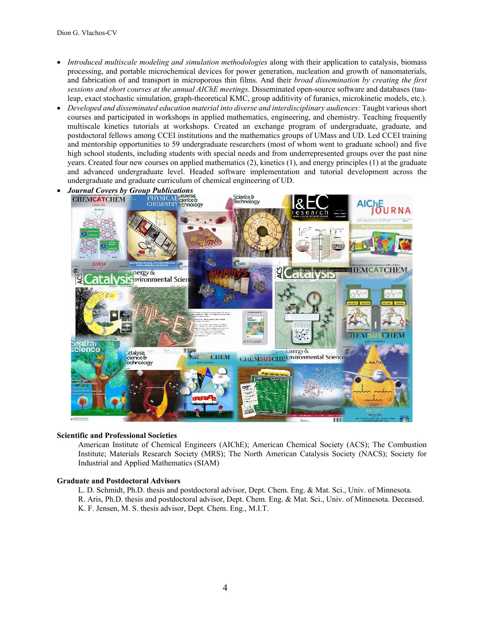- *Introduced multiscale modeling and simulation methodologies* along with their application to catalysis, biomass processing, and portable microchemical devices for power generation, nucleation and growth of nanomaterials, and fabrication of and transport in microporous thin films. And their *broad dissemination by creating the first sessions and short courses at the annual AIChE meetings*. Disseminated open-source software and databases (tauleap, exact stochastic simulation, graph-theoretical KMC, group additivity of furanics, microkinetic models, etc.).
- *Developed and disseminated education material into diverse and interdisciplinary audiences:* Taught various short courses and participated in workshops in applied mathematics, engineering, and chemistry. Teaching frequently multiscale kinetics tutorials at workshops. Created an exchange program of undergraduate, graduate, and postdoctoral fellows among CCEI institutions and the mathematics groups of UMass and UD. Led CCEI training and mentorship opportunities to 59 undergraduate researchers (most of whom went to graduate school) and five high school students, including students with special needs and from underrepresented groups over the past nine years. Created four new courses on applied mathematics (2), kinetics (1), and energy principles (1) at the graduate and advanced undergraduate level. Headed software implementation and tutorial development across the undergraduate and graduate curriculum of chemical engineering of UD.



#### **Scientific and Professional Societies**

American Institute of Chemical Engineers (AIChE); American Chemical Society (ACS); The Combustion Institute; Materials Research Society (MRS); The North American Catalysis Society (NACS); Society for Industrial and Applied Mathematics (SIAM)

#### **Graduate and Postdoctoral Advisors**

L. D. Schmidt, Ph.D. thesis and postdoctoral advisor, Dept. Chem. Eng. & Mat. Sci., Univ. of Minnesota. R. Aris, Ph.D. thesis and postdoctoral advisor, Dept. Chem. Eng. & Mat. Sci., Univ. of Minnesota. Deceased. K. F. Jensen, M. S. thesis advisor, Dept. Chem. Eng., M.I.T.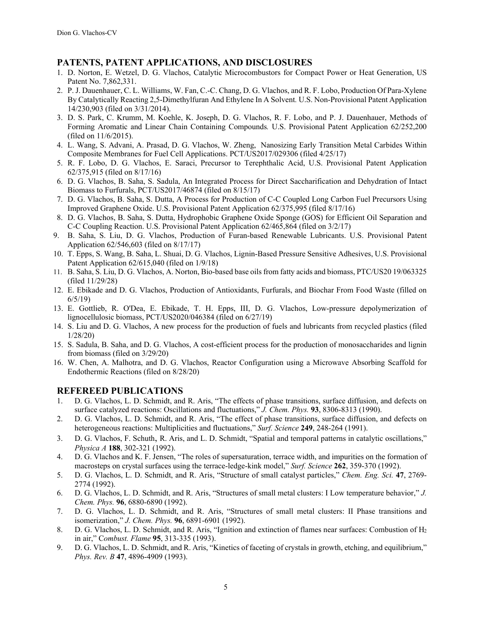# **PATENTS, PATENT APPLICATIONS, AND DISCLOSURES**

- 1. D. Norton, E. Wetzel, D. G. Vlachos, Catalytic Microcombustors for Compact Power or Heat Generation, US Patent No. 7,862,331.
- 2. P. J. Dauenhauer, C. L. Williams, W. Fan, C.-C. Chang, D. G. Vlachos, and R. F. Lobo, Production Of Para-Xylene By Catalytically Reacting 2,5-Dimethylfuran And Ethylene In A Solvent*.* U.S. Non-Provisional Patent Application 14/230,903 (filed on 3/31/2014).
- 3. D. S. Park, C. Krumm, M. Koehle, K. Joseph, D. G. Vlachos, R. F. Lobo, and P. J. Dauenhauer, Methods of Forming Aromatic and Linear Chain Containing Compounds*.* U.S. Provisional Patent Application 62/252,200 (filed on 11/6/2015).
- 4. L. Wang, S. Advani, A. Prasad, D. G. Vlachos, W. Zheng, Nanosizing Early Transition Metal Carbides Within Composite Membranes for Fuel Cell Applications. PCT/US2017/029306 (filed 4/25/17)
- 5. R. F. Lobo, D. G. Vlachos, E. Saraci, Precursor to Terephthalic Acid, U.S. Provisional Patent Application 62/375,915 (filed on 8/17/16)
- 6. D. G. Vlachos, B. Saha, S. Sadula, An Integrated Process for Direct Saccharification and Dehydration of Intact Biomass to Furfurals, PCT/US2017/46874 (filed on 8/15/17)
- 7. D. G. Vlachos, B. Saha, S. Dutta, A Process for Production of C-C Coupled Long Carbon Fuel Precursors Using Improved Graphene Oxide. U.S. Provisional Patent Application 62/375,995 (filed 8/17/16)
- 8. D. G. Vlachos, B. Saha, S. Dutta, Hydrophobic Graphene Oxide Sponge (GOS) for Efficient Oil Separation and C-C Coupling Reaction. U.S. Provisional Patent Application 62/465,864 (filed on 3/2/17)
- 9. B. Saha, S. Liu, D. G. Vlachos, Production of Furan-based Renewable Lubricants. U.S. Provisional Patent Application 62/546,603 (filed on 8/17/17)
- 10. T. Epps, S. Wang, B. Saha, L. Shuai, D. G. Vlachos, Lignin-Based Pressure Sensitive Adhesives, U.S. Provisional Patent Application 62/615,040 (filed on 1/9/18)
- 11. B. Saha, S. Liu, D. G. Vlachos, A. Norton, Bio-based base oils from fatty acids and biomass, PTC/US20 19/063325 (filed 11/29/28)
- 12. E. Ebikade and D. G. Vlachos, Production of Antioxidants, Furfurals, and Biochar From Food Waste (filled on 6/5/19)
- 13. E. Gottlieb, R. O'Dea, E. Ebikade, T. H. Epps, III, D. G. Vlachos, Low-pressure depolymerization of lignocellulosic biomass, PCT/US2020/046384 (filed on 6/27/19)
- 14. S. Liu and D. G. Vlachos, A new process for the production of fuels and lubricants from recycled plastics (filed 1/28/20)
- 15. S. Sadula, B. Saha, and D. G. Vlachos, A cost-efficient process for the production of monosaccharides and lignin from biomass (filed on 3/29/20)
- 16. W. Chen, A. Malhotra, and D. G. Vlachos, Reactor Configuration using a Microwave Absorbing Scaffold for Endothermic Reactions (filed on 8/28/20)

# **REFEREED PUBLICATIONS**

- 1. D. G. Vlachos, L. D. Schmidt, and R. Aris, "The effects of phase transitions, surface diffusion, and defects on surface catalyzed reactions: Oscillations and fluctuations," *J. Chem. Phys.* **93**, 8306-8313 (1990).
- 2. D. G. Vlachos, L. D. Schmidt, and R. Aris, "The effect of phase transitions, surface diffusion, and defects on heterogeneous reactions: Multiplicities and fluctuations," *Surf. Science* **249**, 248-264 (1991).
- 3. D. G. Vlachos, F. Schuth, R. Aris, and L. D. Schmidt, "Spatial and temporal patterns in catalytic oscillations," *Physica A* **188**, 302-321 (1992).
- 4. D. G. Vlachos and K. F. Jensen, "The roles of supersaturation, terrace width, and impurities on the formation of macrosteps on crystal surfaces using the terrace-ledge-kink model," *Surf. Science* **262**, 359-370 (1992).
- 5. D. G. Vlachos, L. D. Schmidt, and R. Aris, "Structure of small catalyst particles," *Chem. Eng. Sci.* **47**, 2769- 2774 (1992).
- 6. D. G. Vlachos, L. D. Schmidt, and R. Aris, "Structures of small metal clusters: I Low temperature behavior," *J. Chem. Phys.* **96**, 6880-6890 (1992).
- 7. D. G. Vlachos, L. D. Schmidt, and R. Aris, "Structures of small metal clusters: II Phase transitions and isomerization," *J. Chem. Phys.* **96**, 6891-6901 (1992).
- 8. D. G. Vlachos, L. D. Schmidt, and R. Aris, "Ignition and extinction of flames near surfaces: Combustion of H<sub>2</sub> in air," C*ombust. Flame* **95**, 313-335 (1993).
- 9. D. G. Vlachos, L. D. Schmidt, and R. Aris, "Kinetics of faceting of crystals in growth, etching, and equilibrium," *Phys. Rev. B* **47**, 4896-4909 (1993).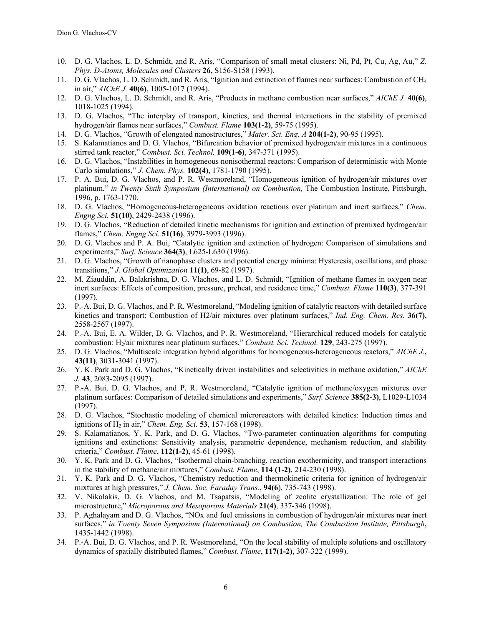- 10. D. G. Vlachos, L. D. Schmidt, and R. Aris, "Comparison of small metal clusters: Ni, Pd, Pt, Cu, Ag, Au," *Z. Phys. D-Atoms, Molecules and Clusters* **26**, S156-S158 (1993).
- 11. D. G. Vlachos, L. D. Schmidt, and R. Aris, "Ignition and extinction of flames near surfaces: Combustion of CH4 in air," *AIChE J.* **40(6)**, 1005-1017 (1994).
- 12. D. G. Vlachos, L. D. Schmidt, and R. Aris, "Products in methane combustion near surfaces," *AIChE J.* **40(6)**, 1018-1025 (1994).
- 13. D. G. Vlachos, "The interplay of transport, kinetics, and thermal interactions in the stability of premixed hydrogen/air flames near surfaces," *Combust. Flame* **103(1-2)**, 59-75 (1995).
- 14. D. G. Vlachos, "Growth of elongated nanostructures," *Mater. Sci. Eng. A* **204(1-2)**, 90-95 (1995).
- 15. S. Kalamatianos and D. G. Vlachos, "Bifurcation behavior of premixed hydrogen/air mixtures in a continuous stirred tank reactor," *Combust. Sci. Technol.* **109(1-6)**, 347-371 (1995).
- 16. D. G. Vlachos, "Instabilities in homogeneous nonisothermal reactors: Comparison of deterministic with Monte Carlo simulations," *J. Chem. Phys.* **102(4)**, 1781-1790 (1995).
- 17. P. A. Bui, D. G. Vlachos, and P. R. Westmoreland, "Homogeneous ignition of hydrogen/air mixtures over platinum," *in Twenty Sixth Symposium (International) on Combustion,* The Combustion Institute, Pittsburgh, 1996, p. 1763-1770.
- 18. D. G. Vlachos, "Homogeneous-heterogeneous oxidation reactions over platinum and inert surfaces," *Chem. Engng Sci.* **51(10)**, 2429-2438 (1996).
- 19. D. G. Vlachos, "Reduction of detailed kinetic mechanisms for ignition and extinction of premixed hydrogen/air flames," *Chem. Engng Sci.* **51(16)**, 3979-3993 (1996).
- 20. D. G. Vlachos and P. A. Bui, "Catalytic ignition and extinction of hydrogen: Comparison of simulations and experiments," *Surf. Science* **364(3)**, L625-L630 (1996).
- 21. D. G. Vlachos, "Growth of nanophase clusters and potential energy minima: Hysteresis, oscillations, and phase transitions," *J. Global Optimization* **11(1)**, 69-82 (1997).
- 22. M. Ziauddin, A. Balakrishna, D. G. Vlachos, and L. D. Schmidt, "Ignition of methane flames in oxygen near inert surfaces: Effects of composition, pressure, preheat, and residence time," *Combust. Flame* **110(3)**, 377-391 (1997).
- 23. P.-A. Bui, D. G. Vlachos, and P. R. Westmoreland, "Modeling ignition of catalytic reactors with detailed surface kinetics and transport: Combustion of H2/air mixtures over platinum surfaces," *Ind. Eng. Chem. Res.* **36(7)**, 2558-2567 (1997).
- 24. P.-A. Bui, E. A. Wilder, D. G. Vlachos, and P. R. Westmoreland, "Hierarchical reduced models for catalytic combustion: H2/air mixtures near platinum surfaces," *Combust. Sci. Technol.* **129**, 243-275 (1997).
- 25. D. G. Vlachos, "Multiscale integration hybrid algorithms for homogeneous-heterogeneous reactors," *AIChE J.*, **43(11)**, 3031-3041 (1997).
- 26. Y. K. Park and D. G. Vlachos, "Kinetically driven instabilities and selectivities in methane oxidation," *AIChE J.* **43**, 2083-2095 (1997).
- 27. P.-A. Bui, D. G. Vlachos, and P. R. Westmoreland, "Catalytic ignition of methane/oxygen mixtures over platinum surfaces: Comparison of detailed simulations and experiments," *Surf. Science* **385(2-3)**, L1029-L1034 (1997).
- 28. D. G. Vlachos, "Stochastic modeling of chemical microreactors with detailed kinetics: Induction times and ignitions of H2 in air," *Chem. Eng. Sci.* **53**, 157-168 (1998).
- 29. S. Kalamatianos, Y. K. Park, and D. G. Vlachos, "Two-parameter continuation algorithms for computing ignitions and extinctions: Sensitivity analysis, parametric dependence, mechanism reduction, and stability criteria," *Combust. Flame*, **112(1-2)**, 45-61 (1998).
- 30. Y. K. Park and D. G. Vlachos, "Isothermal chain-branching, reaction exothermicity, and transport interactions in the stability of methane/air mixtures," *Combust. Flame*, **114 (1-2)**, 214-230 (1998).
- 31. Y. K. Park and D. G. Vlachos, "Chemistry reduction and thermokinetic criteria for ignition of hydrogen/air mixtures at high pressures," *J. Chem. Soc. Faraday Trans.*, **94(6**), 735-743 (1998).
- 32. V. Nikolakis, D. G. Vlachos, and M. Tsapatsis, "Modeling of zeolite crystallization: The role of gel microstructure," *Microporous and Mesoporous Materials* **21(4)**, 337-346 (1998).
- 33. P. Aghalayam and D. G. Vlachos, "NOx and fuel emissions in combustion of hydrogen/air mixtures near inert surfaces," *in Twenty Seven Symposium (International) on Combustion, The Combustion Institute, Pittsburgh*, 1435-1442 (1998).
- 34. P.-A. Bui, D. G. Vlachos, and P. R. Westmoreland, "On the local stability of multiple solutions and oscillatory dynamics of spatially distributed flames," *Combust. Flame*, **117(1-2)**, 307-322 (1999).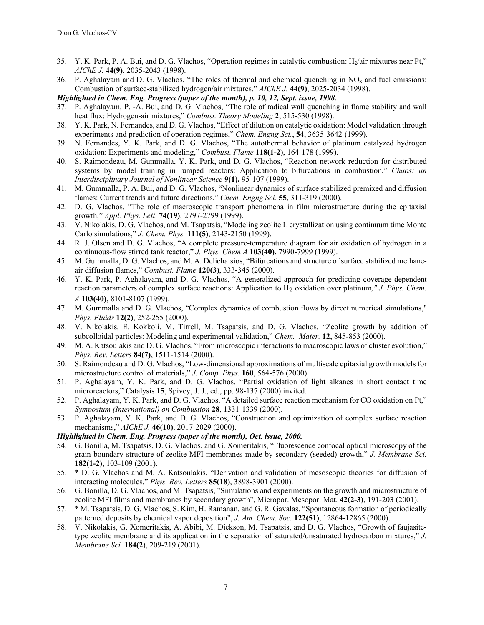- 35. Y. K. Park, P. A. Bui, and D. G. Vlachos, "Operation regimes in catalytic combustion: H<sub>2</sub>/air mixtures near Pt," *AIChE J.* **44(9)**, 2035-2043 (1998).
- 36. P. Aghalayam and D. G. Vlachos, "The roles of thermal and chemical quenching in  $NO<sub>x</sub>$  and fuel emissions: Combustion of surface-stabilized hydrogen/air mixtures," *AIChE J.* **44(9)**, 2025-2034 (1998).

*Highlighted in Chem. Eng. Progress (paper of the month), p. 10, 12, Sept. issue, 1998.*

- 37. P. Aghalayam, P. -A. Bui, and D. G. Vlachos, "The role of radical wall quenching in flame stability and wall heat flux: Hydrogen-air mixtures," *Combust. Theory Modeling* **2**, 515-530 (1998).
- 38. Y. K. Park, N. Fernandes, and D. G. Vlachos, "Effect of dilution on catalytic oxidation: Model validation through experiments and prediction of operation regimes," *Chem. Engng Sci.*, **54**, 3635-3642 (1999).
- 39. N. Fernandes, Y. K. Park, and D. G. Vlachos, "The autothermal behavior of platinum catalyzed hydrogen oxidation: Experiments and modeling," *Combust. Flame* **118(1-2)**, 164-178 (1999).
- 40. S. Raimondeau, M. Gummalla, Y. K. Park, and D. G. Vlachos, "Reaction network reduction for distributed systems by model training in lumped reactors: Application to bifurcations in combustion," *Chaos: an Interdisciplinary Journal of Nonlinear Science* **9(1),** 95-107 (1999).
- 41. M. Gummalla, P. A. Bui, and D. G. Vlachos, "Nonlinear dynamics of surface stabilized premixed and diffusion flames: Current trends and future directions," *Chem. Engng Sci.* **55**, 311-319 (2000).
- 42. D. G. Vlachos, "The role of macroscopic transport phenomena in film microstructure during the epitaxial growth," *Appl. Phys. Lett*. **74(19)**, 2797-2799 (1999).
- 43. V. Nikolakis, D. G. Vlachos, and M. Tsapatsis, "Modeling zeolite L crystallization using continuum time Monte Carlo simulations," *J. Chem. Phys.* **111(5)**, 2143-2150 (1999).
- 44. R. J. Olsen and D. G. Vlachos, "A complete pressure-temperature diagram for air oxidation of hydrogen in a continuous-flow stirred tank reactor," *J. Phys. Chem A* **103(40),** 7990-7999 (1999).
- 45. M. Gummalla, D. G. Vlachos, and M. A. Delichatsios, "Bifurcations and structure of surface stabilized methaneair diffusion flames," *Combust. Flame* **120(3)**, 333-345 (2000).
- 46. Y. K. Park, P. Aghalayam, and D. G. Vlachos, "A generalized approach for predicting coverage-dependent reaction parameters of complex surface reactions: Application to H<sub>2</sub> oxidation over platinum," *J. Phys. Chem. A* **103(40)**, 8101-8107 (1999).
- 47. M. Gummalla and D. G. Vlachos, "Complex dynamics of combustion flows by direct numerical simulations," *Phys. Fluids* **12(2)**, 252-255 (2000).
- 48. V. Nikolakis, E. Kokkoli, M. Tirrell, M. Tsapatsis, and D. G. Vlachos, "Zeolite growth by addition of subcolloidal particles: Modeling and experimental validation," *Chem. Mater.* **12**, 845-853 (2000).
- 49. M. A. Katsoulakis and D. G. Vlachos, "From microscopic interactions to macroscopic laws of cluster evolution," *Phys. Rev. Letters* **84(7)**, 1511-1514 (2000).
- 50. S. Raimondeau and D. G. Vlachos, "Low-dimensional approximations of multiscale epitaxial growth models for microstructure control of materials," *J. Comp. Phys*. **160**, 564-576 (2000).
- 51. P. Aghalayam, Y. K. Park, and D. G. Vlachos, "Partial oxidation of light alkanes in short contact time microreactors," Catalysis **15**, Spivey, J. J., ed., pp. 98-137 (2000) invited.
- 52. P. Aghalayam, Y. K. Park, and D. G. Vlachos, "A detailed surface reaction mechanism for CO oxidation on Pt," *Symposium (International) on Combustion* **28**, 1331-1339 (2000).
- 53. P. Aghalayam, Y. K. Park, and D. G. Vlachos, "Construction and optimization of complex surface reaction mechanisms," *AIChE J.* **46(10)**, 2017-2029 (2000).

## *Highlighted in Chem. Eng. Progress (paper of the month), Oct. issue, 2000.*

- 54. G. Bonilla, M. Tsapatsis, D. G. Vlachos, and G. Xomeritakis, "Fluorescence confocal optical microscopy of the grain boundary structure of zeolite MFI membranes made by secondary (seeded) growth," *J. Membrane Sci.* **182(1-2)**, 103-109 (2001).
- 55. \* D. G. Vlachos and M. A. Katsoulakis, "Derivation and validation of mesoscopic theories for diffusion of interacting molecules," *Phys. Rev. Letters* **85(18)**, 3898-3901 (2000).
- 56. G. Bonilla, D. G. Vlachos, and M. Tsapatsis, "Simulations and experiments on the growth and microstructure of zeolite MFI films and membranes by secondary growth", Micropor. Mesopor. Mat. **42(2-3)**, 191-203 (2001).
- 57. \* M. Tsapatsis, D. G. Vlachos, S. Kim, H. Ramanan, and G. R. Gavalas, "Spontaneous formation of periodically patterned deposits by chemical vapor deposition", *J. Am. Chem. Soc.* **122(51)**, 12864-12865 (2000).
- 58. V. Nikolakis, G. Xomeritakis, A. Abibi, M. Dickson, M. Tsapatsis, and D. G. Vlachos, "Growth of faujasitetype zeolite membrane and its application in the separation of saturated/unsaturated hydrocarbon mixtures," *J. Membrane Sci.* **184(2**), 209-219 (2001).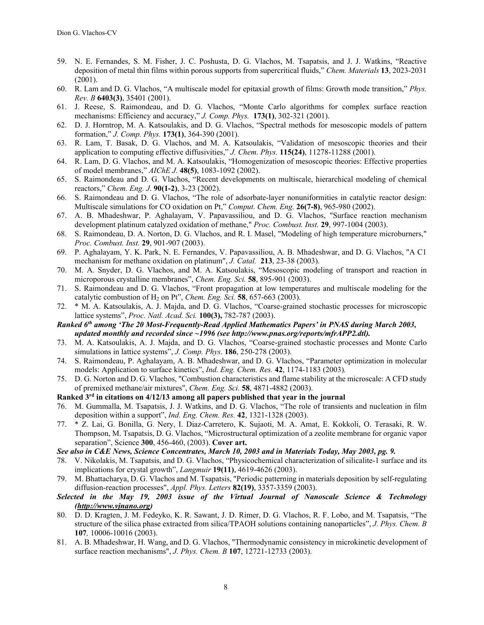- 59. N. E. Fernandes, S. M. Fisher, J. C. Poshusta, D. G. Vlachos, M. Tsapatsis, and J. J. Watkins, "Reactive deposition of metal thin films within porous supports from supercritical fluids," *Chem. Materials* **13**, 2023-2031 (2001).
- 60. R. Lam and D. G. Vlachos, "A multiscale model for epitaxial growth of films: Growth mode transition," *Phys. Rev. B* **6403(3)**, 35401 (2001).
- 61. J. Reese, S. Raimondeau, and D. G. Vlachos, "Monte Carlo algorithms for complex surface reaction mechanisms: Efficiency and accuracy," *J. Comp. Phys.* **173(1)**, 302-321 (2001).
- 62. D. J. Horntrop, M. A. Katsoulakis, and D. G. Vlachos, "Spectral methods for mesoscopic models of pattern formation," *J. Comp. Phys.* **173(1)**, 364-390 (2001).
- 63. R. Lam, T. Basak, D. G. Vlachos, and M. A. Katsoulakis, "Validation of mesoscopic theories and their application to computing effective diffusivities," *J. Chem. Phys.* **115(24)**, 11278-11288 (2001).
- 64. R. Lam, D. G. Vlachos, and M. A. Katsoulakis, "Homogenization of mesoscopic theories: Effective properties of model membranes," *AIChE J*. **48(5)**, 1083-1092 (2002).
- 65. S. Raimondeau and D. G. Vlachos, "Recent developments on multiscale, hierarchical modeling of chemical reactors," *Chem. Eng. J*. **90(1-2)**, 3-23 (2002).
- 66. S. Raimondeau and D. G. Vlachos, "The role of adsorbate-layer nonuniformities in catalytic reactor design: Multiscale simulations for CO oxidation on Pt," *Comput. Chem. Eng.* **26(7-8)**, 965-980 (2002).
- 67. A. B. Mhadeshwar, P. Aghalayam, V. Papavassiliou, and D. G. Vlachos, "Surface reaction mechanism development platinum catalyzed oxidation of methane," *Proc. Combust. Inst.* **29**, 997-1004 (2003).
- 68. S. Raimondeau, D. A. Norton, D. G. Vlachos, and R. I. Masel, "Modeling of high temperature microburners," *Proc. Combust. Inst.* **29**, 901-907 (2003).
- 69. P. Aghalayam, Y. K. Park, N. E. Fernandes, V. Papavassiliou, A. B. Mhadeshwar, and D. G. Vlachos, "A C1 mechanism for methane oxidation on platinum", *J. Catal.* **213**, 23-38 (2003).
- 70. M. A. Snyder, D. G. Vlachos, and M. A. Katsoulakis, "Mesoscopic modeling of transport and reaction in microporous crystalline membranes", *Chem. Eng. Sci.* **58**, 895-901 (2003).
- 71. S. Raimondeau and D. G. Vlachos, "Front propagation at low temperatures and multiscale modeling for the catalytic combustion of H2 on Pt", *Chem. Eng. Sci.* **58**, 657-663 (2003).
- 72. \* M. A. Katsoulakis, A. J. Majda, and D. G. Vlachos, "Coarse-grained stochastic processes for microscopic lattice systems", *Proc. Natl. Acad. Sci.* **100(3),** 782-787 (2003).

*Ranked 6th among 'The 20 Most-Frequently-Read Applied Mathematics Papers' in PNAS during March 2003, updated monthly and recorded since ~1996 (see http://www.pnas.org/reports/mfrAPP2.dtl).*

- 73. M. A. Katsoulakis, A. J. Majda, and D. G. Vlachos, "Coarse-grained stochastic processes and Monte Carlo simulations in lattice systems", *J. Comp. Phys*. **186**, 250-278 (2003).
- 74. S. Raimondeau, P. Aghalayam, A. B. Mhadeshwar, and D. G. Vlachos, "Parameter optimization in molecular models: Application to surface kinetics", *Ind. Eng. Chem. Res.* **42**, 1174-1183 (2003)*.*
- 75. D. G. Norton and D. G. Vlachos, "Combustion characteristics and flame stability at the microscale: A CFD study of premixed methane/air mixtures", *Chem. Eng. Sci.* **58**, 4871-4882 (2003).

#### **Ranked 3rd in citations on 4/12/13 among all papers published that year in the journal**

- 76. M. Gummalla, M. Tsapatsis, J. J. Watkins, and D. G. Vlachos, "The role of transients and nucleation in film deposition within a support", *Ind. Eng. Chem. Res.* **42**, 1321-1328 (2003).
- 77. \* Z. Lai, G. Bonilla, G. Nery, I. Diaz-Carretero, K. Sujaoti, M. A. Amat, E. Kokkoli, O. Terasaki, R. W. Thompson, M. Tsapatsis, D. G. Vlachos, "Microstructural optimization of a zeolite membrane for organic vapor separation", Science **300**, 456-460, (2003). **Cover art.**

#### *See also in C&E News, Science Concentrates, March 10, 2003 and in Materials Today, May 2003, pg. 9.*

- 78. V. Nikolakis, M. Tsapatsis, and D. G. Vlachos, "Physicochemical characterization of silicalite-1 surface and its implications for crystal growth", *Langmuir* **19(11)**, 4619-4626 (2003).
- 79. M. Bhattacharya, D. G. Vlachos and M. Tsapatsis, "Periodic patterning in materials deposition by self-regulating diffusion-reaction processes", *Appl. Phys. Letters* **82(19)**, 3357-3359 (2003).
- *Selected in the May 19, 2003 issue of the Virtual Journal of Nanoscale Science & Technology (http://www.vjnano.org)*
- 80. D. D. Kragten, J. M. Fedeyko, K. R. Sawant, J. D. Rimer, D. G. Vlachos, R. F. Lobo, and M. Tsapatsis, "The structure of the silica phase extracted from silica/TPAOH solutions containing nanoparticles", *J. Phys. Chem. B* **107***,* 10006-10016 (2003).
- 81. A. B. Mhadeshwar, H. Wang, and D. G. Vlachos, "Thermodynamic consistency in microkinetic development of surface reaction mechanisms", *J. Phys. Chem. B* **107**, 12721-12733 (2003).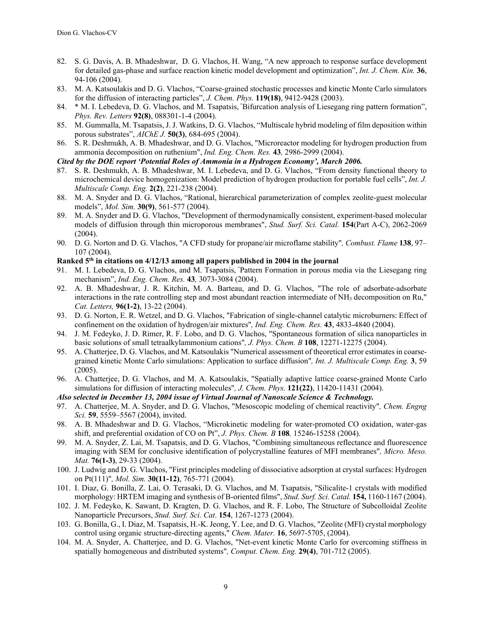- 82. S. G. Davis, A. B. Mhadeshwar, D. G. Vlachos, H. Wang, "A new approach to response surface development for detailed gas-phase and surface reaction kinetic model development and optimization", *Int. J. Chem. Kin.* **36**, 94-106 (2004).
- 83. M. A. Katsoulakis and D. G. Vlachos, "Coarse-grained stochastic processes and kinetic Monte Carlo simulators for the diffusion of interacting particles", *J. Chem. Phys.* **119(18)**, 9412-9428 (2003).
- 84. \* M. I. Lebedeva, D. G. Vlachos, and M. Tsapatsis, "Bifurcation analysis of Liesegang ring pattern formation", *Phys. Rev. Letters* **92(8)**, 088301-1-4 (2004).
- 85. M. Gummalla, M. Tsapatsis, J. J. Watkins, D. G. Vlachos, "Multiscale hybrid modeling of film deposition within porous substrates", *AIChE J.* **50(3)**, 684-695 (2004).
- 86. S. R. Deshmukh, A. B. Mhadeshwar, and D. G. Vlachos, "Microreactor modeling for hydrogen production from ammonia decomposition on ruthenium", *Ind. Eng. Chem. Res.* **43***,* 2986-2999 (2004).

#### *Cited by the DOE report 'Potential Roles of Ammonia in a Hydrogen Economy', March 2006.*

- 87. S. R. Deshmukh, A. B. Mhadeshwar, M. I. Lebedeva, and D. G. Vlachos, "From density functional theory to microchemical device homogenization: Model prediction of hydrogen production for portable fuel cells", *Int. J. Multiscale Comp. Eng.* **2(2)**, 221-238 (2004).
- 88. M. A. Snyder and D. G. Vlachos, "Rational, hierarchical parameterization of complex zeolite-guest molecular models", *Mol. Sim.* **30(9)**, 561-577 (2004).
- 89. M. A. Snyder and D. G. Vlachos, "Development of thermodynamically consistent, experiment-based molecular models of diffusion through thin microporous membranes", *Stud. Surf. Sci. Catal.* **154**(Part A-C), 2062-2069 (2004).
- 90. D. G. Norton and D. G. Vlachos, "A CFD study for propane/air microflame stability"*, Combust. Flame* **138**, 97– 107 (2004).

# **Ranked 5th in citations on 4/12/13 among all papers published in 2004 in the journal**

- 91. M. I. Lebedeva, D. G. Vlachos, and M. Tsapatsis, "Pattern Formation in porous media via the Liesegang ring mechanism", *Ind. Eng. Chem. Res.* **43***,* 3073-3084 (2004).
- 92. A. B. Mhadeshwar, J. R. Kitchin, M. A. Barteau, and D. G. Vlachos, "The role of adsorbate-adsorbate interactions in the rate controlling step and most abundant reaction intermediate of NH3 decomposition on Ru," *Cat. Letters,* **96(1-2)**, 13-22 (2004).
- 93. D. G. Norton, E. R. Wetzel, and D. G. Vlachos, "Fabrication of single-channel catalytic microburners: Effect of confinement on the oxidation of hydrogen/air mixtures"*, Ind. Eng. Chem. Res.* **43**, 4833-4840 (2004).
- 94. J. M. Fedeyko, J. D. Rimer, R. F. Lobo, and D. G. Vlachos, "Spontaneous formation of silica nanoparticles in basic solutions of small tetraalkylammonium cations"*, J. Phys. Chem. B* **108**, 12271-12275 (2004).
- 95. A. Chatterjee, D. G. Vlachos, and M. Katsoulakis "Numerical assessment of theoretical error estimates in coarsegrained kinetic Monte Carlo simulations: Application to surface diffusion"*, Int. J. Multiscale Comp. Eng.* **3**, 59 (2005).
- 96. A. Chatterjee, D. G. Vlachos, and M. A. Katsoulakis, "Spatially adaptive lattice coarse-grained Monte Carlo simulations for diffusion of interacting molecules"*, J. Chem. Phys.* **121(22)**, 11420-11431 (2004).

#### *Also selected in December 13, 2004 issue of Virtual Journal of Nanoscale Science & Technology.*

- 97. A. Chatterjee, M. A. Snyder, and D. G. Vlachos, "Mesoscopic modeling of chemical reactivity"*, Chem. Engng Sci.* **59**, 5559–5567 (2004), invited.
- 98. A. B. Mhadeshwar and D. G. Vlachos, "Microkinetic modeling for water-promoted CO oxidation, water-gas shift, and preferential oxidation of CO on Pt", *J. Phys. Chem. B* **108***,* 15246-15258 (2004).
- 99. M. A. Snyder, Z. Lai, M. Tsapatsis, and D. G. Vlachos, "Combining simultaneous reflectance and fluorescence imaging with SEM for conclusive identification of polycrystalline features of MFI membranes"*, Micro. Meso. Mat.* **76(1-3)**, 29-33 (2004).
- 100. J. Ludwig and D. G. Vlachos, "First principles modeling of dissociative adsorption at crystal surfaces: Hydrogen on Pt(111)"*, Mol. Sim.* **30(11-12)**, 765-771 (2004).
- 101. I. Diaz, G. Bonilla, Z. Lai, O. Terasaki, D. G. Vlachos, and M. Tsapatsis, "Silicalite-1 crystals with modified morphology: HRTEM imaging and synthesis of B-oriented films", *Stud. Surf. Sci. Catal.* **154,** 1160-1167 (2004).
- 102. J. M. Fedeyko, K. Sawant, D. Kragten, D. G. Vlachos, and R. F. Lobo, The Structure of Subcolloidal Zeolite Nanoparticle Precursors, *Stud. Surf. Sci. Cat*. **154**, 1267-1273 (2004).
- 103. G. Bonilla, G., I. Diaz, M. Tsapatsis, H.-K. Jeong, Y. Lee, and D. G. Vlachos, "Zeolite (MFI) crystal morphology control using organic structure-directing agents," *Chem. Mater.* **16**, 5697-5705, (2004).
- 104. M. A. Snyder, A. Chatterjee, and D. G. Vlachos, "Net-event kinetic Monte Carlo for overcoming stiffness in spatially homogeneous and distributed systems"*, Comput. Chem. Eng.* **29(4)**, 701-712 (2005).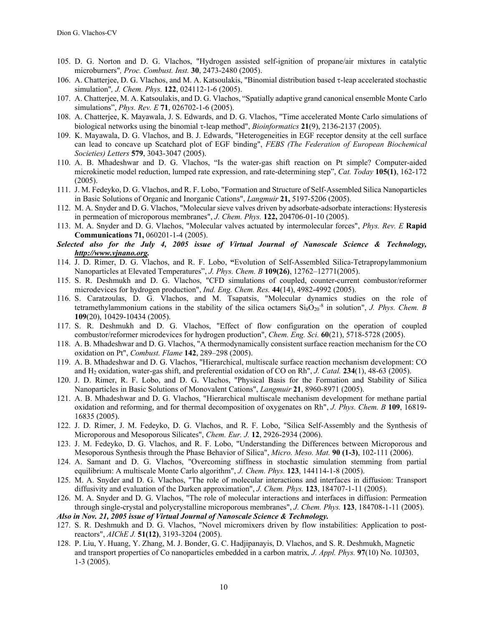- 105. D. G. Norton and D. G. Vlachos, "Hydrogen assisted self-ignition of propane/air mixtures in catalytic microburners"*, Proc. Combust. Inst.* **30**, 2473-2480 (2005).
- 106. A. Chatterjee, D. G. Vlachos, and M. A. Katsoulakis, "Binomial distribution based  $\tau$ -leap accelerated stochastic simulation"*, J. Chem. Phys.* **122**, 024112-1-6 (2005).
- 107. A. Chatterjee, M. A. Katsoulakis, and D. G. Vlachos, "Spatially adaptive grand canonical ensemble Monte Carlo simulations", *Phys. Rev. E* **71**, 026702-1-6 (2005).
- 108. A. Chatterjee, K. Mayawala, J. S. Edwards, and D. G. Vlachos, "Time accelerated Monte Carlo simulations of biological networks using the binomial -leap method", *Bioinformatics* **21**(9), 2136-2137 (2005).
- 109. K. Mayawala, D. G. Vlachos, and B. J. Edwards, "Heterogeneities in EGF receptor density at the cell surface can lead to concave up Scatchard plot of EGF binding", *FEBS (The Federation of European Biochemical Societies) Letters* **579**, 3043-3047 (2005).
- 110. A. B. Mhadeshwar and D. G. Vlachos, "Is the water-gas shift reaction on Pt simple? Computer-aided microkinetic model reduction, lumped rate expression, and rate-determining step", *Cat. Today* **105(1)**, 162-172 (2005).
- 111. J. M. Fedeyko, D. G. Vlachos, and R. F. Lobo, "Formation and Structure of Self-Assembled Silica Nanoparticles in Basic Solutions of Organic and Inorganic Cations", *Langmuir* **21,** 5197-5206 (2005).
- 112. M. A. Snyder and D. G. Vlachos, "Molecular sieve valves driven by adsorbate-adsorbate interactions: Hysteresis in permeation of microporous membranes", *J. Chem. Phys.* **122,** 204706-01-10 (2005).
- 113. M. A. Snyder and D. G. Vlachos, "Molecular valves actuated by intermolecular forces", *Phys. Rev. E* **Rapid Communications 71,** 060201-1-4 (2005).
- *Selected also for the July 4, 2005 issue of Virtual Journal of Nanoscale Science & Technology, http://www.vjnano.org.*
- 114. J. D. Rimer, D. G. Vlachos, and R. F. Lobo, **"**Evolution of Self-Assembled Silica-Tetrapropylammonium Nanoparticles at Elevated Temperatures", *J. Phys. Chem. B* **109(26)**, 12762–12771(2005).
- 115. S. R. Deshmukh and D. G. Vlachos, "CFD simulations of coupled, counter-current combustor/reformer microdevices for hydrogen production", *Ind. Eng. Chem. Res.* **44**(14), 4982-4992 (2005).
- 116. S. Caratzoulas, D. G. Vlachos, and M. Tsapatsis, "Molecular dynamics studies on the role of tetramethylammonium cations in the stability of the silica octamers  $Si_8O_{20}^{-8}$  in solution", *J. Phys. Chem. B* **109**(20), 10429-10434 (2005).
- 117. S. R. Deshmukh and D. G. Vlachos, "Effect of flow configuration on the operation of coupled combustor/reformer microdevices for hydrogen production", *Chem. Eng. Sci.* **60**(21), 5718-5728 (2005).
- 118. A. B. Mhadeshwar and D. G. Vlachos, "A thermodynamically consistent surface reaction mechanism for the CO oxidation on Pt", *Combust. Flame* **142**, 289–298 (2005).
- 119. A. B. Mhadeshwar and D. G. Vlachos, "Hierarchical, multiscale surface reaction mechanism development: CO and H2 oxidation, water-gas shift, and preferential oxidation of CO on Rh", *J. Catal.* **234**(1), 48-63 (2005).
- 120. J. D. Rimer, R. F. Lobo, and D. G. Vlachos, "Physical Basis for the Formation and Stability of Silica Nanoparticles in Basic Solutions of Monovalent Cations", *Langmuir* **21**, 8960-8971 (2005).
- 121. A. B. Mhadeshwar and D. G. Vlachos, "Hierarchical multiscale mechanism development for methane partial oxidation and reforming, and for thermal decomposition of oxygenates on Rh", *J. Phys. Chem. B* **109**, 16819- 16835 (2005).
- 122. J. D. Rimer, J. M. Fedeyko, D. G. Vlachos, and R. F. Lobo, "Silica Self-Assembly and the Synthesis of Microporous and Mesoporous Silicates", *Chem. Eur. J.* **12**, 2926-2934 (2006).
- 123. J. M. Fedeyko, D. G. Vlachos, and R. F. Lobo, "Understanding the Differences between Microporous and Mesoporous Synthesis through the Phase Behavior of Silica", *Micro. Meso. Mat.* **90 (1-3)**, 102-111 (2006).
- 124. A. Samant and D. G. Vlachos, "Overcoming stiffness in stochastic simulation stemming from partial equilibrium: A multiscale Monte Carlo algorithm", *J. Chem. Phys.* **123**, 144114-1-8 (2005).
- 125. M. A. Snyder and D. G. Vlachos, "The role of molecular interactions and interfaces in diffusion: Transport diffusivity and evaluation of the Darken approximation", *J. Chem. Phys.* **123**, 184707-1-11 (2005).
- 126. M. A. Snyder and D. G. Vlachos, "The role of molecular interactions and interfaces in diffusion: Permeation through single-crystal and polycrystalline microporous membranes", *J. Chem. Phys.* **123**, 184708-1-11 (2005).
- *Also in Nov. 21, 2005 issue of Virtual Journal of Nanoscale Science & Technology.*
- 127. S. R. Deshmukh and D. G. Vlachos, "Novel micromixers driven by flow instabilities: Application to postreactors", *AIChE J.* **51(12)**, 3193-3204 (2005).
- 128. P. Liu, Y. Huang, Y. Zhang, M. J. Bonder, G. C. Hadjipanayis, D. Vlachos, and S. R. Deshmukh, Magnetic and transport properties of Co nanoparticles embedded in a carbon matrix*, J. Appl. Phys.* **97**(10) No. 10J303, 1-3 (2005).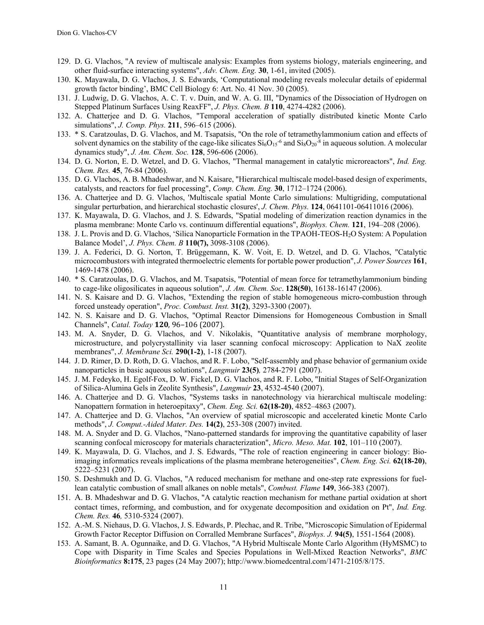- 129. D. G. Vlachos, "A review of multiscale analysis: Examples from systems biology, materials engineering, and other fluid-surface interacting systems", *Adv. Chem. Eng.* **30**, 1-61, invited (2005).
- 130. K. Mayawala, D. G. Vlachos, J. S. Edwards, 'Computational modeling reveals molecular details of epidermal growth factor binding', BMC Cell Biology 6: Art. No. 41 Nov. 30 (2005).
- 131. J. Ludwig, D. G. Vlachos, A. C. T. v. Duin, and W. A. G. III, "Dynamics of the Dissociation of Hydrogen on Stepped Platinum Surfaces Using ReaxFF", *J. Phys. Chem. B* **110**, 4274-4282 (2006).
- 132. A. Chatterjee and D. G. Vlachos, "Temporal acceleration of spatially distributed kinetic Monte Carlo simulations", *J. Comp. Phys.* **211**, 596–615 (2006).
- 133. \* S. Caratzoulas, D. G. Vlachos, and M. Tsapatsis, "On the role of tetramethylammonium cation and effects of solvent dynamics on the stability of the cage-like silicates  $Si_6O_{15}$ <sup>-6</sup> and  $Si_8O_{20}$ <sup>-8</sup> in aqueous solution. A molecular dynamics study", *J. Am. Chem. Soc.* **128**, 596-606 (2006).
- 134. D. G. Norton, E. D. Wetzel, and D. G. Vlachos, "Thermal management in catalytic microreactors", *Ind. Eng. Chem. Res.* **45**, 76-84 (2006).
- 135. D. G. Vlachos, A. B. Mhadeshwar, and N. Kaisare, "Hierarchical multiscale model-based design of experiments, catalysts, and reactors for fuel processing", *Comp. Chem. Eng.* **30**, 1712–1724 (2006).
- 136. A. Chatterjee and D. G. Vlachos, 'Multiscale spatial Monte Carlo simulations: Multigriding, computational singular perturbation, and hierarchical stochastic closures', *J. Chem. Phys.* **124**, 0641101-06411016 (2006).
- 137. K. Mayawala, D. G. Vlachos, and J. S. Edwards, "Spatial modeling of dimerization reaction dynamics in the plasma membrane: Monte Carlo vs. continuum differential equations", *Biophys. Chem.* **121**, 194–208 (2006).
- 138. J. L. Provis and D. G. Vlachos, 'Silica Nanoparticle Formation in the TPAOH-TEOS-H2O System: A Population Balance Model', *J. Phys. Chem. B* **110(7),** 3098-3108 (2006).
- 139. J. A. Federici, D. G. Norton, T. Brüggemann, K. W. Voit, E. D. Wetzel, and D. G. Vlachos, "Catalytic microcombustors with integrated thermoelectric elements for portable power production", *J. Power Sources* **161**, 1469-1478 (2006).
- 140. \* S. Caratzoulas, D. G. Vlachos, and M. Tsapatsis, "Potential of mean force for tetramethylammonium binding to cage-like oligosilicates in aqueous solution", *J. Am. Chem. Soc*. **128(50)**, 16138-16147 (2006).
- 141. N. S. Kaisare and D. G. Vlachos, "Extending the region of stable homogeneous micro-combustion through forced unsteady operation", *Proc. Combust. Inst.* **31(2)**, 3293-3300 (2007).
- 142. N. S. Kaisare and D. G. Vlachos, "Optimal Reactor Dimensions for Homogeneous Combustion in Small Channels", *Catal. Today* **120**, 96–106 (2007).
- 143. M. A. Snyder, D. G. Vlachos, and V. Nikolakis, "Quantitative analysis of membrane morphology, microstructure, and polycrystallinity via laser scanning confocal microscopy: Application to NaX zeolite membranes", *J. Membrane Sci.* **290(1-2)**, 1-18 (2007).
- 144. J. D. Rimer, D. D. Roth, D. G. Vlachos, and R. F. Lobo, "Self-assembly and phase behavior of germanium oxide nanoparticles in basic aqueous solutions", *Langmuir* **23(5)***,* 2784-2791 (2007).
- 145. J. M. Fedeyko, H. Egolf-Fox, D. W. Fickel, D. G. Vlachos, and R. F. Lobo, "Initial Stages of Self-Organization of Silica-Alumina Gels in Zeolite Synthesis", *Langmuir* **23**, 4532-4540 (2007).
- 146. A. Chatterjee and D. G. Vlachos, "Systems tasks in nanotechnology via hierarchical multiscale modeling: Nanopattern formation in heteroepitaxy", *Chem. Eng. Sci.* **62(18-20)**, 4852–4863 (2007).
- 147. A. Chatterjee and D. G. Vlachos, "An overview of spatial microscopic and accelerated kinetic Monte Carlo methods", *J. Comput.-Aided Mater. Des.* **14(2)**, 253-308 (2007) invited.
- 148. M. A. Snyder and D. G. Vlachos, "Nano-patterned standards for improving the quantitative capability of laser scanning confocal microscopy for materials characterization", *Micro. Meso. Mat.* **102**, 101–110 (2007).
- 149. K. Mayawala, D. G. Vlachos, and J. S. Edwards, "The role of reaction engineering in cancer biology: Bioimaging informatics reveals implications of the plasma membrane heterogeneities", *Chem. Eng. Sci.* **62(18-20)**, 5222–5231 (2007).
- 150. S. Deshmukh and D. G. Vlachos, "A reduced mechanism for methane and one-step rate expressions for fuellean catalytic combustion of small alkanes on noble metals", *Combust. Flame* **149**, 366-383 (2007).
- 151. A. B. Mhadeshwar and D. G. Vlachos, "A catalytic reaction mechanism for methane partial oxidation at short contact times, reforming, and combustion, and for oxygenate decomposition and oxidation on Pt", *Ind. Eng. Chem. Res.* **46***,* 5310-5324 (2007).
- 152. A.-M. S. Niehaus, D. G. Vlachos, J. S. Edwards, P. Plechac, and R. Tribe, "Microscopic Simulation of Epidermal Growth Factor Receptor Diffusion on Corralled Membrane Surfaces", *Biophys. J.* **94(5)**, 1551-1564 (2008).
- 153. A. Samant, B. A. Ogunnaike, and D. G. Vlachos, "A Hybrid Multiscale Monte Carlo Algorithm (HyMSMC) to Cope with Disparity in Time Scales and Species Populations in Well-Mixed Reaction Networks", *BMC Bioinformatics* **8:175**, 23 pages (24 May 2007); http://www.biomedcentral.com/1471-2105/8/175.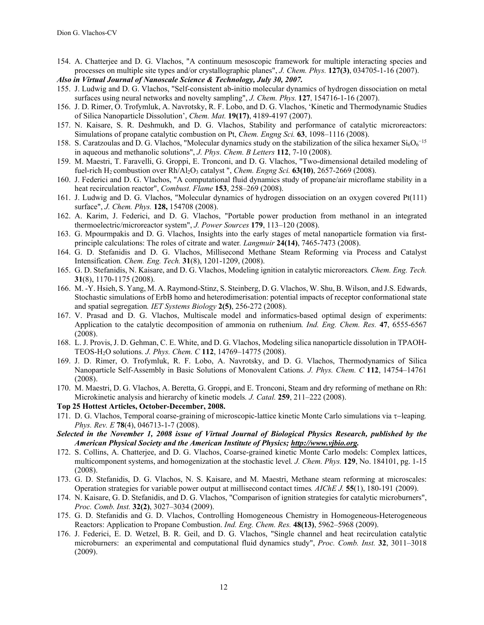154. A. Chatterjee and D. G. Vlachos, "A continuum mesoscopic framework for multiple interacting species and processes on multiple site types and/or crystallographic planes", *J. Chem. Phys.* **127(3)**, 034705-1-16 (2007).

*Also in Virtual Journal of Nanoscale Science & Technology, July 30, 2007.* 

- 155. J. Ludwig and D. G. Vlachos, "Self-consistent ab-initio molecular dynamics of hydrogen dissociation on metal surfaces using neural networks and novelty sampling", *J. Chem. Phys.* **127**, 154716-1-16 (2007).
- 156. J. D. Rimer, O. Trofymluk, A. Navrotsky, R. F. Lobo, and D. G. Vlachos, 'Kinetic and Thermodynamic Studies of Silica Nanoparticle Dissolution', *Chem. Mat.* **19(17)**, 4189-4197 (2007).
- 157. N. Kaisare, S. R. Deshmukh, and D. G. Vlachos, Stability and performance of catalytic microreactors: Simulations of propane catalytic combustion on Pt, *Chem. Engng Sci.* **63**, 1098–1116 (2008).
- 158. S. Caratzoulas and D. G. Vlachos, "Molecular dynamics study on the stabilization of the silica hexamer  $Si_6O_6^{-15}$ in aqueous and methanolic solutions", *J. Phys. Chem. B Letters* **112**, 7-10 (2008).
- 159. M. Maestri, T. Faravelli, G. Groppi, E. Tronconi, and D. G. Vlachos, "Two-dimensional detailed modeling of fuel-rich H<sub>2</sub> combustion over Rh/Al<sub>2</sub>O<sub>3</sub> catalyst ", *Chem. Engng Sci.* **63(10)**, 2657-2669 (2008).
- 160. J. Federici and D. G. Vlachos, "A computational fluid dynamics study of propane/air microflame stability in a heat recirculation reactor", *Combust. Flame* **153**, 258–269 (2008).
- 161. J. Ludwig and D. G. Vlachos, "Molecular dynamics of hydrogen dissociation on an oxygen covered Pt(111) surface", *J. Chem. Phys.* **128,** 154708 (2008).
- 162. A. Karim, J. Federici, and D. G. Vlachos, "Portable power production from methanol in an integrated thermoelectric/microreactor system", *J. Power Sources* **179**, 113–120 (2008).
- 163. G. Mpourmpakis and D. G. Vlachos, Insights into the early stages of metal nanoparticle formation via firstprinciple calculations: The roles of citrate and water*. Langmuir* **24(14)**, 7465-7473 (2008).
- 164. G. D. Stefanidis and D. G. Vlachos, Millisecond Methane Steam Reforming via Process and Catalyst Intensification*. Chem. Eng. Tech.* **31**(8), 1201-1209, (2008).
- 165. G. D. Stefanidis, N. Kaisare, and D. G. Vlachos, Modeling ignition in catalytic microreactors*. Chem. Eng. Tech.* **31**(8), 1170-1175 (2008).
- 166. M. -Y. Hsieh, S. Yang, M. A. Raymond-Stinz, S. Steinberg, D. G. Vlachos, W. Shu, B. Wilson, and J.S. Edwards, Stochastic simulations of ErbB homo and heterodimerisation: potential impacts of receptor conformational state and spatial segregation*. IET Systems Biology* **2(5)**, 256-272 (2008).
- 167. V. Prasad and D. G. Vlachos, Multiscale model and informatics-based optimal design of experiments: Application to the catalytic decomposition of ammonia on ruthenium*. Ind. Eng. Chem. Res.* **47**, 6555-6567 (2008).
- 168. L. J. Provis, J. D. Gehman, C. E. White, and D. G. Vlachos, Modeling silica nanoparticle dissolution in TPAOH-TEOS-H2O solutions*. J. Phys. Chem. C* **112**, 14769–14775 (2008).
- 169. J. D. Rimer, O. Trofymluk, R. F. Lobo, A. Navrotsky, and D. G. Vlachos, Thermodynamics of Silica Nanoparticle Self-Assembly in Basic Solutions of Monovalent Cations*. J. Phys. Chem. C* **112**, 14754–14761 (2008).
- 170. M. Maestri, D. G. Vlachos, A. Beretta, G. Groppi, and E. Tronconi, Steam and dry reforming of methane on Rh: Microkinetic analysis and hierarchy of kinetic models*. J. Catal.* **259**, 211–222 (2008).
- **Top 25 Hottest Articles, October-December, 2008.**
- 171. D. G. Vlachos, Temporal coarse-graining of microscopic-lattice kinetic Monte Carlo simulations via  $\tau$ -leaping. *Phys. Rev. E* **78**(4), 046713-1-7 (2008).
- *Selected in the November 1, 2008 issue of Virtual Journal of Biological Physics Research, published by the American Physical Society and the American Institute of Physics; http://www.vjbio.org.*
- 172. S. Collins, A. Chatterjee, and D. G. Vlachos, Coarse-grained kinetic Monte Carlo models: Complex lattices, multicomponent systems, and homogenization at the stochastic level*. J. Chem. Phys.* **129**, No. 184101, pg. 1-15 (2008).
- 173. G. D. Stefanidis, D. G. Vlachos, N. S. Kaisare, and M. Maestri, Methane steam reforming at microscales: Operation strategies for variable power output at millisecond contact times*. AIChE J.* **55**(1), 180-191 (2009).
- 174. N. Kaisare, G. D. Stefanidis, and D. G. Vlachos, "Comparison of ignition strategies for catalytic microburners", *Proc. Comb. Inst.* **32(2)**, 3027–3034 (2009).
- 175. G. D. Stefanidis and G. D. Vlachos, Controlling Homogeneous Chemistry in Homogeneous-Heterogeneous Reactors: Application to Propane Combustion. *Ind. Eng. Chem. Res.* **48(13)**, 5962–5968 (2009).
- 176. J. Federici, E. D. Wetzel, B. R. Geil, and D. G. Vlachos, "Single channel and heat recirculation catalytic microburners: an experimental and computational fluid dynamics study", *Proc. Comb. Inst.* **32**, 3011–3018 (2009).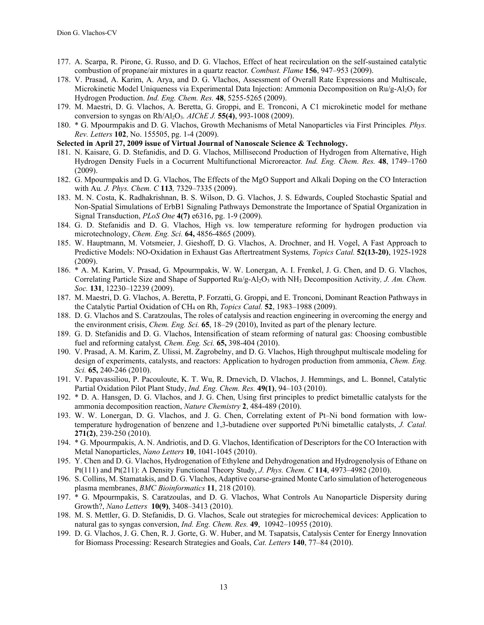- 177. A. Scarpa, R. Pirone, G. Russo, and D. G. Vlachos, Effect of heat recirculation on the self-sustained catalytic combustion of propane/air mixtures in a quartz reactor*. Combust. Flame* **156**, 947–953 (2009).
- 178. V. Prasad, A. Karim, A. Arya, and D. G. Vlachos, Assessment of Overall Rate Expressions and Multiscale, Microkinetic Model Uniqueness via Experimental Data Injection: Ammonia Decomposition on Ru/g-Al<sub>2</sub>O<sub>3</sub> for Hydrogen Production. *Ind. Eng. Chem. Res.* **48**, 5255-5265 (2009).
- 179. M. Maestri, D. G. Vlachos, A. Beretta, G. Groppi, and E. Tronconi, A C1 microkinetic model for methane conversion to syngas on Rh/Al2O3*. AIChE J.* **55(4)**, 993-1008 (2009).
- 180. \* G. Mpourmpakis and D. G. Vlachos, Growth Mechanisms of Metal Nanoparticles via First Principles*. Phys. Rev. Letters* **102**, No. 155505, pg. 1-4 (2009).
- **Selected in April 27, 2009 issue of Virtual Journal of Nanoscale Science & Technology.**
- 181. N. Kaisare, G. D. Stefanidis, and D. G. Vlachos, Millisecond Production of Hydrogen from Alternative, High Hydrogen Density Fuels in a Cocurrent Multifunctional Microreactor*. Ind. Eng. Chem. Res.* **48**, 1749–1760 (2009).
- 182. G. Mpourmpakis and D. G. Vlachos, The Effects of the MgO Support and Alkali Doping on the CO Interaction with Au*. J. Phys. Chem. C* **113***,* 7329–7335 (2009).
- 183. M. N. Costa, K. Radhakrishnan, B. S. Wilson, D. G. Vlachos, J. S. Edwards, Coupled Stochastic Spatial and Non-Spatial Simulations of ErbB1 Signaling Pathways Demonstrate the Importance of Spatial Organization in Signal Transduction, *PLoS One* **4(7)** e6316, pg. 1-9 (2009).
- 184. G. D. Stefanidis and D. G. Vlachos, High vs. low temperature reforming for hydrogen production via microtechnology, *Chem. Eng. Sci.* **64,** 4856-4865 (2009).
- 185. W. Hauptmann, M. Votsmeier, J. Gieshoff, D. G. Vlachos, A. Drochner, and H. Vogel, A Fast Approach to Predictive Models: NO-Oxidation in Exhaust Gas Aftertreatment Systems*, Topics Catal.* **52(13-20)**, 1925-1928 (2009).
- 186. \* A. M. Karim, V. Prasad, G. Mpourmpakis, W. W. Lonergan, A. I. Frenkel, J. G. Chen, and D. G. Vlachos, Correlating Particle Size and Shape of Supported Ru/g-Al2O3 with NH3 Decomposition Activity*, J. Am. Chem. Soc.* **131**, 12230–12239 (2009).
- 187. M. Maestri, D. G. Vlachos, A. Beretta, P. Forzatti, G. Groppi, and E. Tronconi, Dominant Reaction Pathways in the Catalytic Partial Oxidation of CH<sub>4</sub> on Rh, *Topics Catal*. **52**, 1983–1988 (2009).
- 188. D. G. Vlachos and S. Caratzoulas, The roles of catalysis and reaction engineering in overcoming the energy and the environment crisis, *Chem. Eng. Sci.* **65**, 18–29 (2010), Invited as part of the plenary lecture.
- 189. G. D. Stefanidis and D. G. Vlachos, Intensification of steam reforming of natural gas: Choosing combustible fuel and reforming catalyst*, Chem. Eng. Sci.* **65,** 398-404 (2010).
- 190. V. Prasad, A. M. Karim, Z. Ulissi, M. Zagrobelny, and D. G. Vlachos, High throughput multiscale modeling for design of experiments, catalysts, and reactors: Application to hydrogen production from ammonia, *Chem. Eng. Sci.* **65,** 240-246 (2010).
- 191. V. Papavassiliou, P. Pacouloute, K. T. Wu, R. Drnevich, D. Vlachos, J. Hemmings, and L. Bonnel, Catalytic Partial Oxidation Pilot Plant Study, *Ind. Eng. Chem. Res.* **49(1)**, 94–103 (2010).
- 192. \* D. A. Hansgen, D. G. Vlachos, and J. G. Chen, Using first principles to predict bimetallic catalysts for the ammonia decomposition reaction, *Nature Chemistry* **2**, 484-489 (2010).
- 193. W. W. Lonergan, D. G. Vlachos, and J. G. Chen, Correlating extent of Pt–Ni bond formation with lowtemperature hydrogenation of benzene and 1,3-butadiene over supported Pt/Ni bimetallic catalysts, *J. Catal.* **271(2)**, 239-250 (2010).
- 194. \* G. Mpourmpakis, A. N. Andriotis, and D. G. Vlachos, Identification of Descriptors for the CO Interaction with Metal Nanoparticles, *Nano Letters* **10**, 1041-1045 (2010).
- 195. Y. Chen and D. G. Vlachos, Hydrogenation of Ethylene and Dehydrogenation and Hydrogenolysis of Ethane on Pt(111) and Pt(211): A Density Functional Theory Study, *J. Phys. Chem. C* **114**, 4973–4982 (2010).
- 196. S. Collins, M. Stamatakis, and D. G. Vlachos, Adaptive coarse-grained Monte Carlo simulation of heterogeneous plasma membranes, *BMC Bioinformatics* **11**, 218 (2010).
- 197. \* G. Mpourmpakis, S. Caratzoulas, and D. G. Vlachos, What Controls Au Nanoparticle Dispersity during Growth?, *Nano Letters* **10(9)**, 3408–3413 (2010).
- 198. M. S. Mettler, G. D. Stefanidis, D. G. Vlachos, Scale out strategies for microchemical devices: Application to natural gas to syngas conversion, *Ind. Eng. Chem. Res.* **49**, 10942–10955 (2010).
- 199. D. G. Vlachos, J. G. Chen, R. J. Gorte, G. W. Huber, and M. Tsapatsis, Catalysis Center for Energy Innovation for Biomass Processing: Research Strategies and Goals, *Cat. Letters* **140**, 77–84 (2010).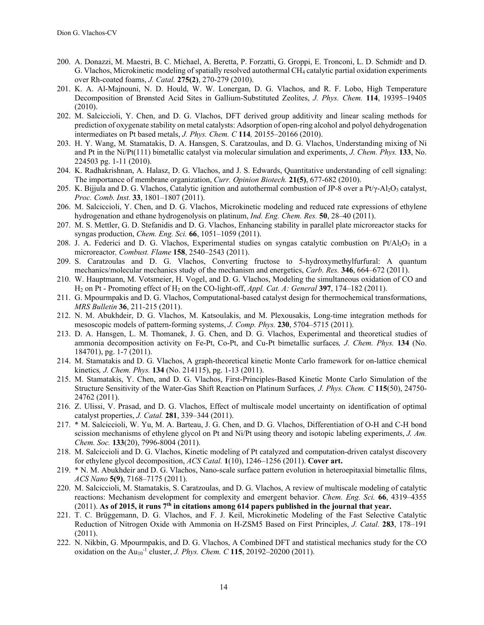- 200. A. Donazzi, M. Maestri, B. C. Michael, A. Beretta, P. Forzatti, G. Groppi, E. Tronconi, L. D. Schmidt<sup>,</sup> and D. G. Vlachos, Microkinetic modeling of spatially resolved autothermal CH4 catalytic partial oxidation experiments over Rh-coated foams, *J. Catal.* **275(2)**, 270-279 (2010).
- 201. K. A. Al-Majnouni, N. D. Hould, W. W. Lonergan, D. G. Vlachos, and R. F. Lobo, High Temperature Decomposition of Brønsted Acid Sites in Gallium-Substituted Zeolites, *J. Phys. Chem.* **114**, 19395–19405 (2010).
- 202. M. Salciccioli, Y. Chen, and D. G. Vlachos, DFT derived group additivity and linear scaling methods for prediction of oxygenate stability on metal catalysts: Adsorption of open-ring alcohol and polyol dehydrogenation intermediates on Pt based metals, *J. Phys. Chem. C* **114***,* 20155–20166 (2010).
- 203. H. Y. Wang, M. Stamatakis, D. A. Hansgen, S. Caratzoulas, and D. G. Vlachos, Understanding mixing of Ni and Pt in the Ni/Pt(111) bimetallic catalyst via molecular simulation and experiments, *J. Chem. Phys.* **133**, No. 224503 pg. 1-11 (2010).
- 204. K. Radhakrishnan, A. Halasz, D. G. Vlachos, and J. S. Edwards, Quantitative understanding of cell signaling: The importance of membrane organization, *Curr. Opinion Biotech.* **21(5)**, 677-682 (2010).
- 205. K. Bijjula and D. G. Vlachos, Catalytic ignition and autothermal combustion of JP-8 over a Pt/ $\gamma$ -Al<sub>2</sub>O<sub>3</sub> catalyst, *Proc. Comb. Inst.* **33**, 1801–1807 (2011).
- 206. M. Salciccioli, Y. Chen, and D. G. Vlachos, Microkinetic modeling and reduced rate expressions of ethylene hydrogenation and ethane hydrogenolysis on platinum, *Ind. Eng. Chem. Res.* **50**, 28–40 (2011).
- 207. M. S. Mettler, G. D. Stefanidis and D. G. Vlachos, Enhancing stability in parallel plate microreactor stacks for syngas production, *Chem. Eng. Sci.* **66**, 1051–1059 (2011).
- 208. J. A. Federici and D. G. Vlachos, Experimental studies on syngas catalytic combustion on Pt/Al<sub>2</sub>O<sub>3</sub> in a microreactor*, Combust. Flame* **158**, 2540–2543 (2011).
- 209. S. Caratzoulas and D. G. Vlachos, Converting fructose to 5-hydroxymethylfurfural: A quantum mechanics/molecular mechanics study of the mechanism and energetics, *Carb. Res.* **346**, 664–672 (2011).
- 210. W. Hauptmann, M. Votsmeier, H. Vogel, and D. G. Vlachos, Modeling the simultaneous oxidation of CO and H2 on Pt - Promoting effect of H2 on the CO-light-off, *Appl. Cat. A: General* **397**, 174–182 (2011).
- 211. G. Mpourmpakis and D. G. Vlachos, Computational-based catalyst design for thermochemical transformations, *MRS Bulletin* **36**, 211-215 (2011).
- 212. N. M. Abukhdeir, D. G. Vlachos, M. Katsoulakis, and M. Plexousakis, Long-time integration methods for mesoscopic models of pattern-forming systems, *J. Comp. Phys.* **230**, 5704–5715 (2011).
- 213. D. A. Hansgen, L. M. Thomanek, J. G. Chen, and D. G. Vlachos, Experimental and theoretical studies of ammonia decomposition activity on Fe-Pt, Co-Pt, and Cu-Pt bimetallic surfaces*, J. Chem. Phys.* **134** (No. 184701), pg. 1-7 (2011).
- 214. M. Stamatakis and D. G. Vlachos, A graph-theoretical kinetic Monte Carlo framework for on-lattice chemical kinetics*, J. Chem. Phys.* **134** (No. 214115), pg. 1-13 (2011).
- 215. M. Stamatakis, Y. Chen, and D. G. Vlachos, First-Principles-Based Kinetic Monte Carlo Simulation of the Structure Sensitivity of the Water-Gas Shift Reaction on Platinum Surfaces*, J. Phys. Chem. C* **115**(50), 24750- 24762 (2011).
- 216. Z. Ulissi, V. Prasad, and D. G. Vlachos, Effect of multiscale model uncertainty on identification of optimal catalyst properties, *J. Catal.* **281**, 339–344 (2011).
- 217. \* M. Salciccioli, W. Yu, M. A. Barteau, J. G. Chen, and D. G. Vlachos, Differentiation of O-H and C-H bond scission mechanisms of ethylene glycol on Pt and Ni/Pt using theory and isotopic labeling experiments, *J. Am. Chem. Soc.* **133**(20), 7996-8004 (2011).
- 218. M. Salciccioli and D. G. Vlachos, Kinetic modeling of Pt catalyzed and computation-driven catalyst discovery for ethylene glycol decomposition, *ACS Catal.* **1**(10), 1246–1256 (2011). **Cover art.**
- 219. \* N. M. Abukhdeir and D. G. Vlachos, Nano-scale surface pattern evolution in heteroepitaxial bimetallic films, *ACS Nano* **5(9)**, 7168–7175 (2011).
- 220. M. Salciccioli, M. Stamatakis, S. Caratzoulas, and D. G. Vlachos, A review of multiscale modeling of catalytic reactions: Mechanism development for complexity and emergent behavior. *Chem. Eng. Sci.* **66**, 4319–4355  $(2011)$ . As of 2015, it runs  $7<sup>th</sup>$  in citations among 614 papers published in the journal that year.
- 221. T. C. Brüggemann, D. G. Vlachos, and F. J. Keil, Microkinetic Modeling of the Fast Selective Catalytic Reduction of Nitrogen Oxide with Ammonia on H-ZSM5 Based on First Principles, *J. Catal.* **283**, 178–191 (2011).
- 222. N. Nikbin, G. Mpourmpakis, and D. G. Vlachos, A Combined DFT and statistical mechanics study for the CO oxidation on the Au<sub>10</sub><sup>-1</sup> cluster, *J. Phys. Chem. C* **115**, 20192–20200 (2011).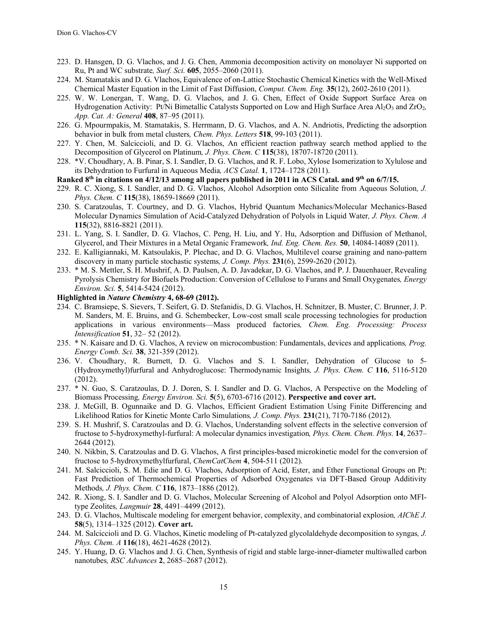- 223. D. Hansgen, D. G. Vlachos, and J. G. Chen, Ammonia decomposition activity on monolayer Ni supported on Ru, Pt and WC substrate*, Surf. Sci.* **605**, 2055–2060 (2011).
- 224. M. Stamatakis and D. G. Vlachos, Equivalence of on-Lattice Stochastic Chemical Kinetics with the Well-Mixed Chemical Master Equation in the Limit of Fast Diffusion, *Comput. Chem. Eng.* **35**(12), 2602-2610 (2011).
- 225. W. W. Lonergan, T. Wang, D. G. Vlachos, and J. G. Chen, Effect of Oxide Support Surface Area on Hydrogenation Activity: Pt/Ni Bimetallic Catalysts Supported on Low and High Surface Area Al<sub>2</sub>O<sub>3</sub> and ZrO<sub>2</sub>, *App. Cat. A: General* **408**, 87–95 (2011).
- 226. G. Mpourmpakis, M. Stamatakis, S. Herrmann, D. G. Vlachos, and A. N. Andriotis, Predicting the adsorption behavior in bulk from metal clusters*, Chem. Phys. Letters* **518**, 99-103 (2011).
- 227. Y. Chen, M. Salciccioli, and D. G. Vlachos, An efficient reaction pathway search method applied to the Decomposition of Glycerol on Platinum*, J. Phys. Chem. C* **115**(38), 18707-18720 (2011).
- 228. \*V. Choudhary, A. B. Pinar, S. I. Sandler, D. G. Vlachos, and R. F. Lobo, Xylose Isomerization to Xylulose and its Dehydration to Furfural in Aqueous Media*, ACS Catal.* **1**, 1724–1728 (2011).
- **Ranked 8th in citations on 4/12/13 among all papers published in 2011 in ACS Catal. and 9th on 6/7/15.**
- 229. R. C. Xiong, S. I. Sandler, and D. G. Vlachos, Alcohol Adsorption onto Silicalite from Aqueous Solution*, J. Phys. Chem. C* **115**(38), 18659-18669 (2011).
- 230. S. Caratzoulas, T. Courtney, and D. G. Vlachos, Hybrid Quantum Mechanics/Molecular Mechanics-Based Molecular Dynamics Simulation of Acid-Catalyzed Dehydration of Polyols in Liquid Water*, J. Phys. Chem. A* **115**(32), 8816-8821 (2011).
- 231. L. Yang, S. I. Sandler, D. G. Vlachos, C. Peng, H. Liu, and Y. Hu, Adsorption and Diffusion of Methanol, Glycerol, and Their Mixtures in a Metal Organic Framework*, Ind. Eng. Chem. Res.* **50**, 14084-14089 (2011).
- 232. E. Kalligiannaki, M. Katsoulakis, P. Plechac, and D. G. Vlachos, Multilevel coarse graining and nano-pattern discovery in many particle stochastic systems*, J. Comp. Phys.* **231**(6), 2599-2620 (2012).
- 233. \* M. S. Mettler, S. H. Mushrif, A. D. Paulsen, A. D. Javadekar, D. G. Vlachos, and P. J. Dauenhauer, Revealing Pyrolysis Chemistry for Biofuels Production: Conversion of Cellulose to Furans and Small Oxygenates*, Energy Environ. Sci.* **5**, 5414-5424 (2012).
- **Highlighted in** *Nature Chemistry* **4, 68-69 (2012).**
- 234. C. Bramsiepe, S. Sievers, T. Seifert, G. D. Stefanidis, D. G. Vlachos, H. Schnitzer, B. Muster, C. Brunner, J. P. M. Sanders, M. E. Bruins, and G. Schembecker, Low-cost small scale processing technologies for production applications in various environments—Mass produced factories*, Chem. Eng. Processing: Process Intensification* **51**, 32– 52 (2012).
- 235. \* N. Kaisare and D. G. Vlachos, A review on microcombustion: Fundamentals, devices and applications*, Prog. Energy Comb. Sci.* **38**, 321-359 (2012).
- 236. V. Choudhary, R. Burnett, D. G. Vlachos and S. I. Sandler, Dehydration of Glucose to 5- (Hydroxymethyl)furfural and Anhydroglucose: Thermodynamic Insights*, J. Phys. Chem. C* **116**, 5116-5120 (2012).
- 237. \* N. Guo, S. Caratzoulas, D. J. Doren, S. I. Sandler and D. G. Vlachos, A Perspective on the Modeling of Biomass Processing*, Energy Environ. Sci.* **5**(5), 6703-6716 (2012). **Perspective and cover art.**
- 238. J. McGill, B. Ogunnaike and D. G. Vlachos, Efficient Gradient Estimation Using Finite Differencing and Likelihood Ratios for Kinetic Monte Carlo Simulations*, J. Comp. Phys.* **231**(21), 7170-7186 (2012).
- 239. S. H. Mushrif, S. Caratzoulas and D. G. Vlachos, Understanding solvent effects in the selective conversion of fructose to 5-hydroxymethyl-furfural: A molecular dynamics investigation*, Phys. Chem. Chem. Phys.* **14**, 2637– 2644 (2012).
- 240. N. Nikbin, S. Caratzoulas and D. G. Vlachos, A first principles-based microkinetic model for the conversion of fructose to 5-hydroxymethylfurfural, *ChemCatChem* **4**, 504-511 (2012).
- 241. M. Salciccioli, S. M. Edie and D. G. Vlachos, Adsorption of Acid, Ester, and Ether Functional Groups on Pt: Fast Prediction of Thermochemical Properties of Adsorbed Oxygenates via DFT-Based Group Additivity Methods*, J. Phys. Chem. C* **116**, 1873–1886 (2012).
- 242. R. Xiong, S. I. Sandler and D. G. Vlachos, Molecular Screening of Alcohol and Polyol Adsorption onto MFItype Zeolites*, Langmuir* **28**, 4491–4499 (2012).
- 243. D. G. Vlachos, Multiscale modeling for emergent behavior, complexity, and combinatorial explosion*, AIChE J.* **58**(5), 1314–1325 (2012). **Cover art.**
- 244. M. Salciccioli and D. G. Vlachos, Kinetic modeling of Pt-catalyzed glycolaldehyde decomposition to syngas*, J. Phys. Chem. A* **116**(18), 4621-4628 (2012).
- 245. Y. Huang, D. G. Vlachos and J. G. Chen, Synthesis of rigid and stable large-inner-diameter multiwalled carbon nanotubes*, RSC Advances* **2**, 2685–2687 (2012).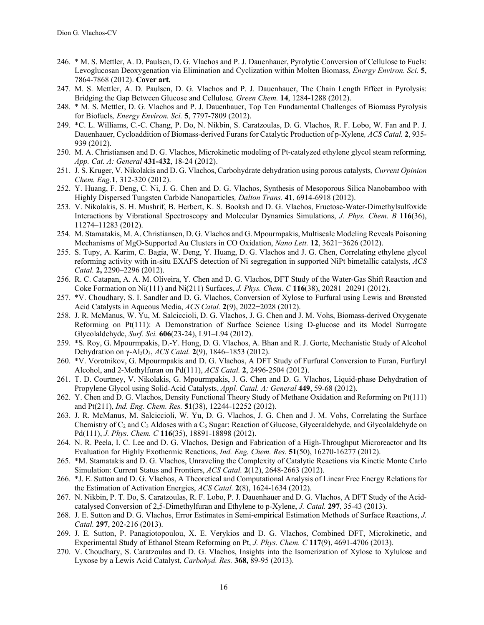- 246. \* M. S. Mettler, A. D. Paulsen, D. G. Vlachos and P. J. Dauenhauer, Pyrolytic Conversion of Cellulose to Fuels: Levoglucosan Deoxygenation via Elimination and Cyclization within Molten Biomass*, Energy Environ. Sci.* **5**, 7864-7868 (2012). **Cover art.**
- 247. M. S. Mettler, A. D. Paulsen, D. G. Vlachos and P. J. Dauenhauer, The Chain Length Effect in Pyrolysis: Bridging the Gap Between Glucose and Cellulose*, Green Chem.* **14**, 1284-1288 (2012).
- 248. \* M. S. Mettler, D. G. Vlachos and P. J. Dauenhauer, Top Ten Fundamental Challenges of Biomass Pyrolysis for Biofuels*, Energy Environ. Sci.* **5**, 7797-7809 (2012).
- 249. \*C. L. Williams, C.-C. Chang, P. Do, N. Nikbin, S. Caratzoulas, D. G. Vlachos, R. F. Lobo, W. Fan and P. J. Dauenhauer, Cycloaddition of Biomass-derived Furans for Catalytic Production of p-Xylene*, ACS Catal.* **2**, 935- 939 (2012).
- 250. M. A. Christiansen and D. G. Vlachos, Microkinetic modeling of Pt-catalyzed ethylene glycol steam reforming*, App. Cat. A: General* **431-432**, 18-24 (2012).
- 251. J. S. Kruger, V. Nikolakis and D. G. Vlachos, Carbohydrate dehydration using porous catalysts*, Current Opinion Chem. Eng.***1**, 312-320 (2012).
- 252. Y. Huang, F. Deng, C. Ni, J. G. Chen and D. G. Vlachos, Synthesis of Mesoporous Silica Nanobamboo with Highly Dispersed Tungsten Carbide Nanoparticles*, Dalton Trans.* **41**, 6914-6918 (2012).
- 253. V. Nikolakis, S. H. Mushrif, B. Herbert, K. S. Booksh and D. G. Vlachos, Fructose-Water-Dimethylsulfoxide Interactions by Vibrational Spectroscopy and Molecular Dynamics Simulations, *J. Phys. Chem. B* **116**(36), 11274–11283 (2012).
- 254. M. Stamatakis, M. A. Christiansen, D. G. Vlachos and G. Mpourmpakis, Multiscale Modeling Reveals Poisoning Mechanisms of MgO-Supported Au Clusters in CO Oxidation, *Nano Lett.* **12**, 3621−3626 (2012).
- 255. S. Tupy, A. Karim, C. Bagia, W. Deng, Y. Huang, D. G. Vlachos and J. G. Chen, Correlating ethylene glycol reforming activity with in-situ EXAFS detection of Ni segregation in supported NiPt bimetallic catalysts, *ACS Catal.* **2,** 2290–2296 (2012).
- 256. R. C. Catapan, A. A. M. Oliveira, Y. Chen and D. G. Vlachos, DFT Study of the Water-Gas Shift Reaction and Coke Formation on Ni(111) and Ni(211) Surfaces, *J. Phys. Chem. C* **116**(38), 20281–20291 (2012).
- 257. \*V. Choudhary, S. I. Sandler and D. G. Vlachos, Conversion of Xylose to Furfural using Lewis and Brønsted Acid Catalysts in Aqueous Media, *ACS Catal.* **2**(9), 2022−2028 (2012).
- 258. J. R. McManus, W. Yu, M. Salciccioli, D. G. Vlachos, J. G. Chen and J. M. Vohs, Biomass-derived Oxygenate Reforming on Pt(111): A Demonstration of Surface Science Using D-glucose and its Model Surrogate Glycolaldehyde, *Surf. Sci.* **606**(23-24), L91–L94 (2012).
- 259. \*S. Roy, G. Mpourmpakis, D.-Y. Hong, D. G. Vlachos, A. Bhan and R. J. Gorte, Mechanistic Study of Alcohol Dehydration on γ-Al2O3, *ACS Catal.* **2**(9), 1846–1853 (2012).
- 260. \*V. Vorotnikov, G. Mpourmpakis and D. G. Vlachos, A DFT Study of Furfural Conversion to Furan, Furfuryl Alcohol, and 2-Methylfuran on Pd(111), *ACS Catal.* **2**, 2496-2504 (2012).
- 261. T. D. Courtney, V. Nikolakis, G. Mpourmpakis, J. G. Chen and D. G. Vlachos, Liquid-phase Dehydration of Propylene Glycol using Solid-Acid Catalysts, *Appl. Catal. A: General* **449**, 59-68 (2012).
- 262. Y. Chen and D. G. Vlachos, Density Functional Theory Study of Methane Oxidation and Reforming on Pt(111) and Pt(211), *Ind. Eng. Chem. Res.* **51**(38), 12244-12252 (2012).
- 263. J. R. McManus, M. Salciccioli, W. Yu, D. G. Vlachos, J. G. Chen and J. M. Vohs, Correlating the Surface Chemistry of  $C_2$  and  $C_3$  Aldoses with a  $C_6$  Sugar: Reaction of Glucose, Glyceraldehyde, and Glycolaldehyde on Pd(111), *J. Phys. Chem. C* **116**(35), 18891-18898 (2012).
- 264. N. R. Peela, I. C. Lee and D. G. Vlachos, Design and Fabrication of a High-Throughput Microreactor and Its Evaluation for Highly Exothermic Reactions, *Ind. Eng. Chem. Res.* **51**(50), 16270-16277 (2012).
- 265. \*M. Stamatakis and D. G. Vlachos, Unraveling the Complexity of Catalytic Reactions via Kinetic Monte Carlo Simulation: Current Status and Frontiers, *ACS Catal.* **2**(12), 2648-2663 (2012).
- 266. \*J. E. Sutton and D. G. Vlachos, A Theoretical and Computational Analysis of Linear Free Energy Relations for the Estimation of Activation Energies, *ACS Catal.* **2**(8), 1624-1634 (2012).
- 267. N. Nikbin, P. T. Do, S. Caratzoulas, R. F. Lobo, P. J. Dauenhauer and D. G. Vlachos, A DFT Study of the Acidcatalysed Conversion of 2,5-Dimethylfuran and Ethylene to p-Xylene, *J. Catal.* **297**, 35-43 (2013).
- 268. J. E. Sutton and D. G. Vlachos, Error Estimates in Semi-empirical Estimation Methods of Surface Reactions, *J. Catal.* **297**, 202-216 (2013).
- 269. J. E. Sutton, P. Panagiotopoulou, X. E. Verykios and D. G. Vlachos, Combined DFT, Microkinetic, and Experimental Study of Ethanol Steam Reforming on Pt, *J. Phys. Chem. C* **117**(9), 4691-4706 (2013).
- 270. V. Choudhary, S. Caratzoulas and D. G. Vlachos, Insights into the Isomerization of Xylose to Xylulose and Lyxose by a Lewis Acid Catalyst, *Carbohyd. Res.* **368,** 89-95 (2013).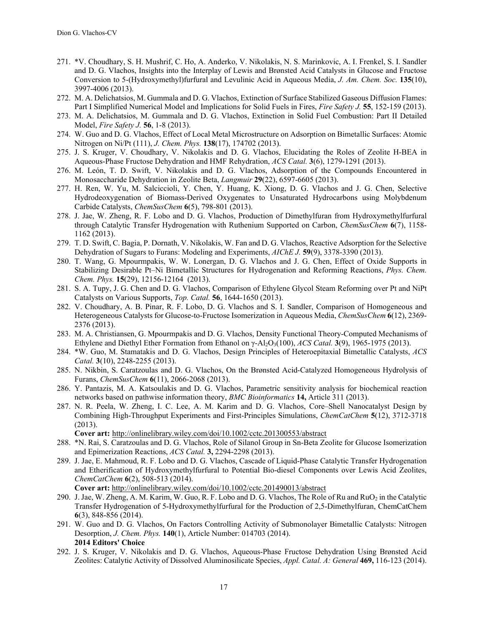- 271. \*V. Choudhary, S. H. Mushrif, C. Ho, A. Anderko, V. Nikolakis, N. S. Marinkovic, A. I. Frenkel, S. I. Sandler and D. G. Vlachos, Insights into the Interplay of Lewis and Brønsted Acid Catalysts in Glucose and Fructose Conversion to 5-(Hydroxymethyl)furfural and Levulinic Acid in Aqueous Media, *J. Am. Chem. Soc.* **135**(10), 3997-4006 (2013).
- 272. M. A. Delichatsios, M. Gummala and D. G. Vlachos, Extinction of Surface Stabilized Gaseous Diffusion Flames: Part I Simplified Numerical Model and Implications for Solid Fuels in Fires, *Fire Safety J.* **55**, 152-159 (2013).
- 273. M. A. Delichatsios, M. Gummala and D. G. Vlachos, Extinction in Solid Fuel Combustion: Part II Detailed Model, *Fire Safety J.* **56**, 1-8 (2013).
- 274. W. Guo and D. G. Vlachos, Effect of Local Metal Microstructure on Adsorption on Bimetallic Surfaces: Atomic Nitrogen on Ni/Pt (111), *J. Chem. Phys.* **138**(17), 174702 (2013).
- 275. J. S. Kruger, V. Choudhary, V. Nikolakis and D. G. Vlachos, Elucidating the Roles of Zeolite H-BEA in Aqueous-Phase Fructose Dehydration and HMF Rehydration, *ACS Catal.* **3**(6), 1279-1291 (2013).
- 276. M. León, T. D. Swift, V. Nikolakis and D. G. Vlachos, Adsorption of the Compounds Encountered in Monosaccharide Dehydration in Zeolite Beta, *Langmuir* **29**(22), 6597-6605 (2013).
- 277. H. Ren, W. Yu, M. Salciccioli, Y. Chen, Y. Huang, K. Xiong, D. G. Vlachos and J. G. Chen, Selective Hydrodeoxygenation of Biomass-Derived Oxygenates to Unsaturated Hydrocarbons using Molybdenum Carbide Catalysts, *ChemSusChem* **6**(5), 798-801 (2013).
- 278. J. Jae, W. Zheng, R. F. Lobo and D. G. Vlachos, Production of Dimethylfuran from Hydroxymethylfurfural through Catalytic Transfer Hydrogenation with Ruthenium Supported on Carbon, *ChemSusChem* **6**(7), 1158- 1162 (2013).
- 279. T. D. Swift, C. Bagia, P. Dornath, V. Nikolakis, W. Fan and D. G. Vlachos, Reactive Adsorption for the Selective Dehydration of Sugars to Furans: Modeling and Experiments, *AIChE J.* **59**(9), 3378-3390 (2013).
- 280. T. Wang, G. Mpourmpakis, W. W. Lonergan, D. G. Vlachos and J. G. Chen, Effect of Oxide Supports in Stabilizing Desirable Pt–Ni Bimetallic Structures for Hydrogenation and Reforming Reactions, *Phys. Chem. Chem. Phys.* **15**(29), 12156-12164 (2013).
- 281. S. A. Tupy, J. G. Chen and D. G. Vlachos, Comparison of Ethylene Glycol Steam Reforming over Pt and NiPt Catalysts on Various Supports, *Top. Catal.* **56**, 1644-1650 (2013).
- 282. V. Choudhary, A. B. Pinar, R. F. Lobo, D. G. Vlachos and S. I. Sandler, Comparison of Homogeneous and Heterogeneous Catalysts for Glucose-to-Fructose Isomerization in Aqueous Media, *ChemSusChem* **6**(12), 2369- 2376 (2013).
- 283. M. A. Christiansen, G. Mpourmpakis and D. G. Vlachos, Density Functional Theory-Computed Mechanisms of Ethylene and Diethyl Ether Formation from Ethanol on γ-Al2O3(100), *ACS Catal.* **3**(9), 1965-1975 (2013).
- 284. \*W. Guo, M. Stamatakis and D. G. Vlachos, Design Principles of Heteroepitaxial Bimetallic Catalysts, *ACS Catal.* **3**(10), 2248-2255 (2013).
- 285. N. Nikbin, S. Caratzoulas and D. G. Vlachos, On the Brønsted Acid-Catalyzed Homogeneous Hydrolysis of Furans, *ChemSusChem* **6**(11), 2066-2068 (2013).
- 286. Y. Pantazis, M. A. Katsoulakis and D. G. Vlachos, Parametric sensitivity analysis for biochemical reaction networks based on pathwise information theory, *BMC Bioinformatics* **14,** Article 311 (2013).
- 287. N. R. Peela, W. Zheng, I. C. Lee, A. M. Karim and D. G. Vlachos, Core–Shell Nanocatalyst Design by Combining High-Throughput Experiments and First-Principles Simulations, *ChemCatChem* **5**(12), 3712-3718 (2013).

**Cover art:** http://onlinelibrary.wiley.com/doi/10.1002/cctc.201300553/abstract

- 288. \*N. Rai, S. Caratzoulas and D. G. Vlachos, Role of Silanol Group in Sn-Beta Zeolite for Glucose Isomerization and Epimerization Reactions, *ACS Catal.* **3,** 2294-2298 (2013).
- 289. J. Jae, E. Mahmoud, R. F. Lobo and D. G. Vlachos, Cascade of Liquid-Phase Catalytic Transfer Hydrogenation and Etherification of Hydroxymethylfurfural to Potential Bio-diesel Components over Lewis Acid Zeolites, *ChemCatChem* **6**(2), 508-513 (2014).

**Cover art:** http://onlinelibrary.wiley.com/doi/10.1002/cctc.201490013/abstract

- 290. J. Jae, W. Zheng, A. M. Karim, W. Guo, R. F. Lobo and D. G. Vlachos, The Role of Ru and RuO<sub>2</sub> in the Catalytic Transfer Hydrogenation of 5-Hydroxymethylfurfural for the Production of 2,5-Dimethylfuran, ChemCatChem **6**(3), 848-856 (2014).
- 291. W. Guo and D. G. Vlachos, On Factors Controlling Activity of Submonolayer Bimetallic Catalysts: Nitrogen Desorption, *J. Chem. Phys.* **140**(1), Article Number: 014703 (2014). **2014 Editors' Choice**
- 292. J. S. Kruger, V. Nikolakis and D. G. Vlachos, Aqueous-Phase Fructose Dehydration Using Brønsted Acid Zeolites: Catalytic Activity of Dissolved Aluminosilicate Species, *Appl. Catal. A: General* **469,** 116-123 (2014).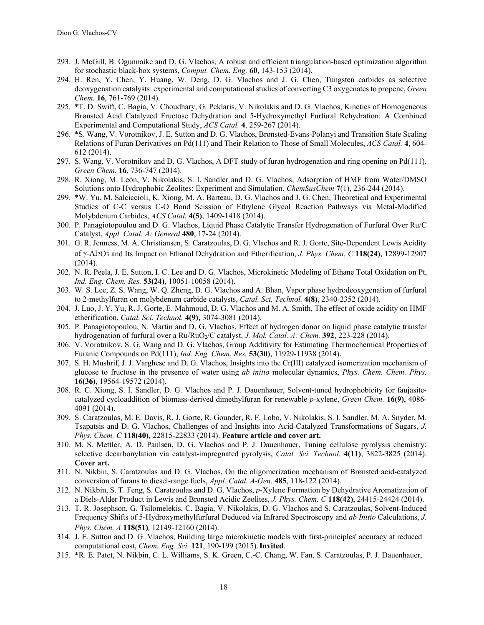- 293. J. McGill, B. Ogunnaike and D. G. Vlachos, A robust and efficient triangulation-based optimization algorithm for stochastic black-box systems, *Comput. Chem. Eng.* **60**, 143-153 (2014).
- 294. H. Ren, Y. Chen, Y. Huang, W. Deng, D. G. Vlachos and J. G. Chen, Tungsten carbides as selective deoxygenation catalysts: experimental and computational studies of converting C3 oxygenates to propene, *Green Chem.* **16**, 761-769 (2014).
- 295. \*T. D. Swift, C. Bagia, V. Choudhary, G. Peklaris, V. Nikolakis and D. G. Vlachos, Kinetics of Homogeneous Brønsted Acid Catalyzed Fructose Dehydration and 5-Hydroxymethyl Furfural Rehydration: A Combined Experimental and Computational Study, *ACS Catal.* **4**, 259-267 (2014).
- 296. \*S. Wang, V. Vorotnikov, J. E. Sutton and D. G. Vlachos, Brønsted-Evans-Polanyi and Transition State Scaling Relations of Furan Derivatives on Pd(111) and Their Relation to Those of Small Molecules, *ACS Catal.* **4**, 604- 612 (2014).
- 297. S. Wang, V. Vorotnikov and D. G. Vlachos, A DFT study of furan hydrogenation and ring opening on Pd(111), *Green Chem.* **16**, 736-747 (2014).
- 298. R. Xiong, M. León, V. Nikolakis, S. I. Sandler and D. G. Vlachos, Adsorption of HMF from Water/DMSO Solutions onto Hydrophobic Zeolites: Experiment and Simulation, *ChemSusChem* **7**(1), 236-244 (2014).
- 299. \*W. Yu, M. Salciccioli, K. Xiong, M. A. Barteau, D. G. Vlachos and J. G. Chen, Theoretical and Experimental Studies of C-C versus C-O Bond Scission of Ethylene Glycol Reaction Pathways via Metal-Modified Molybdenum Carbides, *ACS Catal.* **4(5)**, 1409-1418 (2014).
- 300. P. Panagiotopoulou and D. G. Vlachos, Liquid Phase Catalytic Transfer Hydrogenation of Furfural Over Ru/C Catalyst, *Appl. Catal. A: General* **480**, 17-24 (2014).
- 301. G. R. Jenness, M. A. Christiansen, S. Caratzoulas, D. G. Vlachos and R. J. Gorte, Site-Dependent Lewis Acidity of γ-Al2O3 and Its Impact on Ethanol Dehydration and Etherification, *J. Phys. Chem. C* **118(24)**, 12899-12907 (2014).
- 302. N. R. Peela, J. E. Sutton, I. C. Lee and D. G. Vlachos, Microkinetic Modeling of Ethane Total Oxidation on Pt, *Ind. Eng. Chem. Res.* **53(24)**, 10051-10058 (2014).
- 303. W. S. Lee, Z. S. Wang, W. Q. Zheng, D. G. Vlachos and A. Bhan, Vapor phase hydrodeoxygenation of furfural to 2-methylfuran on molybdenum carbide catalysts, *Catal. Sci. Technol.* **4(8)**, 2340-2352 (2014).
- 304. J. Luo, J. Y. Yu, R. J. Gorte, E. Mahmoud, D. G. Vlachos and M. A. Smith, The effect of oxide acidity on HMF etherification, *Catal. Sci. Technol.* **4(9)**, 3074-3081 (2014).
- 305. P. Panagiotopoulou, N. Martin and D. G. Vlachos, Effect of hydrogen donor on liquid phase catalytic transfer hydrogenation of furfural over a Ru/RuO2/C catalyst, *J. Mol. Catal. A: Chem.* **392**, 223-228 (2014).
- 306. V. Vorotnikov, S. G. Wang and D. G. Vlachos, Group Additivity for Estimating Thermochemical Properties of Furanic Compounds on Pd(111), *Ind. Eng. Chem. Res.* **53(30)**, 11929-11938 (2014).
- 307. S. H. Mushrif, J. J. Varghese and D. G. Vlachos, Insights into the Cr(III) catalyzed isomerization mechanism of glucose to fructose in the presence of water using *ab initio* molecular dynamics, *Phys. Chem. Chem. Phys.* **16(36)**, 19564-19572 (2014).
- 308. R. C. Xiong, S. I. Sandler, D. G. Vlachos and P. J. Dauenhauer, Solvent-tuned hydrophobicity for faujasitecatalyzed cycloaddition of biomass-derived dimethylfuran for renewable *p*-xylene, *Green Chem.* **16(9)**, 4086- 4091 (2014).
- 309. S. Caratzoulas, M. E. Davis, R. J. Gorte, R. Gounder, R. F. Lobo, V. Nikolakis, S. I. Sandler, M. A. Snyder, M. Tsapatsis and D. G. Vlachos, Challenges of and Insights into Acid-Catalyzed Transformations of Sugars, *J. Phys. Chem. C* **118(40)**, 22815-22833 (2014). **Feature article and cover art.**
- 310. M. S. Mettler, A. D. Paulsen, D. G. Vlachos and P. J. Dauenhauer, Tuning cellulose pyrolysis chemistry: selective decarbonylation via catalyst-impregnated pyrolysis, *Catal. Sci. Technol.* **4(11)**, 3822-3825 (2014). **Cover art.**
- 311. N. Nikbin, S. Caratzoulas and D. G. Vlachos, On the oligomerization mechanism of Brønsted acid-catalyzed conversion of furans to diesel-range fuels, *Appl. Catal. A-Gen.* **485**, 118-122 (2014).
- 312. N. Nikbin, S. T. Feng, S. Caratzoulas and D. G. Vlachos, *p*-Xylene Formation by Dehydrative Aromatization of a Diels-Alder Product in Lewis and Bronsted Acidic Zeolites, *J. Phys. Chem. C* **118(42)**, 24415-24424 (2014).
- 313. T. R. Josephson, G. Tsilomelekis, C. Bagia, V. Nikolakis, D. G. Vlachos and S. Caratzoulas, Solvent-Induced Frequency Shifts of 5-Hydroxymethylfurfural Deduced via Infrared Spectroscopy and *ab Initio* Calculations, *J. Phys. Chem. A* **118(51)**, 12149-12160 (2014).
- 314. J. E. Sutton and D. G. Vlachos, Building large microkinetic models with first-principles' accuracy at reduced computational cost, *Chem. Eng. Sci.* **121**, 190-199 (2015). **Invited**.
- 315. \*R. E. Patet, N. Nikbin, C. L. Williams, S. K. Green, C.-C. Chang, W. Fan, S. Caratzoulas, P. J. Dauenhauer,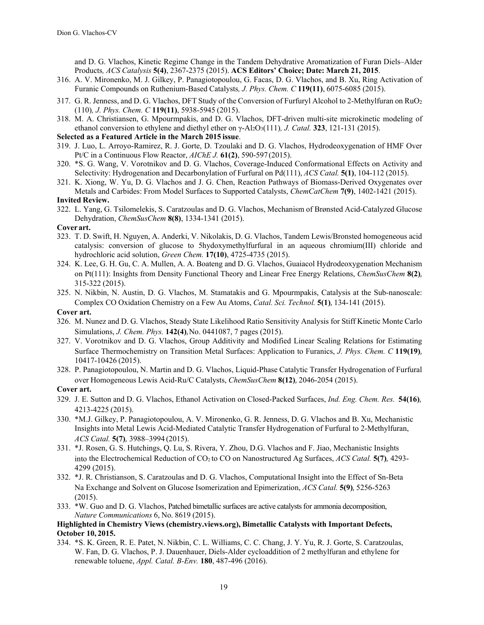and D. G. Vlachos, Kinetic Regime Change in the Tandem Dehydrative Aromatization of Furan Diels–Alder Products*, ACS Catalysis* **5(4)**, 2367-2375 (2015). **ACS Editors' Choice; Date: March 21, 2015**.

- 316. A. V. Mironenko, M. J. Gilkey, P. Panagiotopoulou, G. Facas, D. G. Vlachos, and B. Xu, Ring Activation of Furanic Compounds on Ruthenium-Based Catalysts*, J. Phys. Chem. C* **119(11)**, 6075-6085 (2015).
- 317. G. R. Jenness, and D. G. Vlachos, DFT Study of the Conversion of Furfuryl Alcohol to 2-Methylfuran on RuO2 (110)*, J. Phys. Chem. C* **119(11)**, 5938-5945 (2015).
- 318. M. A. Christiansen, G. Mpourmpakis, and D. G. Vlachos, DFT-driven multi-site microkinetic modeling of ethanol conversion to ethylene and diethyl ether on γ-Al2O3(111)*, J. Catal.* **323**, 121-131 (2015).

#### **Selected as a Featured Article in the March 2015 issue**.

- 319. J. Luo, L. Arroyo-Ramirez, R. J. Gorte, D. Tzoulaki and D. G. Vlachos, Hydrodeoxygenation of HMF Over Pt/C in a Continuous Flow Reactor, *AIChE J.* **61(2)**, 590-597 (2015).
- 320. \*S. G. Wang, V. Vorotnikov and D. G. Vlachos, Coverage-Induced Conformational Effects on Activity and Selectivity: Hydrogenation and Decarbonylation of Furfural on Pd(111), *ACS Catal.* **5(1)**, 104-112 (2015).
- 321. K. Xiong, W. Yu, D. G. Vlachos and J. G. Chen, Reaction Pathways of Biomass-Derived Oxygenates over Metals and Carbides: From Model Surfaces to Supported Catalysts, *ChemCatChem* **7(9)**, 1402-1421 (2015).

## **Invited Review.**

322. L. Yang, G. Tsilomelekis, S. Caratzoulas and D. G. Vlachos, Mechanism of Brønsted Acid-Catalyzed Glucose Dehydration, *ChemSusChem* **8(8)**, 1334-1341 (2015).

#### **Cover art.**

- 323. T. D. Swift, H. Nguyen, A. Anderki, V. Nikolakis, D. G. Vlachos, Tandem Lewis/Bronsted homogeneous acid catalysis: conversion of glucose to 5hydoxymethylfurfural in an aqueous chromium(III) chloride and hydrochloric acid solution, *Green Chem.* **17(10)**, 4725-4735 (2015).
- 324. K. Lee, G. H. Gu, C. A. Mullen, A. A. Boateng and D. G. Vlachos, Guaiacol Hydrodeoxygenation Mechanism on Pt(111): Insights from Density Functional Theory and Linear Free Energy Relations, *ChemSusChem* **8(2)**, 315-322 (2015).
- 325. N. Nikbin, N. Austin, D. G. Vlachos, M. Stamatakis and G. Mpourmpakis, Catalysis at the Sub-nanoscale: Complex CO Oxidation Chemistry on a Few Au Atoms, *Catal. Sci. Technol.* **5(1)**, 134-141 (2015).

#### **Cover art.**

- 326. M. Nunez and D. G. Vlachos, Steady State Likelihood Ratio Sensitivity Analysis for Stiff Kinetic Monte Carlo Simulations, *J. Chem. Phys.* **142(4)**, No. 0441087, 7 pages (2015).
- 327. V. Vorotnikov and D. G. Vlachos, Group Additivity and Modified Linear Scaling Relations for Estimating Surface Thermochemistry on Transition Metal Surfaces: Application to Furanics, *J. Phys. Chem. C* **119(19)**, 10417-10426 (2015).
- 328. P. Panagiotopoulou, N. Martin and D. G. Vlachos, Liquid-Phase Catalytic Transfer Hydrogenation of Furfural over Homogeneous Lewis Acid-Ru/C Catalysts, *ChemSusChem* **8(12)**, 2046-2054 (2015).

## **Cover art.**

- 329. J. E. Sutton and D. G. Vlachos, Ethanol Activation on Closed-Packed Surfaces, *Ind. Eng. Chem. Res.* **54(16)**, 4213-4225 (2015).
- 330. \*M.J. Gilkey, P. Panagiotopoulou, A. V. Mironenko, G. R. Jenness, D. G. Vlachos and B. Xu, Mechanistic Insights into Metal Lewis Acid-Mediated Catalytic Transfer Hydrogenation of Furfural to 2-Methylfuran, *ACS Catal.* **5(7)**, 3988–3994 (2015).
- 331. \*J. Rosen, G. S. Hutchings, Q. Lu, S. Rivera, Y. Zhou, D.G. Vlachos and F. Jiao, Mechanistic Insights into the Electrochemical Reduction of CO2 to CO on Nanostructured Ag Surfaces, *ACS Catal.* **5(7)**, 4293- 4299 (2015).
- 332. \*J. R. Christianson, S. Caratzoulas and D. G. Vlachos, Computational Insight into the Effect of Sn-Beta Na Exchange and Solvent on Glucose Isomerization and Epimerization, *ACS Catal.* **5(9)**, 5256-5263 (2015).
- 333. \*W. Guo and D. G. Vlachos, Patched bimetallic surfaces are active catalysts for ammonia decomposition, *Nature Communications* 6, No. 8619 (2015).

#### **Highlighted in Chemistry Views (chemistry.views.org), Bimetallic Catalysts with Important Defects, October 10, 2015.**

334. \*S. K. Green, R. E. Patet, N. Nikbin, C. L. Williams, C. C. Chang, J. Y. Yu, R. J. Gorte, S. Caratzoulas, W. Fan, D. G. Vlachos, P. J. Dauenhauer, Diels-Alder cycloaddition of 2 methylfuran and ethylene for renewable toluene, *Appl. Catal. B-Env.* **180**, 487-496 (2016).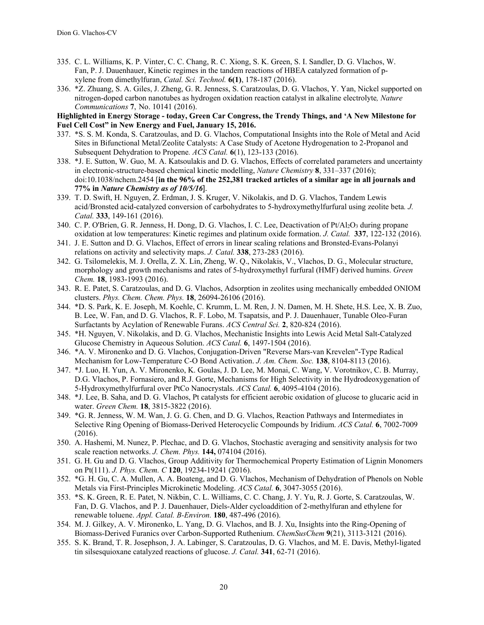- 335. C. L. Williams, K. P. Vinter, C. C. Chang, R. C. Xiong, S. K. Green, S. I. Sandler, D. G. Vlachos, W. Fan, P. J. Dauenhauer, Kinetic regimes in the tandem reactions of HBEA catalyzed formation of pxylene from dimethylfuran, *Catal. Sci. Technol.* **6(1)**, 178-187 (2016).
- 336. \*Z. Zhuang, S. A. Giles, J. Zheng, G. R. Jenness, S. Caratzoulas, D. G. Vlachos, Y. Yan, Nickel supported on nitrogen-doped carbon nanotubes as hydrogen oxidation reaction catalyst in alkaline electrolyte*, Nature Communications* **7**, No. 10141 (2016).

**Highlighted in Energy Storage - today, Green Car Congress, the Trendy Things, and 'A New Milestone for Fuel Cell Cost" in New Energy and Fuel, January 15, 2016.**

- 337. \*S. S. M. Konda, S. Caratzoulas, and D. G. Vlachos, Computational Insights into the Role of Metal and Acid Sites in Bifunctional Metal/Zeolite Catalysts: A Case Study of Acetone Hydrogenation to 2-Propanol and Subsequent Dehydration to Propene*. ACS Catal.* **6**(1), 123-133 (2016).
- 338. \*J. E. Sutton, W. Guo, M. A. Katsoulakis and D. G. Vlachos, Effects of correlated parameters and uncertainty in electronic-structure-based chemical kinetic modelling, *Nature Chemistry* **8**, 331–337 (2016); doi:10.1038/nchem.2454 [**in the 96% of the 252,381 tracked articles of a similar age in all journals and 77% in** *Nature Chemistry as of 10/5/16*].
- 339. T. D. Swift, H. Nguyen, Z. Erdman, J. S. Kruger, V. Nikolakis, and D. G. Vlachos, Tandem Lewis acid/Bronsted acid-catalyzed conversion of carbohydrates to 5-hydroxymethylfurfural using zeolite beta*. J. Catal.* **333**, 149-161 (2016).
- 340. C. P. O'Brien, G. R. Jenness, H. Dong, D. G. Vlachos, I. C. Lee, Deactivation of Pt/Al<sub>2</sub>O<sub>3</sub> during propane oxidation at low temperatures: Kinetic regimes and platinum oxide formation. *J. Catal.* **337**, 122-132 (2016).
- 341. J. E. Sutton and D. G. Vlachos, Effect of errors in linear scaling relations and Bronsted-Evans-Polanyi relations on activity and selectivity maps. *J. Catal.* **338**, 273-283 (2016).
- 342. G. Tsilomelekis, M. J. Orella, Z. X. Lin, Zheng, W. Q., Nikolakis, V., Vlachos, D. G., Molecular structure, morphology and growth mechanisms and rates of 5-hydroxymethyl furfural (HMF) derived humins. *Green Chem.* **18**, 1983-1993 (2016).
- 343. R. E. Patet, S. Caratzoulas, and D. G. Vlachos, Adsorption in zeolites using mechanically embedded ONIOM clusters. *Phys. Chem. Chem. Phys.* **18**, 26094-26106 (2016).
- 344. \*D. S. Park, K. E. Joseph, M. Koehle, C. Krumm, L. M. Ren, J. N. Damen, M. H. Shete, H.S. Lee, X. B. Zuo, B. Lee, W. Fan, and D. G. Vlachos, R. F. Lobo, M. Tsapatsis, and P. J. Dauenhauer, Tunable Oleo-Furan Surfactants by Acylation of Renewable Furans. *ACS Central Sci.* **2**, 820-824 (2016).
- 345. \*H. Nguyen, V. Nikolakis, and D. G. Vlachos, Mechanistic Insights into Lewis Acid Metal Salt-Catalyzed Glucose Chemistry in Aqueous Solution. *ACS Catal.* **6**, 1497-1504 (2016).
- 346. \*A. V. Mironenko and D. G. Vlachos, Conjugation-Driven "Reverse Mars-van Krevelen"-Type Radical Mechanism for Low-Temperature C-O Bond Activation. *J. Am. Chem. Soc.* **138**, 8104-8113 (2016).
- 347. \*J. Luo, H. Yun, A. V. Mironenko, K. Goulas, J. D. Lee, M. Monai, C. Wang, V. Vorotnikov, C. B. Murray, D.G. Vlachos, P. Fornasiero, and R.J. Gorte, Mechanisms for High Selectivity in the Hydrodeoxygenation of 5-Hydroxymethylfurfural over PtCo Nanocrystals. *ACS Catal.* **6**, 4095-4104 (2016).
- 348. \*J. Lee, B. Saha, and D. G. Vlachos, Pt catalysts for efficient aerobic oxidation of glucose to glucaric acid in water. *Green Chem.* **18**, 3815-3822 (2016).
- 349. \*G. R. Jenness, W. M. Wan, J. G. G. Chen, and D. G. Vlachos, Reaction Pathways and Intermediates in Selective Ring Opening of Biomass-Derived Heterocyclic Compounds by Iridium. *ACS Catal.* **6**, 7002-7009 (2016).
- 350. A. Hashemi, M. Nunez, P. Plechac, and D. G. Vlachos, Stochastic averaging and sensitivity analysis for two scale reaction networks. *J. Chem. Phys.* **144,** 074104 (2016).
- 351. G. H. Gu and D. G. Vlachos, Group Additivity for Thermochemical Property Estimation of Lignin Monomers on Pt(111). *J. Phys. Chem. C* **120**, 19234-19241 (2016).
- 352. \*G. H. Gu, C. A. Mullen, A. A. Boateng, and D. G. Vlachos, Mechanism of Dehydration of Phenols on Noble Metals via First-Principles Microkinetic Modeling. *ACS Catal.* **6**, 3047-3055 (2016).
- 353. \*S. K. Green, R. E. Patet, N. Nikbin, C. L. Williams, C. C. Chang, J. Y. Yu, R. J. Gorte, S. Caratzoulas, W. Fan, D. G. Vlachos, and P. J. Dauenhauer, Diels-Alder cycloaddition of 2-methylfuran and ethylene for renewable toluene. *Appl. Catal. B-Environ.* **180**, 487-496 (2016).
- 354. M. J. Gilkey, A. V. Mironenko, L. Yang, D. G. Vlachos, and B. J. Xu, Insights into the Ring-Opening of Biomass-Derived Furanics over Carbon-Supported Ruthenium. *ChemSusChem* **9**(21), 3113-3121 (2016).
- 355. S. K. Brand, T. R. Josephson, J. A. Labinger, S. Caratzoulas, D. G. Vlachos, and M. E. Davis, Methyl-ligated tin silsesquioxane catalyzed reactions of glucose. *J. Catal.* **341**, 62-71 (2016).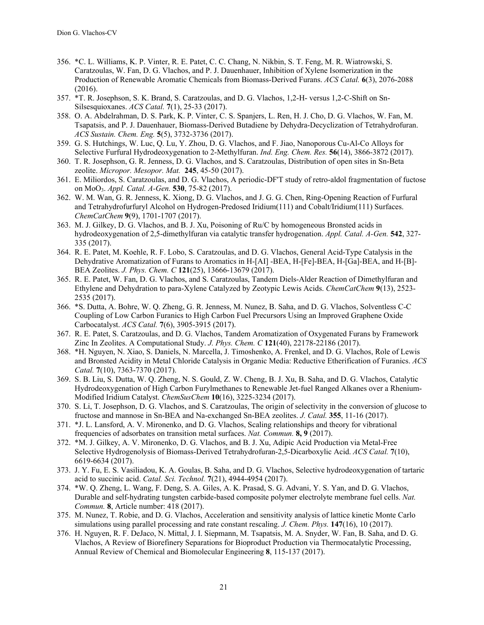- 356. \*C. L. Williams, K. P. Vinter, R. E. Patet, C. C. Chang, N. Nikbin, S. T. Feng, M. R. Wiatrowski, S. Caratzoulas, W. Fan, D. G. Vlachos, and P. J. Dauenhauer, Inhibition of Xylene Isomerization in the Production of Renewable Aromatic Chemicals from Biomass-Derived Furans. *ACS Catal.* **6**(3), 2076-2088 (2016).
- 357. \*T. R. Josephson, S. K. Brand, S. Caratzoulas, and D. G. Vlachos, 1,2-H- versus 1,2-C-Shift on Sn-Silsesquioxanes. *ACS Catal.* **7**(1), 25-33 (2017).
- 358. O. A. Abdelrahman, D. S. Park, K. P. Vinter, C. S. Spanjers, L. Ren, H. J. Cho, D. G. Vlachos, W. Fan, M. Tsapatsis, and P. J. Dauenhauer, Biomass-Derived Butadiene by Dehydra-Decyclization of Tetrahydrofuran. *ACS Sustain. Chem. Eng.* **5**(5), 3732-3736 (2017).
- 359. G. S. Hutchings, W. Luc, Q. Lu, Y. Zhou, D. G. Vlachos, and F. Jiao, Nanoporous Cu-Al-Co Alloys for Selective Furfural Hydrodeoxygenation to 2-Methylfuran. *Ind. Eng. Chem. Res.* **56**(14), 3866-3872 (2017).
- 360. T. R. Josephson, G. R. Jenness, D. G. Vlachos, and S. Caratzoulas, Distribution of open sites in Sn-Beta zeolite. *Micropor. Mesopor. Mat.* **245**, 45-50 (2017).
- 361. E. Miliordos, S. Caratzoulas, and D. G. Vlachos, A periodic-DF'T study of retro-aldol fragmentation of fuctose on MoO3. *Appl. Catal. A-Gen.* **530**, 75-82 (2017).
- 362. W. M. Wan, G. R. Jenness, K. Xiong, D. G. Vlachos, and J. G. G. Chen, Ring-Opening Reaction of Furfural and Tetrahydrofurfuryl Alcohol on Hydrogen-Predosed Iridium(111) and Cobalt/Iridium(111) Surfaces. *ChemCatChem* **9**(9), 1701-1707 (2017).
- 363. M. J. Gilkey, D. G. Vlachos, and B. J. Xu, Poisoning of Ru/C by homogeneous Bronsted acids in hydrodeoxygenation of 2,5-dimethylfuran via catalytic transfer hydrogenation. *Appl. Catal. A-Gen.* **542**, 327- 335 (2017).
- 364. R. E. Patet, M. Koehle, R. F. Lobo, S. Caratzoulas, and D. G. Vlachos, General Acid-Type Catalysis in the Dehydrative Aromatization of Furans to Aromatics in H-[AI] -BEA, H-[Fe]-BEA, H-[Ga]-BEA, and H-[B]- BEA Zeolites. *J. Phys. Chem. C* **121**(25), 13666-13679 (2017).
- 365. R. E. Patet, W. Fan, D. G. Vlachos, and S. Caratzoulas, Tandem Diels-Alder Reaction of Dimethylfuran and Ethylene and Dehydration to para-Xylene Catalyzed by Zeotypic Lewis Acids. *ChemCatChem* **9**(13), 2523- 2535 (2017).
- 366. \*S. Dutta, A. Bohre, W. Q. Zheng, G. R. Jenness, M. Nunez, B. Saha, and D. G. Vlachos, Solventless C-C Coupling of Low Carbon Furanics to High Carbon Fuel Precursors Using an Improved Graphene Oxide Carbocatalyst. *ACS Catal.* **7**(6), 3905-3915 (2017).
- 367. R. E. Patet, S. Caratzoulas, and D. G. Vlachos, Tandem Aromatization of Oxygenated Furans by Framework Zinc In Zeolites. A Computational Study. *J. Phys. Chem. C* **121**(40), 22178-22186 (2017).
- 368. \*H. Nguyen, N. Xiao, S. Daniels, N. Marcella, J. Timoshenko, A. Frenkel, and D. G. Vlachos, Role of Lewis and Bronsted Acidity in Metal Chloride Catalysis in Organic Media: Reductive Etherification of Furanics. *ACS Catal.* **7**(10), 7363-7370 (2017).
- 369. S. B. Liu, S. Dutta, W. Q. Zheng, N. S. Gould, Z. W. Cheng, B. J. Xu, B. Saha, and D. G. Vlachos, Catalytic Hydrodeoxygenation of High Carbon Furylmethanes to Renewable Jet-fuel Ranged Alkanes over a Rhenium-Modified Iridium Catalyst. *ChemSusChem* **10**(16), 3225-3234 (2017).
- 370. S. Li, T. Josephson, D. G. Vlachos, and S. Caratzoulas, The origin of selectivity in the conversion of glucose to fructose and mannose in Sn-BEA and Na-exchanged Sn-BEA zeolites. *J. Catal.* **355**, 11-16 (2017).
- 371. \*J. L. Lansford, A. V. Mironenko, and D. G. Vlachos, Scaling relationships and theory for vibrational frequencies of adsorbates on transition metal surfaces. *Nat. Commun.* **8, 9** (2017).
- 372. \*M. J. Gilkey, A. V. Mironenko, D. G. Vlachos, and B. J. Xu, Adipic Acid Production via Metal-Free Selective Hydrogenolysis of Biomass-Derived Tetrahydrofuran-2,5-Dicarboxylic Acid. *ACS Catal.* **7**(10), 6619-6634 (2017).
- 373. J. Y. Fu, E. S. Vasiliadou, K. A. Goulas, B. Saha, and D. G. Vlachos, Selective hydrodeoxygenation of tartaric acid to succinic acid. *Catal. Sci. Technol.* **7**(21), 4944-4954 (2017).
- 374. \*W. Q. Zheng, L. Wang, F. Deng, S. A. Giles, A. K. Prasad, S. G. Advani, Y. S. Yan, and D. G. Vlachos, Durable and self-hydrating tungsten carbide-based composite polymer electrolyte membrane fuel cells. *Nat. Commun.* **8**, Article number: 418 (2017).
- 375. M. Nunez, T. Robie, and D. G. Vlachos, Acceleration and sensitivity analysis of lattice kinetic Monte Carlo simulations using parallel processing and rate constant rescaling. *J. Chem. Phys.* **147**(16), 10 (2017).
- 376. H. Nguyen, R. F. DeJaco, N. Mittal, J. I. Siepmann, M. Tsapatsis, M. A. Snyder, W. Fan, B. Saha, and D. G. Vlachos, A Review of Biorefinery Separations for Bioproduct Production via Thermocatalytic Processing, Annual Review of Chemical and Biomolecular Engineering **8**, 115-137 (2017).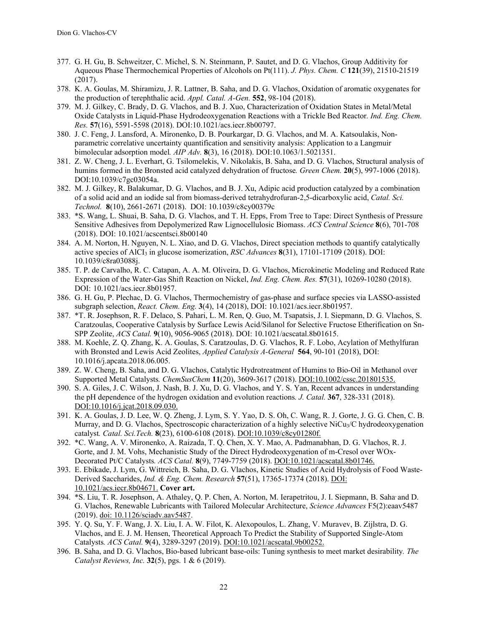- 377. G. H. Gu, B. Schweitzer, C. Michel, S. N. Steinmann, P. Sautet, and D. G. Vlachos, Group Additivity for Aqueous Phase Thermochemical Properties of Alcohols on Pt(111). *J. Phys. Chem. C* **121**(39), 21510-21519 (2017).
- 378. K. A. Goulas, M. Shiramizu, J. R. Lattner, B. Saha, and D. G. Vlachos, Oxidation of aromatic oxygenates for the production of terephthalic acid. *Appl. Catal. A-Gen.* **552**, 98-104 (2018).
- 379. M. J. Gilkey, C. Brady, D. G. Vlachos, and B. J. Xuo, Characterization of Oxidation States in Metal/Metal Oxide Catalysts in Liquid-Phase Hydrodeoxygenation Reactions with a Trickle Bed Reactor*. Ind. Eng. Chem. Res.* **57**(16), 5591-5598 (2018). DOI:10.1021/acs.iecr.8b00797.
- 380. J. C. Feng, J. Lansford, A. Mironenko, D. B. Pourkargar, D. G. Vlachos, and M. A. Katsoulakis, Nonparametric correlative uncertainty quantification and sensitivity analysis: Application to a Langmuir bimolecular adsorption model*. AIP Adv.* **8**(3), 16 (2018). DOI:10.1063/1.5021351.
- 381. Z. W. Cheng, J. L. Everhart, G. Tsilomelekis, V. Nikolakis, B. Saha, and D. G. Vlachos, Structural analysis of humins formed in the Bronsted acid catalyzed dehydration of fructose*. Green Chem.* **20**(5), 997-1006 (2018). DOI:10.1039/c7gc03054a.
- 382. M. J. Gilkey, R. Balakumar, D. G. Vlachos, and B. J. Xu, Adipic acid production catalyzed by a combination of a solid acid and an iodide sal from biomass-derived tetrahydrofuran-2,5-dicarboxylic acid, *Catal. Sci. Technol.* **8**(10), 2661-2671 (2018). DOI: 10.1039/c8cy00379c
- 383. \*S. Wang, L. Shuai, B. Saha, D. G. Vlachos, and T. H. Epps, From Tree to Tape: Direct Synthesis of Pressure Sensitive Adhesives from Depolymerized Raw Lignocellulosic Biomass. *ACS Central Science* **8**(6), 701-708 (2018). DOI: 10.1021/acscentsci.8b00140
- 384. A. M. Norton, H. Nguyen, N. L. Xiao, and D. G. Vlachos, Direct speciation methods to quantify catalytically active species of AlCI3 in glucose isomerization, *RSC Advances* **8**(31), 17101-17109 (2018). DOI: 10.1039/c8ra03088j.
- 385. T. P. de Carvalho, R. C. Catapan, A. A. M. Oliveira, D. G. Vlachos, Microkinetic Modeling and Reduced Rate Expression of the Water-Gas Shift Reaction on Nickel, *Ind. Eng. Chem. Res.* **57**(31), 10269-10280 (2018). DOI: 10.1021/acs.iecr.8b01957.
- 386. G. H. Gu, P. Plechac, D. G. Vlachos, Thermochemistry of gas-phase and surface species via LASSO-assisted subgraph selection, *React. Chem. Eng.* **3**(4), 14 (2018), DOI: 10.1021/acs.iecr.8b01957.
- 387. \*T. R. Josephson, R. F. Delaco, S. Pahari, L. M. Ren, Q. Guo, M. Tsapatsis, J. I. Siepmann, D. G. Vlachos, S. Caratzoulas, Cooperative Catalysis by Surface Lewis Acid/Silanol for Selective Fructose Etherification on Sn-SPP Zeolite, *ACS Catal.* **9**(10), 9056-9065 (2018). DOI: 10.1021/acscatal.8b01615.
- 388. M. Koehle, Z. Q. Zhang, K. A. Goulas, S. Caratzoulas, D. G. Vlachos, R. F. Lobo, Acylation of Methylfuran with Bronsted and Lewis Acid Zeolites, *Applied Catalysis A-General* **564**, 90-101 (2018), DOI: 10.1016/j.apcata.2018.06.005.
- 389. Z. W. Cheng, B. Saha, and D. G. Vlachos, Catalytic Hydrotreatment of Humins to Bio-Oil in Methanol over Supported Metal Catalysts*. ChemSusChem* **11**(20), 3609-3617 (2018). DOI:10.1002/cssc.201801535.
- 390. S. A. Giles, J. C. Wilson, J. Nash, B. J. Xu, D. G. Vlachos, and Y. S. Yan, Recent advances in understanding the pH dependence of the hydrogen oxidation and evolution reactions*. J. Catal.* **367**, 328-331 (2018). DOI:10.1016/j.jcat.2018.09.030.
- 391. K. A. Goulas, J. D. Lee, W. Q. Zheng, J. Lym, S. Y. Yao, D. S. Oh, C. Wang, R. J. Gorte, J. G. G. Chen, C. B. Murray, and D. G. Vlachos, Spectroscopic characterization of a highly selective NiCu<sub>3</sub>/C hydrodeoxygenation catalyst*. Catal. Sci.Tech.* **8**(23), 6100-6108 (2018). DOI:10.1039/c8cy01280f.
- 392. \*C. Wang, A. V. Mironenko, A. Raizada, T. Q. Chen, X. Y. Mao, A. Padmanabhan, D. G. Vlachos, R. J. Gorte, and J. M. Vohs, Mechanistic Study of the Direct Hydrodeoxygenation of m-Cresol over WOx-Decorated Pt/C Catalysts*. ACS Catal.* **8**(9), 7749-7759 (2018). DOI:10.1021/acscatal.8b01746.
- 393. E. Ebikade, J. Lym, G. Wittreich, B. Saha, D. G. Vlachos, Kinetic Studies of Acid Hydrolysis of Food Waste-Derived Saccharides, *Ind. & Eng. Chem. Research* **57**(51), 17365-17374 (2018). DOI: 10.1021/acs.iecr.8b04671. **Cover art.**
- 394. \*S. Liu, T. R. Josephson, A. Athaley, Q. P. Chen, A. Norton, M. Ierapetritou, J. I. Siepmann, B. Saha, and D. G. Vlachos, Renewable Lubricants with Tailored Molecular Architecture, *Science Advances* F5(2):eaav5487 (2019). doi: 10.1126/sciadv.aav5487.
- 395. Y. Q. Su, Y. F. Wang, J. X. Liu, I. A. W. Filot, K. Alexopoulos, L. Zhang, V. Muravev, B. Zijlstra, D. G. Vlachos, and E. J. M. Hensen, Theoretical Approach To Predict the Stability of Supported Single-Atom Catalysts*. ACS Catal.* **9**(4), 3289-3297 (2019). DOI:10.1021/acscatal.9b00252.
- 396. B. Saha, and D. G. Vlachos, Bio-based lubricant base-oils: Tuning synthesis to meet market desirability*. The Catalyst Reviews, Inc.* **32**(5), pgs. 1 & 6 (2019).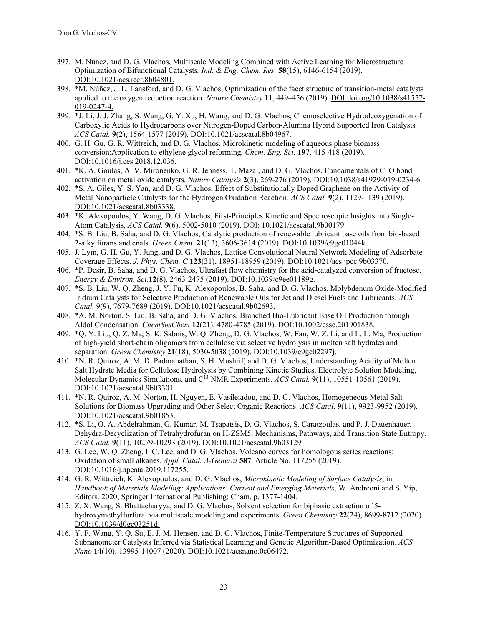- 397. M. Nunez, and D. G. Vlachos, Multiscale Modeling Combined with Active Learning for Microstructure Optimization of Bifunctional Catalysts*. Ind. & Eng. Chem. Res.* **58**(15), 6146-6154 (2019). DOI:10.1021/acs.iecr.8b04801.
- 398. \*M. Núñez, J. L. Lansford, and D. G. Vlachos, Optimization of the facet structure of transition-metal catalysts applied to the oxygen reduction reaction*. Nature Chemistry* **11**, 449–456 (2019). DOI:doi.org/10.1038/s41557- 019-0247-4.
- 399. \*J. Li, J. J. Zhang, S. Wang, G. Y. Xu, H. Wang, and D. G. Vlachos, Chemoselective Hydrodeoxygenation of Carboxylic Acids to Hydrocarbons over Nitrogen-Doped Carbon-Alumina Hybrid Supported Iron Catalysts*. ACS Catal.* **9**(2), 1564-1577 (2019). DOI:10.1021/acscatal.8b04967.
- 400. G. H. Gu, G. R. Wittreich, and D. G. Vlachos, Microkinetic modeling of aqueous phase biomass conversion:Application to ethylene glycol reforming*. Chem. Eng. Sci.* **197**, 415-418 (2019). DOI:10.1016/j.ces.2018.12.036.
- 401. \*K. A. Goulas, A. V. Mironenko, G. R. Jenness, T. Mazal, and D. G. Vlachos, Fundamentals of C–O bond activation on metal oxide catalysts*. Nature Catalysis* **2**(3), 269-276 (2019). DOI:10.1038/s41929-019-0234-6.
- 402. \*S. A. Giles, Y. S. Yan, and D. G. Vlachos, Effect of Substitutionally Doped Graphene on the Activity of Metal Nanoparticle Catalysts for the Hydrogen Oxidation Reaction*. ACS Catal.* **9**(2), 1129-1139 (2019). DOI:10.1021/acscatal.8b03338.
- 403. \*K. Alexopoulos, Y. Wang, D. G. Vlachos, First-Principles Kinetic and Spectroscopic Insights into Single-Atom Catalysis, *ACS Catal.* **9**(6), 5002-5010 (2019). DOI: 10.1021/acscatal.9b00179.
- 404. \*S. B. Liu, B. Saha, and D. G. Vlachos, Catalytic production of renewable lubricant base oils from bio-based 2-alkylfurans and enals. *Green Chem.* **21**(13), 3606-3614 (2019). DOI:10.1039/c9gc01044k.
- 405. J. Lym, G. H. Gu, Y. Jung, and D. G. Vlachos, Lattice Convolutional Neural Network Modeling of Adsorbate Coverage Effects. *J. Phys. Chem. C* **123**(31), 18951-18959 (2019). DOI:10.1021/acs.jpcc.9b03370.
- 406. \*P. Desir, B. Saha, and D. G. Vlachos, Ultrafast flow chemistry for the acid-catalyzed conversion of fructose. *Energy & Environ. Sci.***12**(8), 2463-2475 (2019). DOI:10.1039/c9ee01189g.
- 407. \*S. B. Liu, W. Q. Zheng, J. Y. Fu, K. Alexopoulos, B. Saha, and D. G. Vlachos, Molybdenum Oxide-Modified Iridium Catalysts for Selective Production of Renewable Oils for Jet and Diesel Fuels and Lubricants. *ACS Catal.* 9(9), 7679-7689 (2019). DOI:10.1021/acscatal.9b02693.
- 408. \*A. M. Norton, S. Liu, B. Saha, and D. G. Vlachos, Branched Bio-Lubricant Base Oil Production through Aldol Condensation. *ChemSusChem* **12**(21), 4780-4785 (2019). DOI:10.1002/cssc.201901838.
- 409. \*Q. Y. Liu, Q. Z. Ma, S. K. Sabnis, W. Q. Zheng, D. G. Vlachos, W. Fan, W. Z. Li, and L. L. Ma, Production of high-yield short-chain oligomers from cellulose via selective hydrolysis in molten salt hydrates and separation. *Green Chemistry* **21**(18), 5030-5038 (2019). DOI:10.1039/c9gc02297j.
- 410. \*N. R. Quiroz, A. M. D. Padmanathan, S. H. Mushrif, and D. G. Vlachos, Understanding Acidity of Molten Salt Hydrate Media for Cellulose Hydrolysis by Combining Kinetic Studies, Electrolyte Solution Modeling, Molecular Dynamics Simulations, and C<sup>13</sup> NMR Experiments. *ACS Catal.* **9**(11), 10551-10561 (2019). DOI:10.1021/acscatal.9b03301.
- 411. \*N. R. Quiroz, A. M. Norton, H. Nguyen, E. Vasileiadou, and D. G. Vlachos, Homogeneous Metal Salt Solutions for Biomass Upgrading and Other Select Organic Reactions. *ACS Catal*. **9**(11), 9923-9952 (2019). DOI:10.1021/acscatal.9b01853.
- 412. \*S. Li, O. A. Abdelrahman, G. Kumar, M. Tsapatsis, D. G. Vlachos, S. Caratzoulas, and P. J. Dauenhauer, Dehydra-Decyclization of Tetrahydrofuran on H-ZSM5: Mechanisms, Pathways, and Transition State Entropy. *ACS Catal.* **9**(11), 10279-10293 (2019). DOI:10.1021/acscatal.9b03129.
- 413. G. Lee, W. Q. Zheng, I. C. Lee, and D. G. Vlachos, Volcano curves for homologous series reactions: Oxidation of small alkanes. *Appl. Catal. A-General* **587**, Article No. 117255 (2019). DOI:10.1016/j.apcata.2019.117255.
- 414. G. R. Wittreich, K. Alexopoulos, and D. G. Vlachos, *Microkinetic Modeling of Surface Catalysis*, in *Handbook of Materials Modeling: Applications: Current and Emerging Materials*, W. Andreoni and S. Yip, Editors. 2020, Springer International Publishing: Cham. p. 1377-1404.
- 415. Z. X. Wang, S. Bhattacharyya, and D. G. Vlachos, Solvent selection for biphasic extraction of 5 hydroxymethylfurfural via multiscale modeling and experiments*. Green Chemistry* **22**(24), 8699-8712 (2020). DOI:10.1039/d0gc03251d.
- 416. Y. F. Wang, Y. Q. Su, E. J. M. Hensen, and D. G. Vlachos, Finite-Temperature Structures of Supported Subnanometer Catalysts Inferred via Statistical Learning and Genetic Algorithm-Based Optimization*. ACS Nano* **14**(10), 13995-14007 (2020). DOI:10.1021/acsnano.0c06472.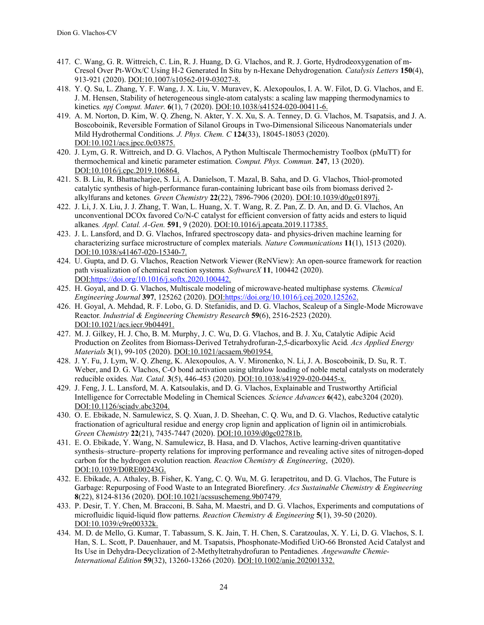- 417. C. Wang, G. R. Wittreich, C. Lin, R. J. Huang, D. G. Vlachos, and R. J. Gorte, Hydrodeoxygenation of m-Cresol Over Pt-WOx/C Using H-2 Generated In Situ by n-Hexane Dehydrogenation*. Catalysis Letters* **150**(4), 913-921 (2020). DOI:10.1007/s10562-019-03027-8.
- 418. Y. Q. Su, L. Zhang, Y. F. Wang, J. X. Liu, V. Muravev, K. Alexopoulos, I. A. W. Filot, D. G. Vlachos, and E. J. M. Hensen, Stability of heterogeneous single-atom catalysts: a scaling law mapping thermodynamics to kinetics*. npj Comput. Mater.* **6**(1), 7 (2020). DOI:10.1038/s41524-020-00411-6.
- 419. A. M. Norton, D. Kim, W. Q. Zheng, N. Akter, Y. X. Xu, S. A. Tenney, D. G. Vlachos, M. Tsapatsis, and J. A. Boscoboinik, Reversible Formation of Silanol Groups in Two-Dimensional Siliceous Nanomaterials under Mild Hydrothermal Conditions*. J. Phys. Chem. C* **124**(33), 18045-18053 (2020). DOI:10.1021/acs.jpcc.0c03875.
- 420. J. Lym, G. R. Wittreich, and D. G. Vlachos, A Python Multiscale Thermochemistry Toolbox (pMuTT) for thermochemical and kinetic parameter estimation*. Comput. Phys. Commun.* **247**, 13 (2020). DOI:10.1016/j.cpc.2019.106864.
- 421. S. B. Liu, R. Bhattacharjee, S. Li, A. Danielson, T. Mazal, B. Saha, and D. G. Vlachos, Thiol-promoted catalytic synthesis of high-performance furan-containing lubricant base oils from biomass derived 2 alkylfurans and ketones*. Green Chemistry* **22**(22), 7896-7906 (2020). DOI:10.1039/d0gc01897j.
- 422. J. Li, J. X. Liu, J. J. Zhang, T. Wan, L. Huang, X. T. Wang, R. Z. Pan, Z. D. An, and D. G. Vlachos, An unconventional DCOx favored Co/N-C catalyst for efficient conversion of fatty acids and esters to liquid alkanes*. Appl. Catal. A-Gen.* **591**, 9 (2020). DOI:10.1016/j.apcata.2019.117385.
- 423. J. L. Lansford, and D. G. Vlachos, Infrared spectroscopy data- and physics-driven machine learning for characterizing surface microstructure of complex materials*. Nature Communications* **11**(1), 1513 (2020). DOI:10.1038/s41467-020-15340-7.
- 424. U. Gupta, and D. G. Vlachos, Reaction Network Viewer (ReNView): An open-source framework for reaction path visualization of chemical reaction systems*. SoftwareX* **11**, 100442 (2020). DOI:https://doi.org/10.1016/j.softx.2020.100442.
- 425. H. Goyal, and D. G. Vlachos, Multiscale modeling of microwave-heated multiphase systems*. Chemical Engineering Journal* **397**, 125262 (2020). DOI:https://doi.org/10.1016/j.cej.2020.125262.
- 426. H. Goyal, A. Mehdad, R. F. Lobo, G. D. Stefanidis, and D. G. Vlachos, Scaleup of a Single-Mode Microwave Reactor*. Industrial & Engineering Chemistry Research* **59**(6), 2516-2523 (2020). DOI:10.1021/acs.iecr.9b04491.
- 427. M. J. Gilkey, H. J. Cho, B. M. Murphy, J. C. Wu, D. G. Vlachos, and B. J. Xu, Catalytic Adipic Acid Production on Zeolites from Biomass-Derived Tetrahydrofuran-2,5-dicarboxylic Acid*. Acs Applied Energy Materials* **3**(1), 99-105 (2020). DOI:10.1021/acsaem.9b01954.
- 428. J. Y. Fu, J. Lym, W. Q. Zheng, K. Alexopoulos, A. V. Mironenko, N. Li, J. A. Boscoboinik, D. Su, R. T. Weber, and D. G. Vlachos, C-O bond activation using ultralow loading of noble metal catalysts on moderately reducible oxides*. Nat. Catal.* **3**(5), 446-453 (2020). DOI:10.1038/s41929-020-0445-x.
- 429. J. Feng, J. L. Lansford, M. A. Katsoulakis, and D. G. Vlachos, Explainable and Trustworthy Artificial Intelligence for Correctable Modeling in Chemical Sciences*. Science Advances* **6**(42), eabc3204 (2020). DOI:10.1126/sciadv.abc3204.
- 430. O. E. Ebikade, N. Samulewicz, S. Q. Xuan, J. D. Sheehan, C. Q. Wu, and D. G. Vlachos, Reductive catalytic fractionation of agricultural residue and energy crop lignin and application of lignin oil in antimicrobials*. Green Chemistry* **22**(21), 7435-7447 (2020). DOI:10.1039/d0gc02781b.
- 431. E. O. Ebikade, Y. Wang, N. Samulewicz, B. Hasa, and D. Vlachos, Active learning-driven quantitative synthesis–structure–property relations for improving performance and revealing active sites of nitrogen-doped carbon for the hydrogen evolution reaction*. Reaction Chemistry & Engineering*, (2020). DOI:10.1039/D0RE00243G.
- 432. E. Ebikade, A. Athaley, B. Fisher, K. Yang, C. Q. Wu, M. G. Ierapetritou, and D. G. Vlachos, The Future is Garbage: Repurposing of Food Waste to an Integrated Biorefinery*. Acs Sustainable Chemistry & Engineering* **8**(22), 8124-8136 (2020). DOI:10.1021/acssuschemeng.9b07479.
- 433. P. Desir, T. Y. Chen, M. Bracconi, B. Saha, M. Maestri, and D. G. Vlachos, Experiments and computations of microfluidic liquid-liquid flow patterns*. Reaction Chemistry & Engineering* **5**(1), 39-50 (2020). DOI:10.1039/c9re00332k.
- 434. M. D. de Mello, G. Kumar, T. Tabassum, S. K. Jain, T. H. Chen, S. Caratzoulas, X. Y. Li, D. G. Vlachos, S. I. Han, S. L. Scott, P. Dauenhauer, and M. Tsapatsis, Phosphonate-Modified UiO-66 Bronsted Acid Catalyst and Its Use in Dehydra-Decyclization of 2-Methyltetrahydrofuran to Pentadienes*. Angewandte Chemie-International Edition* **59**(32), 13260-13266 (2020). DOI:10.1002/anie.202001332.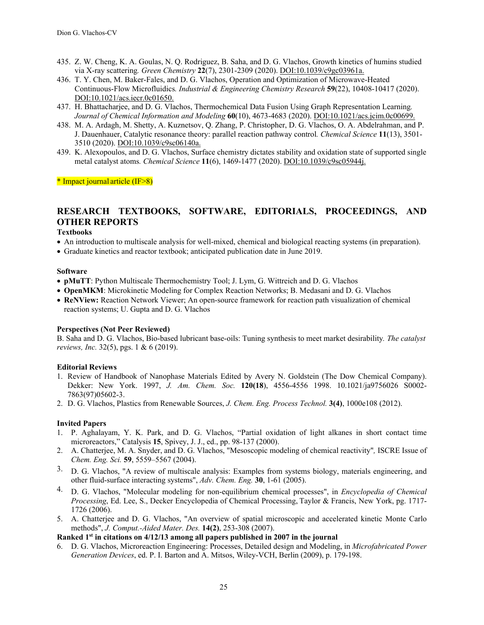- 435. Z. W. Cheng, K. A. Goulas, N. Q. Rodriguez, B. Saha, and D. G. Vlachos, Growth kinetics of humins studied via X-ray scattering*. Green Chemistry* **22**(7), 2301-2309 (2020). DOI:10.1039/c9gc03961a.
- 436. T. Y. Chen, M. Baker-Fales, and D. G. Vlachos, Operation and Optimization of Microwave-Heated Continuous-Flow Microfluidics*. Industrial & Engineering Chemistry Research* **59**(22), 10408-10417 (2020). DOI:10.1021/acs.iecr.0c01650.
- 437. H. Bhattacharjee, and D. G. Vlachos, Thermochemical Data Fusion Using Graph Representation Learning*. Journal of Chemical Information and Modeling* **60**(10), 4673-4683 (2020). DOI:10.1021/acs.jcim.0c00699.
- 438. M. A. Ardagh, M. Shetty, A. Kuznetsov, Q. Zhang, P. Christopher, D. G. Vlachos, O. A. Abdelrahman, and P. J. Dauenhauer, Catalytic resonance theory: parallel reaction pathway control*. Chemical Science* **11**(13), 3501- 3510 (2020). DOI:10.1039/c9sc06140a.
- 439. K. Alexopoulos, and D. G. Vlachos, Surface chemistry dictates stability and oxidation state of supported single metal catalyst atoms*. Chemical Science* **11**(6), 1469-1477 (2020). DOI:10.1039/c9sc05944j.

\* Impact journal article (IF>8)

# **RESEARCH TEXTBOOKS, SOFTWARE, EDITORIALS, PROCEEDINGS, AND OTHER REPORTS**

#### **Textbooks**

- An introduction to multiscale analysis for well-mixed, chemical and biological reacting systems (in preparation).
- Graduate kinetics and reactor textbook; anticipated publication date in June 2019.

#### **Software**

- **pMuTT**: Python Multiscale Thermochemistry Tool; J. Lym, G. Wittreich and D. G. Vlachos
- **OpenMKM**: Microkinetic Modeling for Complex Reaction Networks; B. Medasani and D. G. Vlachos
- **ReNView:** Reaction Network Viewer; An open-source framework for reaction path visualization of chemical reaction systems; U. Gupta and D. G. Vlachos

#### **Perspectives (Not Peer Reviewed)**

B. Saha and D. G. Vlachos, Bio-based lubricant base-oils: Tuning synthesis to meet market desirability*. The catalyst reviews, Inc.* 32(5), pgs. 1 & 6 (2019).

#### **Editorial Reviews**

- 1. Review of Handbook of Nanophase Materials Edited by Avery N. Goldstein (The Dow Chemical Company). Dekker: New York. 1997, *J. Am. Chem. Soc.* **120(18**), 4556-4556 1998. 10.1021/ja9756026 S0002- 7863(97)05602-3.
- 2. D. G. Vlachos, Plastics from Renewable Sources, *J. Chem. Eng. Process Technol.* **3(4)**, 1000e108 (2012).

## **Invited Papers**

- 1. P. Aghalayam, Y. K. Park, and D. G. Vlachos, "Partial oxidation of light alkanes in short contact time microreactors," Catalysis **15**, Spivey, J. J., ed., pp. 98-137 (2000).
- 2. A. Chatterjee, M. A. Snyder, and D. G. Vlachos, "Mesoscopic modeling of chemical reactivity"*,* ISCRE Issue of *Chem. Eng. Sci.* **59**, 5559–5567 (2004).
- <sup>3.</sup> D. G. Vlachos, "A review of multiscale analysis: Examples from systems biology, materials engineering, and other fluid-surface interacting systems", *Adv. Chem. Eng.* **30**, 1-61 (2005).
- 4. D. G. Vlachos, "Molecular modeling for non-equilibrium chemical processes", in *Encyclopedia of Chemical Processing*, Ed. Lee, S., Decker Encyclopedia of Chemical Processing, Taylor & Francis, New York, pg. 1717- 1726 (2006).
- 5. A. Chatterjee and D. G. Vlachos, "An overview of spatial microscopic and accelerated kinetic Monte Carlo methods", *J. Comput.-Aided Mater. Des.* **14(2)**, 253-308 (2007).

### **Ranked 1st in citations on 4/12/13 among all papers published in 2007 in the journal**

6. D. G. Vlachos, Microreaction Engineering: Processes, Detailed design and Modeling, in *Microfabricated Power Generation Devices*, ed. P. I. Barton and A. Mitsos, Wiley-VCH, Berlin (2009), p. 179-198.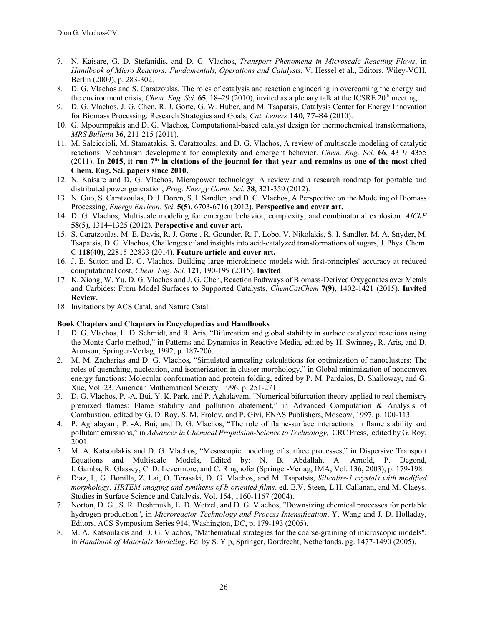- 7. N. Kaisare, G. D. Stefanidis, and D. G. Vlachos, *Transport Phenomena in Microscale Reacting Flows*, in *Handbook of Micro Reactors: Fundamentals, Operations and Catalysts*, V. Hessel et al., Editors. Wiley-VCH, Berlin (2009), p. 283-302.
- 8. D. G. Vlachos and S. Caratzoulas, The roles of catalysis and reaction engineering in overcoming the energy and the environment crisis, *Chem. Eng. Sci.* **65**, 18–29 (2010), invited as a plenary talk at the ICSRE 20th meeting.
- 9. D. G. Vlachos, J. G. Chen, R. J. Gorte, G. W. Huber, and M. Tsapatsis, Catalysis Center for Energy Innovation for Biomass Processing: Research Strategies and Goals, *Cat. Letters* **140**, 77–84 (2010).
- 10. G. Mpourmpakis and D. G. Vlachos, Computational-based catalyst design for thermochemical transformations, *MRS Bulletin* **36**, 211-215 (2011).
- 11. M. Salciccioli, M. Stamatakis, S. Caratzoulas, and D. G. Vlachos, A review of multiscale modeling of catalytic reactions: Mechanism development for complexity and emergent behavior. *Chem. Eng. Sci.* **66**, 4319–4355  $(2011)$ . In 2015, it run  $7<sup>th</sup>$  in citations of the journal for that year and remains as one of the most cited **Chem. Eng. Sci. papers since 2010.**
- 12. N. Kaisare and D. G. Vlachos, Micropower technology: A review and a research roadmap for portable and distributed power generation, *Prog. Energy Comb. Sci.* **38**, 321-359 (2012).
- 13. N. Guo, S. Caratzoulas, D. J. Doren, S. I. Sandler, and D. G. Vlachos, A Perspective on the Modeling of Biomass Processing, *Energy Environ. Sci*. **5(5)**, 6703-6716 (2012). **Perspective and cover art.**
- 14. D. G. Vlachos, Multiscale modeling for emergent behavior, complexity, and combinatorial explosion*, AIChE* **58**(5), 1314–1325 (2012). **Perspective and cover art.**
- 15. S. Caratzoulas, M. E. Davis, R. J. Gorte , R. Gounder, R. F. Lobo, V. Nikolakis, S. I. Sandler, M. A. Snyder, M. Tsapatsis, D. G. Vlachos, Challenges of and insights into acid-catalyzed transformations of sugars, J. Phys. Chem. C **118(40)**, 22815-22833 (2014). **Feature article and cover art.**
- 16. J. E. Sutton and D. G. Vlachos, Building large microkinetic models with first-principles' accuracy at reduced computational cost, *Chem. Eng. Sci.* **121**, 190-199 (2015). **Invited**.
- 17. K. Xiong, W. Yu, D. G. Vlachos and J. G. Chen, Reaction Pathways of Biomass-Derived Oxygenates over Metals and Carbides: From Model Surfaces to Supported Catalysts, *ChemCatChem* **7(9)**, 1402-1421 (2015). **Invited Review.**
- 18. Invitations by ACS Catal. and Nature Catal.

## **Book Chapters and Chapters in Encyclopedias and Handbooks**

- 1. D. G. Vlachos, L. D. Schmidt, and R. Aris, "Bifurcation and global stability in surface catalyzed reactions using the Monte Carlo method," in Patterns and Dynamics in Reactive Media, edited by H. Swinney, R. Aris, and D. Aronson, Springer-Verlag, 1992, p. 187-206.
- 2. M. M. Zacharias and D. G. Vlachos, "Simulated annealing calculations for optimization of nanoclusters: The roles of quenching, nucleation, and isomerization in cluster morphology," in Global minimization of nonconvex energy functions: Molecular conformation and protein folding, edited by P. M. Pardalos, D. Shalloway, and G. Xue, Vol. 23, American Mathematical Society, 1996, p. 251-271.
- 3. D. G. Vlachos, P. -A. Bui, Y. K. Park, and P. Aghalayam, "Numerical bifurcation theory applied to real chemistry premixed flames: Flame stability and pollution abatement," in Advanced Computation & Analysis of Combustion, edited by G. D. Roy, S. M. Frolov, and P. Givi, ENAS Publishers, Moscow, 1997, p. 100-113.
- 4. P. Aghalayam, P. -A. Bui, and D. G. Vlachos, "The role of flame-surface interactions in flame stability and pollutant emissions," in *Advances in Chemical Propulsion-Science to Technology,* CRC Press, edited by G. Roy, 2001.
- 5. M. A. Katsoulakis and D. G. Vlachos, "Mesoscopic modeling of surface processes," in Dispersive Transport Equations and Multiscale Models, Edited by: N. B. Abdallah, A. Arnold, P. Degond, I. Gamba, R. Glassey, C. D. Levermore, and C. Ringhofer (Springer-Verlag, IMA, Vol. 136, 2003), p. 179-198.
- 6. Díaz, I., G. Bonilla, Z. Lai, O. Terasaki, D. G. Vlachos, and M. Tsapatsis, *Silicalite-1 crystals with modified morphology: HRTEM imaging and synthesis of b-oriented films*. ed. E.V. Steen, L.H. Callanan, and M. Claeys. Studies in Surface Science and Catalysis. Vol. 154, 1160-1167 (2004).
- 7. Norton, D. G., S. R. Deshmukh, E. D. Wetzel, and D. G. Vlachos, "Downsizing chemical processes for portable hydrogen production", in *Microreactor Technology and Process Intensification*, Y. Wang and J. D. Holladay, Editors. ACS Symposium Series 914, Washington, DC, p. 179-193 (2005).
- 8. M. A. Katsoulakis and D. G. Vlachos, "Mathematical strategies for the coarse-graining of microscopic models", in *Handbook of Materials Modeling*, Ed. by S. Yip, Springer, Dordrecht, Netherlands, pg. 1477-1490 (2005).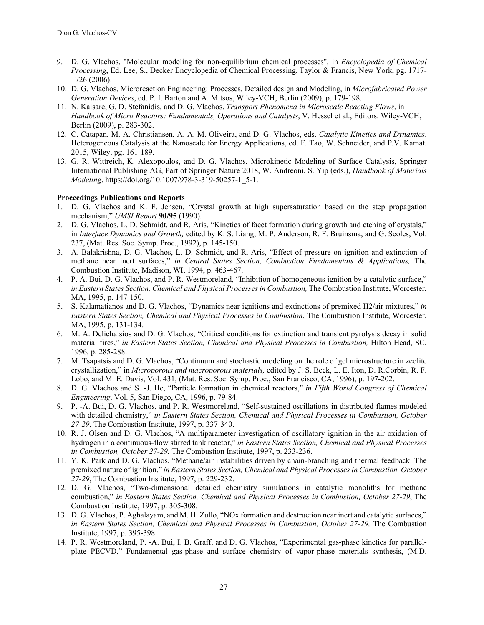- 9. D. G. Vlachos, "Molecular modeling for non-equilibrium chemical processes", in *Encyclopedia of Chemical Processing*, Ed. Lee, S., Decker Encyclopedia of Chemical Processing, Taylor & Francis, New York, pg. 1717- 1726 (2006).
- 10. D. G. Vlachos, Microreaction Engineering: Processes, Detailed design and Modeling, in *Microfabricated Power Generation Devices*, ed. P. I. Barton and A. Mitsos, Wiley-VCH, Berlin (2009), p. 179-198.
- 11. N. Kaisare, G. D. Stefanidis, and D. G. Vlachos, *Transport Phenomena in Microscale Reacting Flows*, in *Handbook of Micro Reactors: Fundamentals, Operations and Catalysts*, V. Hessel et al., Editors. Wiley-VCH, Berlin (2009), p. 283-302.
- 12. C. Catapan, M. A. Christiansen, A. A. M. Oliveira, and D. G. Vlachos, eds. *Catalytic Kinetics and Dynamics*. Heterogeneous Catalysis at the Nanoscale for Energy Applications, ed. F. Tao, W. Schneider, and P.V. Kamat. 2015, Wiley, pg. 161-189.
- 13. G. R. Wittreich, K. Alexopoulos, and D. G. Vlachos, Microkinetic Modeling of Surface Catalysis, Springer International Publishing AG, Part of Springer Nature 2018, W. Andreoni, S. Yip (eds.), *Handbook of Materials Modeling*, https://doi.org/10.1007/978-3-319-50257-1\_5-1.

## **Proceedings Publications and Reports**

- 1. D. G. Vlachos and K. F. Jensen, "Crystal growth at high supersaturation based on the step propagation mechanism," *UMSI Report* **90/95** (1990).
- 2. D. G. Vlachos, L. D. Schmidt, and R. Aris, "Kinetics of facet formation during growth and etching of crystals," in *Interface Dynamics and Growth,* edited by K. S. Liang, M. P. Anderson, R. F. Bruinsma, and G. Scoles, Vol. 237, (Mat. Res. Soc. Symp. Proc., 1992), p. 145-150.
- 3. A. Balakrishna, D. G. Vlachos, L. D. Schmidt, and R. Aris, "Effect of pressure on ignition and extinction of methane near inert surfaces," *in Central States Section, Combustion Fundamentals & Applications,* The Combustion Institute, Madison, WI, 1994, p. 463-467.
- 4. P. A. Bui, D. G. Vlachos, and P. R. Westmoreland, "Inhibition of homogeneous ignition by a catalytic surface," *in Eastern States Section, Chemical and Physical Processes in Combustion,* The Combustion Institute, Worcester, MA, 1995, p. 147-150.
- 5. S. Kalamatianos and D. G. Vlachos, "Dynamics near ignitions and extinctions of premixed H2/air mixtures," *in Eastern States Section, Chemical and Physical Processes in Combustion*, The Combustion Institute, Worcester, MA, 1995, p. 131-134.
- 6. M. A. Delichatsios and D. G. Vlachos, "Critical conditions for extinction and transient pyrolysis decay in solid material fires," *in Eastern States Section, Chemical and Physical Processes in Combustion,* Hilton Head, SC, 1996, p. 285-288.
- 7. M. Tsapatsis and D. G. Vlachos, "Continuum and stochastic modeling on the role of gel microstructure in zeolite crystallization," in *Microporous and macroporous materials,* edited by J. S. Beck, L. E. Iton, D. R.Corbin, R. F. Lobo, and M. E. Davis, Vol. 431, (Mat. Res. Soc. Symp. Proc., San Francisco, CA, 1996), p. 197-202.
- 8. D. G. Vlachos and S. -J. He, "Particle formation in chemical reactors," *in Fifth World Congress of Chemical Engineering*, Vol. 5, San Diego, CA, 1996, p. 79-84.
- 9. P. -A. Bui, D. G. Vlachos, and P. R. Westmoreland, "Self-sustained oscillations in distributed flames modeled with detailed chemistry," *in Eastern States Section, Chemical and Physical Processes in Combustion, October 27-29*, The Combustion Institute, 1997, p. 337-340.
- 10. R. J. Olsen and D. G. Vlachos, "A multiparameter investigation of oscillatory ignition in the air oxidation of hydrogen in a continuous-flow stirred tank reactor," *in Eastern States Section, Chemical and Physical Processes in Combustion, October 27-29*, The Combustion Institute, 1997, p. 233-236.
- 11. Y. K. Park and D. G. Vlachos, "Methane/air instabilities driven by chain-branching and thermal feedback: The premixed nature of ignition," *in Eastern States Section, Chemical and Physical Processes in Combustion, October 27-29*, The Combustion Institute, 1997, p. 229-232.
- 12. D. G. Vlachos, "Two-dimensional detailed chemistry simulations in catalytic monoliths for methane combustion," *in Eastern States Section, Chemical and Physical Processes in Combustion, October 27-29*, The Combustion Institute, 1997, p. 305-308.
- 13. D. G. Vlachos, P. Aghalayam, and M. H. Zullo, "NOx formation and destruction near inert and catalytic surfaces," *in Eastern States Section, Chemical and Physical Processes in Combustion, October 27-29,* The Combustion Institute, 1997, p. 395-398.
- 14. P. R. Westmoreland, P. -A. Bui, I. B. Graff, and D. G. Vlachos, "Experimental gas-phase kinetics for parallelplate PECVD," Fundamental gas-phase and surface chemistry of vapor-phase materials synthesis, (M.D.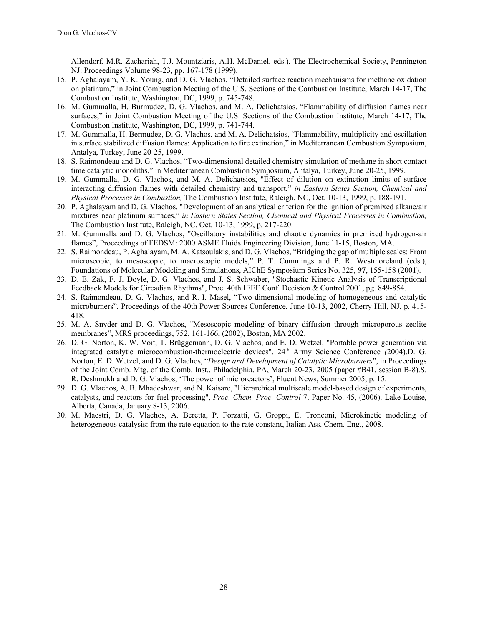Allendorf, M.R. Zachariah, T.J. Mountziaris, A.H. McDaniel, eds.), The Electrochemical Society, Pennington NJ: Proceedings Volume 98-23, pp. 167-178 (1999).

- 15. P. Aghalayam, Y. K. Young, and D. G. Vlachos, "Detailed surface reaction mechanisms for methane oxidation on platinum," in Joint Combustion Meeting of the U.S. Sections of the Combustion Institute, March 14-17, The Combustion Institute, Washington, DC, 1999, p. 745-748.
- 16. M. Gummalla, H. Burmudez, D. G. Vlachos, and M. A. Delichatsios, "Flammability of diffusion flames near surfaces," in Joint Combustion Meeting of the U.S. Sections of the Combustion Institute, March 14-17, The Combustion Institute, Washington, DC, 1999, p. 741-744.
- 17. M. Gummalla, H. Bermudez, D. G. Vlachos, and M. A. Delichatsios, "Flammability, multiplicity and oscillation in surface stabilized diffusion flames: Application to fire extinction," in Mediterranean Combustion Symposium, Antalya, Turkey, June 20-25, 1999.
- 18. S. Raimondeau and D. G. Vlachos, "Two-dimensional detailed chemistry simulation of methane in short contact time catalytic monoliths," in Mediterranean Combustion Symposium, Antalya, Turkey, June 20-25, 1999.
- 19. M. Gummalla, D. G. Vlachos, and M. A. Delichatsios, "Effect of dilution on extinction limits of surface interacting diffusion flames with detailed chemistry and transport," *in Eastern States Section, Chemical and Physical Processes in Combustion,* The Combustion Institute, Raleigh, NC, Oct. 10-13, 1999, p. 188-191.
- 20. P. Aghalayam and D. G. Vlachos, "Development of an analytical criterion for the ignition of premixed alkane/air mixtures near platinum surfaces," *in Eastern States Section, Chemical and Physical Processes in Combustion,*  The Combustion Institute, Raleigh, NC, Oct. 10-13, 1999, p. 217-220.
- 21. M. Gummalla and D. G. Vlachos, "Oscillatory instabilities and chaotic dynamics in premixed hydrogen-air flames", Proceedings of FEDSM: 2000 ASME Fluids Engineering Division, June 11-15, Boston, MA.
- 22. S. Raimondeau, P. Aghalayam, M. A. Katsoulakis, and D. G. Vlachos, "Bridging the gap of multiple scales: From microscopic, to mesoscopic, to macroscopic models," P. T. Cummings and P. R. Westmoreland (eds.), Foundations of Molecular Modeling and Simulations, AIChE Symposium Series No. 325, **97**, 155-158 (2001).
- 23. D. E. Zak, F. J. Doyle, D. G. Vlachos, and J. S. Schwaber, "Stochastic Kinetic Analysis of Transcriptional Feedback Models for Circadian Rhythms", Proc. 40th IEEE Conf. Decision & Control 2001, pg. 849-854.
- 24. S. Raimondeau, D. G. Vlachos, and R. I. Masel, "Two-dimensional modeling of homogeneous and catalytic microburners", Proceedings of the 40th Power Sources Conference, June 10-13, 2002, Cherry Hill, NJ, p. 415- 418.
- 25. M. A. Snyder and D. G. Vlachos, "Mesoscopic modeling of binary diffusion through microporous zeolite membranes", MRS proceedings, 752, 161-166, (2002), Boston, MA 2002.
- 26. D. G. Norton, K. W. Voit, T. Brüggemann, D. G. Vlachos, and E. D. Wetzel, "Portable power generation via integrated catalytic microcombustion-thermoelectric devices", 24th Army Science Conference *(*2004).D. G. Norton, E. D. Wetzel, and D. G. Vlachos, "*Design and Development of Catalytic Microburners*", in Proceedings of the Joint Comb. Mtg. of the Comb. Inst., Philadelphia, PA, March 20-23, 2005 (paper #B41, session B-8).S. R. Deshmukh and D. G. Vlachos, 'The power of microreactors', Fluent News, Summer 2005, p. 15.
- 29. D. G. Vlachos, A. B. Mhadeshwar, and N. Kaisare, "Hierarchical multiscale model-based design of experiments, catalysts, and reactors for fuel processing", *Proc. Chem. Proc. Control* 7, Paper No. 45, (2006). Lake Louise, Alberta, Canada, January 8-13, 2006.
- 30. M. Maestri, D. G. Vlachos, A. Beretta, P. Forzatti, G. Groppi, E. Tronconi, Microkinetic modeling of heterogeneous catalysis: from the rate equation to the rate constant, Italian Ass. Chem. Eng., 2008.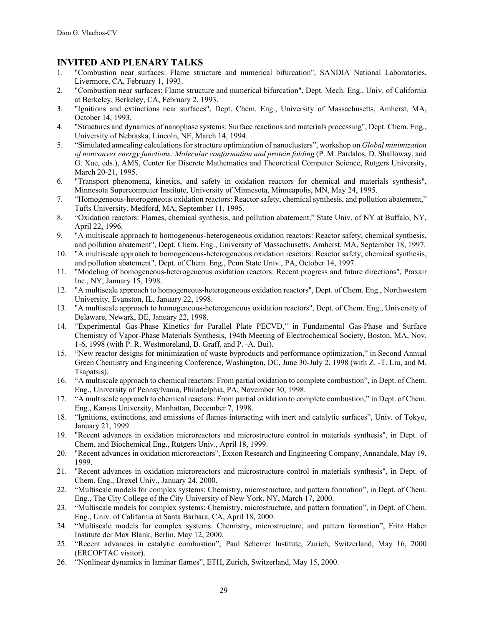# **INVITED AND PLENARY TALKS**

- 1. "Combustion near surfaces: Flame structure and numerical bifurcation", SANDIA National Laboratories, Livermore, CA, February 1, 1993.
- 2. "Combustion near surfaces: Flame structure and numerical bifurcation", Dept. Mech. Eng., Univ. of California at Berkeley, Berkeley, CA, February 2, 1993.
- 3. "Ignitions and extinctions near surfaces", Dept. Chem. Eng., University of Massachusetts, Amherst, MA, October 14, 1993.
- 4. "Structures and dynamics of nanophase systems: Surface reactions and materials processing", Dept. Chem. Eng., University of Nebraska, Lincoln, NE, March 14, 1994.
- 5. "Simulated annealing calculations for structure optimization of nanoclusters", workshop on *Global minimization of nonconvex energy functions: Molecular conformation and protein folding* (P. M. Pardalos, D. Shalloway, and G. Xue, eds.), AMS, Center for Discrete Mathematics and Theoretical Computer Science, Rutgers University, March 20-21, 1995.
- 6. "Transport phenomena, kinetics, and safety in oxidation reactors for chemical and materials synthesis", Minnesota Supercomputer Institute, University of Minnesota, Minneapolis, MN, May 24, 1995.
- 7. "Homogeneous-heterogeneous oxidation reactors: Reactor safety, chemical synthesis, and pollution abatement," Tufts University, Medford, MA, September 11, 1995.
- 8. "Oxidation reactors: Flames, chemical synthesis, and pollution abatement," State Univ. of NY at Buffalo, NY, April 22, 1996.
- 9. "A multiscale approach to homogeneous-heterogeneous oxidation reactors: Reactor safety, chemical synthesis, and pollution abatement", Dept. Chem. Eng., University of Massachusetts, Amherst, MA, September 18, 1997.
- 10. "A multiscale approach to homogeneous-heterogeneous oxidation reactors: Reactor safety, chemical synthesis, and pollution abatement", Dept. of Chem. Eng., Penn State Univ., PA, October 14, 1997.
- 11. "Modeling of homogeneous-heterogeneous oxidation reactors: Recent progress and future directions", Praxair Inc., NY, January 15, 1998.
- 12. "A multiscale approach to homogeneous-heterogeneous oxidation reactors", Dept. of Chem. Eng., Northwestern University, Evanston, IL, January 22, 1998.
- 13. "A multiscale approach to homogeneous-heterogeneous oxidation reactors", Dept. of Chem. Eng., University of Delaware, Newark, DE, January 22, 1998.
- 14. "Experimental Gas-Phase Kinetics for Parallel Plate PECVD," in Fundamental Gas-Phase and Surface Chemistry of Vapor-Phase Materials Synthesis, 194th Meeting of Electrochemical Society, Boston, MA, Nov. 1-6, 1998 (with P. R. Westmoreland, B. Graff, and P. -A. Bui).
- 15. "New reactor designs for minimization of waste byproducts and performance optimization," in Second Annual Green Chemistry and Engineering Conference, Washington, DC, June 30-July 2, 1998 (with Z. -T. Liu, and M. Tsapatsis).
- 16. "A multiscale approach to chemical reactors: From partial oxidation to complete combustion", in Dept. of Chem. Eng., University of Pennsylvania, Philadelphia, PA, November 30, 1998.
- 17. "A multiscale approach to chemical reactors: From partial oxidation to complete combustion," in Dept. of Chem. Eng., Kansas University, Manhattan, December 7, 1998.
- 18. "Ignitions, extinctions, and emissions of flames interacting with inert and catalytic surfaces", Univ. of Tokyo, January 21, 1999.
- 19. "Recent advances in oxidation microreactors and microstructure control in materials synthesis", in Dept. of Chem. and Biochemical Eng., Rutgers Univ., April 18, 1999.
- 20. "Recent advances in oxidation microreactors", Exxon Research and Engineering Company, Annandale, May 19, 1999.
- 21. "Recent advances in oxidation microreactors and microstructure control in materials synthesis", in Dept. of Chem. Eng., Drexel Univ., January 24, 2000.
- 22. "Multiscale models for complex systems: Chemistry, microstructure, and pattern formation", in Dept. of Chem. Eng., The City College of the City University of New York, NY, March 17, 2000.
- 23. "Multiscale models for complex systems: Chemistry, microstructure, and pattern formation", in Dept. of Chem. Eng., Univ. of California at Santa Barbara, CA, April 18, 2000.
- 24. "Multiscale models for complex systems: Chemistry, microstructure, and pattern formation", Fritz Haber Institute der Max Blank, Berlin, May 12, 2000.
- 25. "Recent advances in catalytic combustion", Paul Scherrer Institute, Zurich, Switzerland, May 16, 2000 (ERCOFTAC visitor).
- 26. "Nonlinear dynamics in laminar flames", ETH, Zurich, Switzerland, May 15, 2000.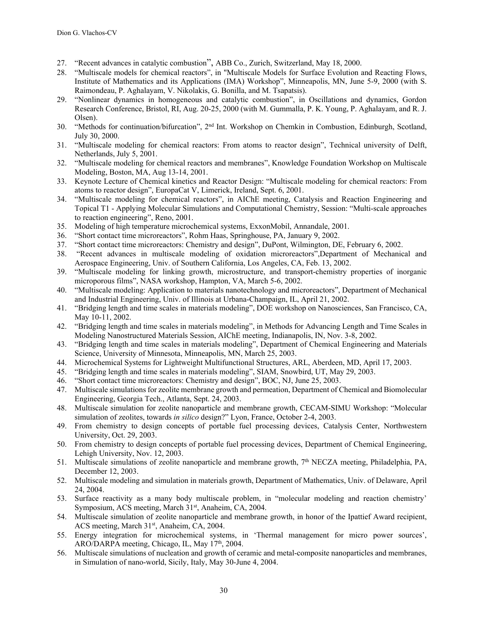- 27. "Recent advances in catalytic combustion", ABB Co., Zurich, Switzerland, May 18, 2000.
- 28. "Multiscale models for chemical reactors", in "Multiscale Models for Surface Evolution and Reacting Flows, Institute of Mathematics and its Applications (IMA) Workshop", Minneapolis, MN, June 5-9, 2000 (with S. Raimondeau, P. Aghalayam, V. Nikolakis, G. Bonilla, and M. Tsapatsis).
- 29. "Nonlinear dynamics in homogeneous and catalytic combustion", in Oscillations and dynamics, Gordon Research Conference, Bristol, RI, Aug. 20-25, 2000 (with M. Gummalla, P. K. Young, P. Aghalayam, and R. J. Olsen).
- 30. "Methods for continuation/bifurcation", 2nd Int. Workshop on Chemkin in Combustion, Edinburgh, Scotland, July 30, 2000.
- 31. "Multiscale modeling for chemical reactors: From atoms to reactor design", Technical university of Delft, Netherlands, July 5, 2001.
- 32. "Multiscale modeling for chemical reactors and membranes", Knowledge Foundation Workshop on Multiscale Modeling, Boston, MA, Aug 13-14, 2001.
- 33. Keynote Lecture of Chemical kinetics and Reactor Design: "Multiscale modeling for chemical reactors: From atoms to reactor design", EuropaCat V, Limerick, Ireland, Sept. 6, 2001.
- 34. "Multiscale modeling for chemical reactors", in AIChE meeting, Catalysis and Reaction Engineering and Topical T1 - Applying Molecular Simulations and Computational Chemistry, Session: "Multi-scale approaches to reaction engineering", Reno, 2001.
- 35. Modeling of high temperature microchemical systems, ExxonMobil, Annandale, 2001.
- 36. "Short contact time microreactors", Rohm Haas, Springhouse, PA, January 9, 2002.
- 37. "Short contact time microreactors: Chemistry and design", DuPont, Wilmington, DE, February 6, 2002.
- 38. "Recent advances in multiscale modeling of oxidation microreactors",Department of Mechanical and Aerospace Engineering, Univ. of Southern California, Los Angeles, CA, Feb. 13, 2002.
- 39. "Multiscale modeling for linking growth, microstructure, and transport-chemistry properties of inorganic microporous films", NASA workshop, Hampton, VA, March 5-6, 2002.
- 40. "Multiscale modeling: Application to materials nanotechnology and microreactors", Department of Mechanical and Industrial Engineering, Univ. of Illinois at Urbana-Champaign, IL, April 21, 2002.
- 41. "Bridging length and time scales in materials modeling", DOE workshop on Nanosciences, San Francisco, CA, May 10-11, 2002.
- 42. "Bridging length and time scales in materials modeling", in Methods for Advancing Length and Time Scales in Modeling Nanostructured Materials Session, AIChE meeting, Indianapolis, IN, Nov. 3-8, 2002.
- 43. "Bridging length and time scales in materials modeling", Department of Chemical Engineering and Materials Science, University of Minnesota, Minneapolis, MN, March 25, 2003.
- 44. Microchemical Systems for Lightweight Multifunctional Structures, ARL, Aberdeen, MD, April 17, 2003.
- 45. "Bridging length and time scales in materials modeling", SIAM, Snowbird, UT, May 29, 2003.
- 46. "Short contact time microreactors: Chemistry and design", BOC, NJ, June 25, 2003.
- 47. Multiscale simulations for zeolite membrane growth and permeation, Department of Chemical and Biomolecular Engineering, Georgia Tech., Atlanta, Sept. 24, 2003.
- 48. Multiscale simulation for zeolite nanoparticle and membrane growth, CECAM-SIMU Workshop: "Molecular simulation of zeolites, towards *in silico* design?" Lyon, France, October 2-4, 2003.
- 49. From chemistry to design concepts of portable fuel processing devices, Catalysis Center, Northwestern University, Oct. 29, 2003.
- 50. From chemistry to design concepts of portable fuel processing devices, Department of Chemical Engineering, Lehigh University, Nov. 12, 2003.
- 51. Multiscale simulations of zeolite nanoparticle and membrane growth, 7th NECZA meeting, Philadelphia, PA, December 12, 2003.
- 52. Multiscale modeling and simulation in materials growth, Department of Mathematics, Univ. of Delaware, April 24, 2004.
- 53. Surface reactivity as a many body multiscale problem, in "molecular modeling and reaction chemistry' Symposium, ACS meeting, March 31st, Anaheim, CA, 2004.
- 54. Multiscale simulation of zeolite nanoparticle and membrane growth, in honor of the Ipattief Award recipient, ACS meeting, March 31<sup>st</sup>, Anaheim, CA, 2004.
- 55. Energy integration for microchemical systems, in 'Thermal management for micro power sources', ARO/DARPA meeting, Chicago, IL, May 17<sup>th</sup>, 2004.
- 56. Multiscale simulations of nucleation and growth of ceramic and metal-composite nanoparticles and membranes, in Simulation of nano-world, Sicily, Italy, May 30-June 4, 2004.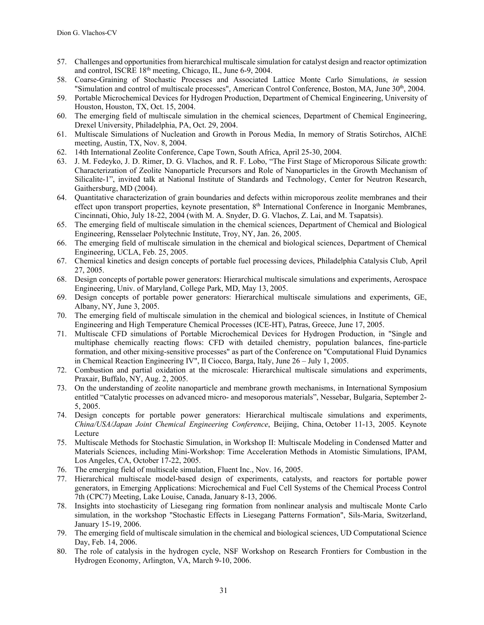- 57. Challenges and opportunities from hierarchical multiscale simulation for catalyst design and reactor optimization and control, ISCRE 18th meeting, Chicago, IL, June 6-9, 2004.
- 58. Coarse-Graining of Stochastic Processes and Associated Lattice Monte Carlo Simulations, *in* session "Simulation and control of multiscale processes", American Control Conference, Boston, MA, June 30th, 2004.
- 59. Portable Microchemical Devices for Hydrogen Production, Department of Chemical Engineering, University of Houston, Houston, TX, Oct. 15, 2004.
- 60. The emerging field of multiscale simulation in the chemical sciences, Department of Chemical Engineering, Drexel University, Philadelphia, PA, Oct. 29, 2004.
- 61. Multiscale Simulations of Nucleation and Growth in Porous Media, In memory of Stratis Sotirchos, AIChE meeting, Austin, TX, Nov. 8, 2004.
- 62. 14th International Zeolite Conference, Cape Town, South Africa, April 25-30, 2004.
- 63. J. M. Fedeyko, J. D. Rimer, D. G. Vlachos, and R. F. Lobo, "The First Stage of Microporous Silicate growth: Characterization of Zeolite Nanoparticle Precursors and Role of Nanoparticles in the Growth Mechanism of Silicalite-1", invited talk at National Institute of Standards and Technology, Center for Neutron Research, Gaithersburg, MD (2004).
- 64. Quantitative characterization of grain boundaries and defects within microporous zeolite membranes and their effect upon transport properties, keynote presentation, 8th International Conference in Inorganic Membranes, Cincinnati, Ohio, July 18-22, 2004 (with M. A. Snyder, D. G. Vlachos, Z. Lai, and M. Tsapatsis).
- 65. The emerging field of multiscale simulation in the chemical sciences, Department of Chemical and Biological Engineering, Rensselaer Polytechnic Institute, Troy, NY, Jan. 26, 2005.
- 66. The emerging field of multiscale simulation in the chemical and biological sciences, Department of Chemical Engineering, UCLA, Feb. 25, 2005.
- 67. Chemical kinetics and design concepts of portable fuel processing devices, Philadelphia Catalysis Club, April 27, 2005.
- 68. Design concepts of portable power generators: Hierarchical multiscale simulations and experiments, Aerospace Engineering, Univ. of Maryland, College Park, MD, May 13, 2005.
- 69. Design concepts of portable power generators: Hierarchical multiscale simulations and experiments, GE, Albany, NY, June 3, 2005.
- 70. The emerging field of multiscale simulation in the chemical and biological sciences, in Institute of Chemical Engineering and High Temperature Chemical Processes (ICE-HT), Patras, Greece, June 17, 2005.
- 71. Multiscale CFD simulations of Portable Microchemical Devices for Hydrogen Production, in "Single and multiphase chemically reacting flows: CFD with detailed chemistry, population balances, fine-particle formation, and other mixing-sensitive processes" as part of the Conference on "Computational Fluid Dynamics in Chemical Reaction Engineering IV", Il Ciocco, Barga, Italy, June 26 – July 1, 2005.
- 72. Combustion and partial oxidation at the microscale: Hierarchical multiscale simulations and experiments, Praxair, Buffalo, NY, Aug. 2, 2005.
- 73. On the understanding of zeolite nanoparticle and membrane growth mechanisms, in International Symposium entitled "Catalytic processes on advanced micro- and mesoporous materials", Nessebar, Bulgaria, September 2- 5, 2005.
- 74. Design concepts for portable power generators: Hierarchical multiscale simulations and experiments, *China/USA/Japan Joint Chemical Engineering Conference*, Beijing, China, October 11-13, 2005. Keynote Lecture
- 75. Multiscale Methods for Stochastic Simulation, in Workshop II: Multiscale Modeling in Condensed Matter and Materials Sciences, including Mini-Workshop: Time Acceleration Methods in Atomistic Simulations, IPAM, Los Angeles, CA, October 17-22, 2005.
- 76. The emerging field of multiscale simulation, Fluent Inc., Nov. 16, 2005.
- 77. Hierarchical multiscale model-based design of experiments, catalysts, and reactors for portable power generators, in Emerging Applications: Microchemical and Fuel Cell Systems of the Chemical Process Control 7th (CPC7) Meeting, Lake Louise, Canada, January 8-13, 2006.
- 78. Insights into stochasticity of Liesegang ring formation from nonlinear analysis and multiscale Monte Carlo simulation, in the workshop "Stochastic Effects in Liesegang Patterns Formation", Sils-Maria, Switzerland, January 15-19, 2006.
- 79. The emerging field of multiscale simulation in the chemical and biological sciences, UD Computational Science Day, Feb. 14, 2006.
- 80. The role of catalysis in the hydrogen cycle, NSF Workshop on Research Frontiers for Combustion in the Hydrogen Economy, Arlington, VA, March 9-10, 2006.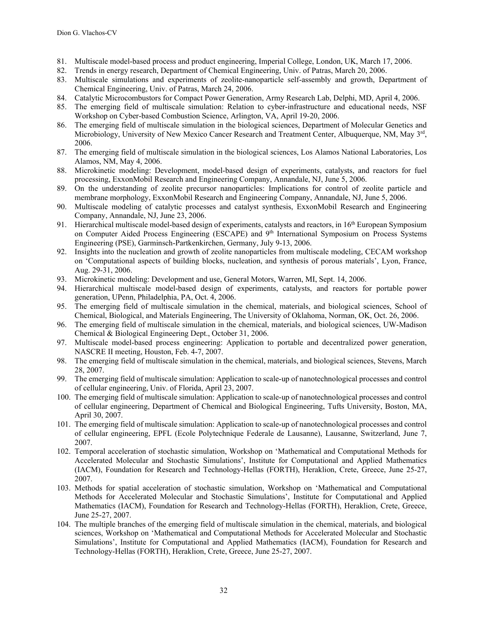- 81. Multiscale model-based process and product engineering, Imperial College, London, UK, March 17, 2006.
- 82. Trends in energy research, Department of Chemical Engineering, Univ. of Patras, March 20, 2006.
- 83. Multiscale simulations and experiments of zeolite-nanoparticle self-assembly and growth, Department of Chemical Engineering, Univ. of Patras, March 24, 2006.
- 84. Catalytic Microcombustors for Compact Power Generation, Army Research Lab, Delphi, MD, April 4, 2006.
- 85. The emerging field of multiscale simulation: Relation to cyber-infrastructure and educational needs, NSF Workshop on Cyber-based Combustion Science, Arlington, VA, April 19-20, 2006.
- 86. The emerging field of multiscale simulation in the biological sciences, Department of Molecular Genetics and Microbiology, University of New Mexico Cancer Research and Treatment Center, Albuquerque, NM, May 3rd, 2006.
- 87. The emerging field of multiscale simulation in the biological sciences, Los Alamos National Laboratories, Los Alamos, NM, May 4, 2006.
- 88. Microkinetic modeling: Development, model-based design of experiments, catalysts, and reactors for fuel processing, ExxonMobil Research and Engineering Company, Annandale, NJ, June 5, 2006.
- 89. On the understanding of zeolite precursor nanoparticles: Implications for control of zeolite particle and membrane morphology, ExxonMobil Research and Engineering Company, Annandale, NJ, June 5, 2006.
- 90. Multiscale modeling of catalytic processes and catalyst synthesis, ExxonMobil Research and Engineering Company, Annandale, NJ, June 23, 2006.
- 91. Hierarchical multiscale model-based design of experiments, catalysts and reactors, in  $16<sup>th</sup>$  European Symposium on Computer Aided Process Engineering (ESCAPE) and 9<sup>th</sup> International Symposium on Process Systems Engineering (PSE), Garminsch-Partkenkirchen, Germany, July 9-13, 2006.
- 92. Insights into the nucleation and growth of zeolite nanoparticles from multiscale modeling, CECAM workshop on 'Computational aspects of building blocks, nucleation, and synthesis of porous materials', Lyon, France, Aug. 29-31, 2006.
- 93. Microkinetic modeling: Development and use, General Motors, Warren, MI, Sept. 14, 2006.
- 94. Hierarchical multiscale model-based design of experiments, catalysts, and reactors for portable power generation, UPenn, Philadelphia, PA, Oct. 4, 2006.
- 95. The emerging field of multiscale simulation in the chemical, materials, and biological sciences, School of Chemical, Biological, and Materials Engineering, The University of Oklahoma, Norman, OK, Oct. 26, 2006.
- 96. The emerging field of multiscale simulation in the chemical, materials, and biological sciences, UW-Madison Chemical & Biological Engineering Dept., October 31, 2006.
- 97. Multiscale model-based process engineering: Application to portable and decentralized power generation, NASCRE II meeting, Houston, Feb. 4-7, 2007.
- 98. The emerging field of multiscale simulation in the chemical, materials, and biological sciences, Stevens, March 28, 2007.
- 99. The emerging field of multiscale simulation: Application to scale-up of nanotechnological processes and control of cellular engineering, Univ. of Florida, April 23, 2007.
- 100. The emerging field of multiscale simulation: Application to scale-up of nanotechnological processes and control of cellular engineering, Department of Chemical and Biological Engineering, Tufts University, Boston, MA, April 30, 2007.
- 101. The emerging field of multiscale simulation: Application to scale-up of nanotechnological processes and control of cellular engineering, EPFL (Ecole Polytechnique Federale de Lausanne), Lausanne, Switzerland, June 7, 2007.
- 102. Temporal acceleration of stochastic simulation, Workshop on 'Mathematical and Computational Methods for Accelerated Molecular and Stochastic Simulations', Institute for Computational and Applied Mathematics (IACM), Foundation for Research and Technology-Hellas (FORTH), Heraklion, Crete, Greece, June 25-27, 2007.
- 103. Methods for spatial acceleration of stochastic simulation, Workshop on 'Mathematical and Computational Methods for Accelerated Molecular and Stochastic Simulations', Institute for Computational and Applied Mathematics (IACM), Foundation for Research and Technology-Hellas (FORTH), Heraklion, Crete, Greece, June 25-27, 2007.
- 104. The multiple branches of the emerging field of multiscale simulation in the chemical, materials, and biological sciences, Workshop on 'Mathematical and Computational Methods for Accelerated Molecular and Stochastic Simulations', Institute for Computational and Applied Mathematics (IACM), Foundation for Research and Technology-Hellas (FORTH), Heraklion, Crete, Greece, June 25-27, 2007.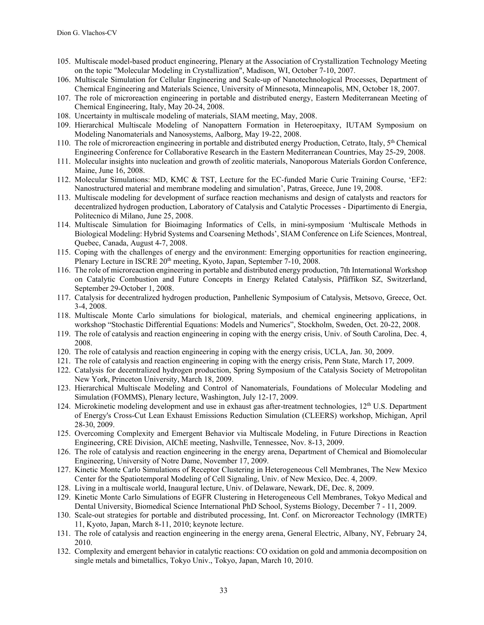- 105. Multiscale model-based product engineering, Plenary at the Association of Crystallization Technology Meeting on the topic "Molecular Modeling in Crystallization", Madison, WI, October 7-10, 2007.
- 106. Multiscale Simulation for Cellular Engineering and Scale-up of Nanotechnological Processes, Department of Chemical Engineering and Materials Science, University of Minnesota, Minneapolis, MN, October 18, 2007.
- 107. The role of microreaction engineering in portable and distributed energy, Eastern Mediterranean Meeting of Chemical Engineering, Italy, May 20-24, 2008.
- 108. Uncertainty in multiscale modeling of materials, SIAM meeting, May, 2008.
- 109. Hierarchical Multiscale Modeling of Nanopattern Formation in Heteroepitaxy, IUTAM Symposium on Modeling Nanomaterials and Nanosystems, Aalborg, May 19-22, 2008.
- 110. The role of microreaction engineering in portable and distributed energy Production, Cetrato, Italy, 5<sup>th</sup> Chemical Engineering Conference for Collaborative Research in the Eastern Mediterranean Countries, May 25-29, 2008.
- 111. Molecular insights into nucleation and growth of zeolitic materials, Nanoporous Materials Gordon Conference, Maine, June 16, 2008.
- 112. Molecular Simulations: MD, KMC & TST, Lecture for the EC-funded Marie Curie Training Course, 'EF2: Nanostructured material and membrane modeling and simulation', Patras, Greece, June 19, 2008.
- 113. Multiscale modeling for development of surface reaction mechanisms and design of catalysts and reactors for decentralized hydrogen production, Laboratory of Catalysis and Catalytic Processes - Dipartimento di Energia, Politecnico di Milano, June 25, 2008.
- 114. Multiscale Simulation for Bioimaging Informatics of Cells, in mini-symposium 'Multiscale Methods in Biological Modeling: Hybrid Systems and Coarsening Methods', SIAM Conference on Life Sciences, Montreal, Quebec, Canada, August 4-7, 2008.
- 115. Coping with the challenges of energy and the environment: Emerging opportunities for reaction engineering, Plenary Lecture in ISCRE 20<sup>th</sup> meeting, Kyoto, Japan, September 7-10, 2008.
- 116. The role of microreaction engineering in portable and distributed energy production, 7th International Workshop on Catalytic Combustion and Future Concepts in Energy Related Catalysis, Pfäffikon SZ, Switzerland, September 29-October 1, 2008.
- 117. Catalysis for decentralized hydrogen production, Panhellenic Symposium of Catalysis, Metsovo, Greece, Oct. 3-4, 2008.
- 118. Multiscale Monte Carlo simulations for biological, materials, and chemical engineering applications, in workshop "Stochastic Differential Equations: Models and Numerics", Stockholm, Sweden, Oct. 20-22, 2008.
- 119. The role of catalysis and reaction engineering in coping with the energy crisis, Univ. of South Carolina, Dec. 4, 2008.
- 120. The role of catalysis and reaction engineering in coping with the energy crisis, UCLA, Jan. 30, 2009.
- 121. The role of catalysis and reaction engineering in coping with the energy crisis, Penn State, March 17, 2009.
- 122. Catalysis for decentralized hydrogen production, Spring Symposium of the Catalysis Society of Metropolitan New York, Princeton University, March 18, 2009.
- 123. Hierarchical Multiscale Modeling and Control of Nanomaterials, Foundations of Molecular Modeling and Simulation (FOMMS), Plenary lecture, Washington, July 12-17, 2009.
- 124. Microkinetic modeling development and use in exhaust gas after-treatment technologies, 12<sup>th</sup> U.S. Department of Energy's Cross-Cut Lean Exhaust Emissions Reduction Simulation (CLEERS) workshop, Michigan, April 28-30, 2009.
- 125. Overcoming Complexity and Emergent Behavior via Multiscale Modeling, in Future Directions in Reaction Engineering, CRE Division, AIChE meeting, Nashville, Tennessee, Nov. 8-13, 2009.
- 126. The role of catalysis and reaction engineering in the energy arena, Department of Chemical and Biomolecular Engineering, University of Notre Dame, November 17, 2009.
- 127. Kinetic Monte Carlo Simulations of Receptor Clustering in Heterogeneous Cell Membranes, The New Mexico Center for the Spatiotemporal Modeling of Cell Signaling, Univ. of New Mexico, Dec. 4, 2009.
- 128. Living in a multiscale world, Inaugural lecture, Univ. of Delaware, Newark, DE, Dec. 8, 2009.
- 129. Kinetic Monte Carlo Simulations of EGFR Clustering in Heterogeneous Cell Membranes, Tokyo Medical and Dental University, Biomedical Science International PhD School, Systems Biology, December 7 - 11, 2009.
- 130. Scale-out strategies for portable and distributed processing, Int. Conf. on Microreactor Technology (IMRTE) 11, Kyoto, Japan, March 8-11, 2010; keynote lecture.
- 131. The role of catalysis and reaction engineering in the energy arena, General Electric, Albany, NY, February 24, 2010.
- 132. Complexity and emergent behavior in catalytic reactions: CO oxidation on gold and ammonia decomposition on single metals and bimetallics, Tokyo Univ., Tokyo, Japan, March 10, 2010.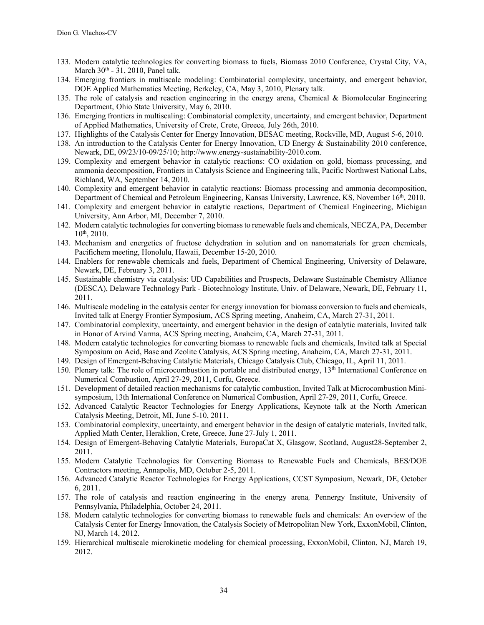- 133. Modern catalytic technologies for converting biomass to fuels, Biomass 2010 Conference, Crystal City, VA, March  $30<sup>th</sup>$  - 31, 2010, Panel talk.
- 134. Emerging frontiers in multiscale modeling: Combinatorial complexity, uncertainty, and emergent behavior, DOE Applied Mathematics Meeting, Berkeley, CA, May 3, 2010, Plenary talk.
- 135. The role of catalysis and reaction engineering in the energy arena, Chemical & Biomolecular Engineering Department, Ohio State University, May 6, 2010.
- 136. Emerging frontiers in multiscaling: Combinatorial complexity, uncertainty, and emergent behavior, Department of Applied Mathematics, University of Crete, Crete, Greece, July 26th, 2010.
- 137. Highlights of the Catalysis Center for Energy Innovation, BESAC meeting, Rockville, MD, August 5-6, 2010.
- 138. An introduction to the Catalysis Center for Energy Innovation, UD Energy & Sustainability 2010 conference, Newark, DE, 09/23/10-09/25/10; http://www.energy-sustainability-2010.com.
- 139. Complexity and emergent behavior in catalytic reactions: CO oxidation on gold, biomass processing, and ammonia decomposition, Frontiers in Catalysis Science and Engineering talk, Pacific Northwest National Labs, Richland, WA, September 14, 2010.
- 140. Complexity and emergent behavior in catalytic reactions: Biomass processing and ammonia decomposition, Department of Chemical and Petroleum Engineering, Kansas University, Lawrence, KS, November 16th, 2010.
- 141. Complexity and emergent behavior in catalytic reactions, Department of Chemical Engineering, Michigan University, Ann Arbor, MI, December 7, 2010.
- 142. Modern catalytic technologies for converting biomass to renewable fuels and chemicals, NECZA, PA, December  $10^{th}$ , 2010.
- 143. Mechanism and energetics of fructose dehydration in solution and on nanomaterials for green chemicals, Pacifichem meeting, Honolulu, Hawaii, December 15-20, 2010.
- 144. Enablers for renewable chemicals and fuels, Department of Chemical Engineering, University of Delaware, Newark, DE, February 3, 2011.
- 145. Sustainable chemistry via catalysis: UD Capabilities and Prospects, Delaware Sustainable Chemistry Alliance (DESCA), Delaware Technology Park - Biotechnology Institute, Univ. of Delaware, Newark, DE, February 11, 2011.
- 146. Multiscale modeling in the catalysis center for energy innovation for biomass conversion to fuels and chemicals, Invited talk at Energy Frontier Symposium, ACS Spring meeting, Anaheim, CA, March 27-31, 2011.
- 147. Combinatorial complexity, uncertainty, and emergent behavior in the design of catalytic materials, Invited talk in Honor of Arvind Varma, ACS Spring meeting, Anaheim, CA, March 27-31, 2011.
- 148. Modern catalytic technologies for converting biomass to renewable fuels and chemicals, Invited talk at Special Symposium on Acid, Base and Zeolite Catalysis, ACS Spring meeting, Anaheim, CA, March 27-31, 2011.
- 149. Design of Emergent-Behaving Catalytic Materials, Chicago Catalysis Club, Chicago, IL, April 11, 2011.
- 150. Plenary talk: The role of microcombustion in portable and distributed energy, 13th International Conference on Numerical Combustion, April 27-29, 2011, Corfu, Greece.
- 151. Development of detailed reaction mechanisms for catalytic combustion, Invited Talk at Microcombustion Minisymposium, 13th International Conference on Numerical Combustion, April 27-29, 2011, Corfu, Greece.
- 152. Advanced Catalytic Reactor Technologies for Energy Applications, Keynote talk at the North American Catalysis Meeting, Detroit, MI, June 5-10, 2011.
- 153. Combinatorial complexity, uncertainty, and emergent behavior in the design of catalytic materials, Invited talk, Applied Math Center, Heraklion, Crete, Greece, June 27-July 1, 2011.
- 154. Design of Emergent-Behaving Catalytic Materials, EuropaCat X, Glasgow, Scotland, August28-September 2, 2011.
- 155. Modern Catalytic Technologies for Converting Biomass to Renewable Fuels and Chemicals, BES/DOE Contractors meeting, Annapolis, MD, October 2-5, 2011.
- 156. Advanced Catalytic Reactor Technologies for Energy Applications, CCST Symposium, Newark, DE, October 6, 2011.
- 157. The role of catalysis and reaction engineering in the energy arena*,* Pennergy Institute, University of Pennsylvania, Philadelphia, October 24, 2011.
- 158. Modern catalytic technologies for converting biomass to renewable fuels and chemicals: An overview of the Catalysis Center for Energy Innovation, the Catalysis Society of Metropolitan New York, ExxonMobil, Clinton, NJ, March 14, 2012.
- 159. Hierarchical multiscale microkinetic modeling for chemical processing, ExxonMobil, Clinton, NJ, March 19, 2012.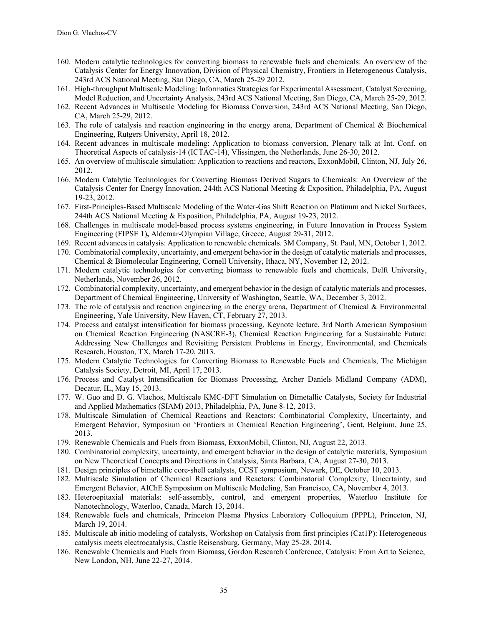- 160. Modern catalytic technologies for converting biomass to renewable fuels and chemicals: An overview of the Catalysis Center for Energy Innovation, Division of Physical Chemistry, Frontiers in Heterogeneous Catalysis, 243rd ACS National Meeting, San Diego, CA, March 25-29 2012.
- 161. High-throughput Multiscale Modeling: Informatics Strategies for Experimental Assessment, Catalyst Screening, Model Reduction, and Uncertainty Analysis, 243rd ACS National Meeting, San Diego, CA, March 25-29, 2012.
- 162. Recent Advances in Multiscale Modeling for Biomass Conversion, 243rd ACS National Meeting, San Diego, CA, March 25-29, 2012.
- 163. The role of catalysis and reaction engineering in the energy arena, Department of Chemical & Biochemical Engineering, Rutgers University, April 18, 2012.
- 164. Recent advances in multiscale modeling: Application to biomass conversion, Plenary talk at Int. Conf. on Theoretical Aspects of catalysis-14 (ICTAC-14), Vlissingen, the Netherlands, June 26-30, 2012.
- 165. An overview of multiscale simulation: Application to reactions and reactors, ExxonMobil, Clinton, NJ, July 26, 2012.
- 166. Modern Catalytic Technologies for Converting Biomass Derived Sugars to Chemicals: An Overview of the Catalysis Center for Energy Innovation, 244th ACS National Meeting & Exposition, Philadelphia, PA, August 19-23, 2012.
- 167. First-Principles-Based Multiscale Modeling of the Water-Gas Shift Reaction on Platinum and Nickel Surfaces, 244th ACS National Meeting & Exposition, Philadelphia, PA, August 19-23, 2012.
- 168. Challenges in multiscale model-based process systems engineering, in Future Innovation in Process System Engineering (FIPSE 1)**,** Aldemar-Olympian Village, Greece, August 29-31, 2012.
- 169. Recent advances in catalysis: Application to renewable chemicals. 3M Company, St. Paul, MN, October 1, 2012.
- 170. Combinatorial complexity, uncertainty, and emergent behavior in the design of catalytic materials and processes, Chemical & Biomolecular Engineering, Cornell University, Ithaca, NY, November 12, 2012.
- 171. Modern catalytic technologies for converting biomass to renewable fuels and chemicals, Delft University, Netherlands, November 26, 2012.
- 172. Combinatorial complexity, uncertainty, and emergent behavior in the design of catalytic materials and processes, Department of Chemical Engineering, University of Washington, Seattle, WA, December 3, 2012.
- 173. The role of catalysis and reaction engineering in the energy arena, Department of Chemical & Environmental Engineering, Yale University, New Haven, CT, February 27, 2013.
- 174. Process and catalyst intensification for biomass processing, Keynote lecture, 3rd North American Symposium on Chemical Reaction Engineering (NASCRE-3), Chemical Reaction Engineering for a Sustainable Future: Addressing New Challenges and Revisiting Persistent Problems in Energy, Environmental, and Chemicals Research, Houston, TX, March 17-20, 2013.
- 175. Modern Catalytic Technologies for Converting Biomass to Renewable Fuels and Chemicals, The Michigan Catalysis Society, Detroit, MI, April 17, 2013.
- 176. Process and Catalyst Intensification for Biomass Processing, Archer Daniels Midland Company (ADM), Decatur, IL, May 15, 2013.
- 177. W. Guo and D. G. Vlachos, Multiscale KMC-DFT Simulation on Bimetallic Catalysts, Society for Industrial and Applied Mathematics (SIAM) 2013, Philadelphia, PA, June 8-12, 2013.
- 178. Multiscale Simulation of Chemical Reactions and Reactors: Combinatorial Complexity, Uncertainty, and Emergent Behavior, Symposium on 'Frontiers in Chemical Reaction Engineering', Gent, Belgium, June 25, 2013.
- 179. Renewable Chemicals and Fuels from Biomass, ExxonMobil, Clinton, NJ, August 22, 2013.
- 180. Combinatorial complexity, uncertainty, and emergent behavior in the design of catalytic materials, Symposium on New Theoretical Concepts and Directions in Catalysis, Santa Barbara, CA, August 27-30, 2013.
- 181. Design principles of bimetallic core-shell catalysts, CCST symposium, Newark, DE, October 10, 2013.
- 182. Multiscale Simulation of Chemical Reactions and Reactors: Combinatorial Complexity, Uncertainty, and Emergent Behavior, AIChE Symposium on Multiscale Modeling, San Francisco, CA, November 4, 2013.
- 183. Heteroepitaxial materials: self-assembly, control, and emergent properties, Waterloo Institute for Nanotechnology, Waterloo, Canada, March 13, 2014.
- 184. Renewable fuels and chemicals, Princeton Plasma Physics Laboratory Colloquium (PPPL), Princeton, NJ, March 19, 2014.
- 185. Multiscale ab initio modeling of catalysts, Workshop on Catalysis from first principles (Cat1P): Heterogeneous catalysis meets electrocatalysis, Castle Reisensburg, Germany, May 25-28, 2014.
- 186. Renewable Chemicals and Fuels from Biomass, Gordon Research Conference, Catalysis: From Art to Science, New London, NH, June 22-27, 2014.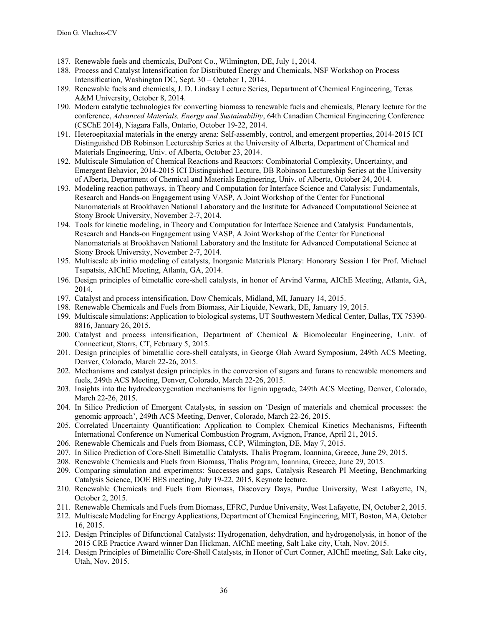- 187. Renewable fuels and chemicals, DuPont Co., Wilmington, DE, July 1, 2014.
- 188. Process and Catalyst Intensification for Distributed Energy and Chemicals, NSF Workshop on Process Intensification, Washington DC, Sept. 30 – October 1, 2014.
- 189. Renewable fuels and chemicals, J. D. Lindsay Lecture Series, Department of Chemical Engineering, Texas A&M University, October 8, 2014.
- 190. Modern catalytic technologies for converting biomass to renewable fuels and chemicals, Plenary lecture for the conference, *Advanced Materials, Energy and Sustainability*, 64th Canadian Chemical Engineering Conference (CSChE 2014), Niagara Falls, Ontario, October 19-22, 2014.
- 191. Heteroepitaxial materials in the energy arena: Self-assembly, control, and emergent properties, 2014-2015 ICI Distinguished DB Robinson Lectureship Series at the University of Alberta, Department of Chemical and Materials Engineering, Univ. of Alberta, October 23, 2014.
- 192. Multiscale Simulation of Chemical Reactions and Reactors: Combinatorial Complexity, Uncertainty, and Emergent Behavior, 2014-2015 ICI Distinguished Lecture, DB Robinson Lectureship Series at the University of Alberta, Department of Chemical and Materials Engineering, Univ. of Alberta, October 24, 2014.
- 193. Modeling reaction pathways, in Theory and Computation for Interface Science and Catalysis: Fundamentals, Research and Hands-on Engagement using VASP, A Joint Workshop of the Center for Functional Nanomaterials at Brookhaven National Laboratory and the Institute for Advanced Computational Science at Stony Brook University, November 2-7, 2014.
- 194. Tools for kinetic modeling, in Theory and Computation for Interface Science and Catalysis: Fundamentals, Research and Hands-on Engagement using VASP, A Joint Workshop of the Center for Functional Nanomaterials at Brookhaven National Laboratory and the Institute for Advanced Computational Science at Stony Brook University, November 2-7, 2014.
- 195. Multiscale ab initio modeling of catalysts, Inorganic Materials Plenary: Honorary Session I for Prof. Michael Tsapatsis, AIChE Meeting, Atlanta, GA, 2014.
- 196. Design principles of bimetallic core-shell catalysts, in honor of Arvind Varma, AIChE Meeting, Atlanta, GA, 2014.
- 197. Catalyst and process intensification, Dow Chemicals, Midland, MI, January 14, 2015.
- 198. Renewable Chemicals and Fuels from Biomass, Air Liquide, Newark, DE, January 19, 2015.
- 199. Multiscale simulations: Application to biological systems, UT Southwestern Medical Center, Dallas, TX 75390- 8816, January 26, 2015.
- 200. Catalyst and process intensification, Department of Chemical & Biomolecular Engineering, Univ. of Connecticut, Storrs, CT, February 5, 2015.
- 201. Design principles of bimetallic core-shell catalysts, in George Olah Award Symposium, 249th ACS Meeting, Denver, Colorado, March 22-26, 2015.
- 202. Mechanisms and catalyst design principles in the conversion of sugars and furans to renewable monomers and fuels, 249th ACS Meeting, Denver, Colorado, March 22-26, 2015.
- 203. Insights into the hydrodeoxygenation mechanisms for lignin upgrade, 249th ACS Meeting, Denver, Colorado, March 22-26, 2015.
- 204. In Silico Prediction of Emergent Catalysts, in session on 'Design of materials and chemical processes: the genomic approach', 249th ACS Meeting, Denver, Colorado, March 22-26, 2015.
- 205. Correlated Uncertainty Quantification: Application to Complex Chemical Kinetics Mechanisms, Fifteenth International Conference on Numerical Combustion Program, Avignon, France, April 21, 2015.
- 206. Renewable Chemicals and Fuels from Biomass, CCP, Wilmington, DE, May 7, 2015.
- 207. In Silico Prediction of Core-Shell Bimetallic Catalysts, Thalis Program, Ioannina, Greece, June 29, 2015.
- 208. Renewable Chemicals and Fuels from Biomass, Thalis Program, Ioannina, Greece, June 29, 2015.
- 209. Comparing simulation and experiments: Successes and gaps, Catalysis Research PI Meeting, Benchmarking Catalysis Science, DOE BES meeting, July 19-22, 2015, Keynote lecture.
- 210. Renewable Chemicals and Fuels from Biomass, Discovery Days, Purdue University, West Lafayette, IN, October 2, 2015.
- 211. Renewable Chemicals and Fuels from Biomass, EFRC, Purdue University, West Lafayette, IN, October 2, 2015.
- 212. Multiscale Modeling for Energy Applications, Department of Chemical Engineering, MIT, Boston, MA, October 16, 2015.
- 213. Design Principles of Bifunctional Catalysts: Hydrogenation, dehydration, and hydrogenolysis, in honor of the 2015 CRE Practice Award winner Dan Hickman, AIChE meeting, Salt Lake city, Utah, Nov. 2015.
- 214. Design Principles of Bimetallic Core-Shell Catalysts, in Honor of Curt Conner, AIChE meeting, Salt Lake city, Utah, Nov. 2015.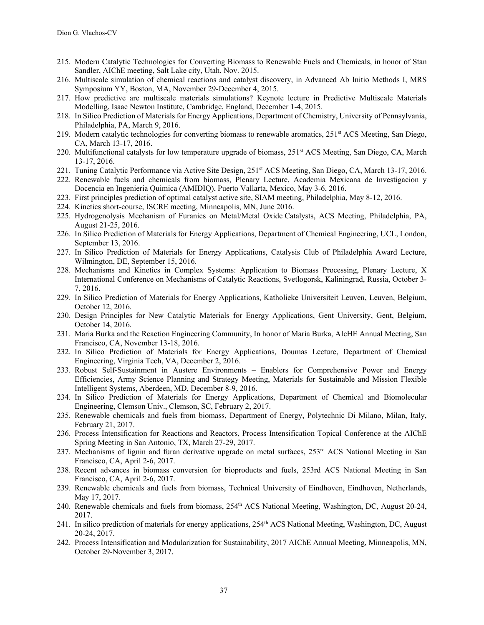- 215. Modern Catalytic Technologies for Converting Biomass to Renewable Fuels and Chemicals, in honor of Stan Sandler, AIChE meeting, Salt Lake city, Utah, Nov. 2015.
- 216. Multiscale simulation of chemical reactions and catalyst discovery, in Advanced Ab Initio Methods I, MRS Symposium YY, Boston, MA, November 29-December 4, 2015.
- 217. How predictive are multiscale materials simulations? Keynote lecture in Predictive Multiscale Materials Modelling, Isaac Newton Institute, Cambridge, England, December 1-4, 2015.
- 218. In Silico Prediction of Materials for Energy Applications, Department of Chemistry, University of Pennsylvania, Philadelphia, PA, March 9, 2016.
- 219. Modern catalytic technologies for converting biomass to renewable aromatics, 251<sup>st</sup> ACS Meeting, San Diego, CA, March 13-17, 2016.
- 220. Multifunctional catalysts for low temperature upgrade of biomass, 251<sup>st</sup> ACS Meeting, San Diego, CA, March 13-17, 2016.
- 221. Tuning Catalytic Performance via Active Site Design, 251st ACS Meeting, San Diego, CA, March 13-17, 2016.
- 222. Renewable fuels and chemicals from biomass, Plenary Lecture, Academia Mexicana de Investigacion y Docencia en Ingenieria Quimica (AMIDIQ), Puerto Vallarta, Mexico, May 3-6, 2016.
- 223. First principles prediction of optimal catalyst active site, SIAM meeting, Philadelphia, May 8-12, 2016.
- 224. Kinetics short-course, ISCRE meeting, Minneapolis, MN, June 2016.
- 225. Hydrogenolysis Mechanism of Furanics on Metal/Metal Oxide Catalysts, ACS Meeting, Philadelphia, PA, August 21-25, 2016.
- 226. In Silico Prediction of Materials for Energy Applications, Department of Chemical Engineering, UCL, London, September 13, 2016.
- 227. In Silico Prediction of Materials for Energy Applications, Catalysis Club of Philadelphia Award Lecture, Wilmington, DE, September 15, 2016.
- 228. Mechanisms and Kinetics in Complex Systems: Application to Biomass Processing, Plenary Lecture, X International Conference on Mechanisms of Catalytic Reactions, Svetlogorsk, Kaliningrad, Russia, October 3- 7, 2016.
- 229. In Silico Prediction of Materials for Energy Applications, Katholieke Universiteit Leuven, Leuven, Belgium, October 12, 2016.
- 230. Design Principles for New Catalytic Materials for Energy Applications, Gent University, Gent, Belgium, October 14, 2016.
- 231. Maria Burka and the Reaction Engineering Community, In honor of Maria Burka, AIcHE Annual Meeting, San Francisco, CA, November 13-18, 2016.
- 232. In Silico Prediction of Materials for Energy Applications, Doumas Lecture, Department of Chemical Engineering, Virginia Tech, VA, December 2, 2016.
- 233. Robust Self-Sustainment in Austere Environments Enablers for Comprehensive Power and Energy Efficiencies, Army Science Planning and Strategy Meeting, Materials for Sustainable and Mission Flexible Intelligent Systems, Aberdeen, MD, December 8-9, 2016.
- 234. In Silico Prediction of Materials for Energy Applications, Department of Chemical and Biomolecular Engineering, Clemson Univ., Clemson, SC, February 2, 2017.
- 235. Renewable chemicals and fuels from biomass, Department of Energy, Polytechnic Di Milano, Milan, Italy, February 21, 2017.
- 236. Process Intensification for Reactions and Reactors, Process Intensification Topical Conference at the AIChE Spring Meeting in San Antonio, TX, March 27-29, 2017.
- 237. Mechanisms of lignin and furan derivative upgrade on metal surfaces, 253<sup>rd</sup> ACS National Meeting in San Francisco, CA, April 2-6, 2017.
- 238. Recent advances in biomass conversion for bioproducts and fuels, 253rd ACS National Meeting in San Francisco, CA, April 2-6, 2017.
- 239. Renewable chemicals and fuels from biomass, Technical University of Eindhoven, Eindhoven, Netherlands, May 17, 2017.
- 240. Renewable chemicals and fuels from biomass, 254<sup>th</sup> ACS National Meeting, Washington, DC, August 20-24, 2017.
- 241. In silico prediction of materials for energy applications, 254th ACS National Meeting, Washington, DC, August 20-24, 2017.
- 242. Process Intensification and Modularization for Sustainability, 2017 AIChE Annual Meeting, Minneapolis, MN, October 29-November 3, 2017.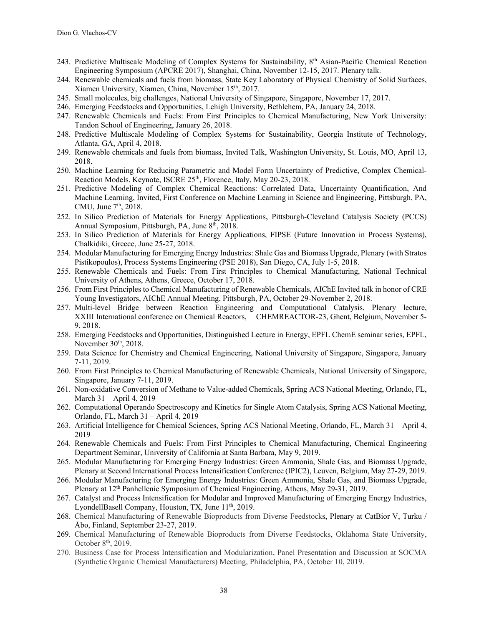- 243. Predictive Multiscale Modeling of Complex Systems for Sustainability, 8<sup>th</sup> Asian-Pacific Chemical Reaction Engineering Symposium (APCRE 2017), Shanghai, China, November 12‐15, 2017. Plenary talk.
- 244. Renewable chemicals and fuels from biomass, State Key Laboratory of Physical Chemistry of Solid Surfaces, Xiamen University, Xiamen, China, November 15th, 2017.
- 245. Small molecules, big challenges, National University of Singapore, Singapore, November 17, 2017.
- 246. Emerging Feedstocks and Opportunities, Lehigh University, Bethlehem, PA, January 24, 2018.
- 247. Renewable Chemicals and Fuels: From First Principles to Chemical Manufacturing, New York University: Tandon School of Engineering, January 26, 2018.
- 248. Predictive Multiscale Modeling of Complex Systems for Sustainability, Georgia Institute of Technology, Atlanta, GA, April 4, 2018.
- 249. Renewable chemicals and fuels from biomass, Invited Talk, Washington University, St. Louis, MO, April 13, 2018.
- 250. Machine Learning for Reducing Parametric and Model Form Uncertainty of Predictive, Complex Chemical-Reaction Models. Keynote, ISCRE 25<sup>th</sup>, Florence, Italy, May 20-23, 2018.
- 251. Predictive Modeling of Complex Chemical Reactions: Correlated Data, Uncertainty Quantification, And Machine Learning, Invited, First Conference on Machine Learning in Science and Engineering, Pittsburgh, PA, CMU, June  $7<sup>th</sup>$ , 2018.
- 252. In Silico Prediction of Materials for Energy Applications, Pittsburgh-Cleveland Catalysis Society (PCCS) Annual Symposium, Pittsburgh, PA, June 8<sup>th</sup>, 2018.
- 253. In Silico Prediction of Materials for Energy Applications, FIPSE (Future Innovation in Process Systems), Chalkidiki, Greece, June 25-27, 2018.
- 254. Modular Manufacturing for Emerging Energy Industries: Shale Gas and Biomass Upgrade, Plenary (with Stratos Pistikopoulos), Process Systems Engineering (PSE 2018), San Diego, CA, July 1-5, 2018.
- 255. Renewable Chemicals and Fuels: From First Principles to Chemical Manufacturing, National Technical University of Athens, Athens, Greece, October 17, 2018.
- 256. From First Principles to Chemical Manufacturing of Renewable Chemicals, AIChE Invited talk in honor of CRE Young Investigators, AIChE Annual Meeting, Pittsburgh, PA, October 29-November 2, 2018.
- 257. Multi‐level Bridge between Reaction Engineering and Computational Catalysis, Plenary lecture, XXIII International conference on Chemical Reactors, CHEMREACTOR-23, Ghent, Belgium, November 5- 9, 2018.
- 258. Emerging Feedstocks and Opportunities, Distinguished Lecture in Energy, EPFL ChemE seminar series, EPFL, November  $30<sup>th</sup>$ , 2018.
- 259. Data Science for Chemistry and Chemical Engineering, National University of Singapore, Singapore, January 7-11, 2019.
- 260. From First Principles to Chemical Manufacturing of Renewable Chemicals, National University of Singapore, Singapore, January 7-11, 2019.
- 261. Non-oxidative Conversion of Methane to Value-added Chemicals, Spring ACS National Meeting, Orlando, FL, March 31 – April 4, 2019
- 262. Computational Operando Spectroscopy and Kinetics for Single Atom Catalysis, Spring ACS National Meeting, Orlando, FL, March 31 – April 4, 2019
- 263. Artificial Intelligence for Chemical Sciences, Spring ACS National Meeting, Orlando, FL, March 31 April 4, 2019
- 264. Renewable Chemicals and Fuels: From First Principles to Chemical Manufacturing, Chemical Engineering Department Seminar, University of California at Santa Barbara, May 9, 2019.
- 265. Modular Manufacturing for Emerging Energy Industries: Green Ammonia, Shale Gas, and Biomass Upgrade, Plenary at Second International Process Intensification Conference (IPIC2), Leuven, Belgium, May 27-29, 2019.
- 266. Modular Manufacturing for Emerging Energy Industries: Green Ammonia, Shale Gas, and Biomass Upgrade, Plenary at 12<sup>th</sup> Panhellenic Symposium of Chemical Engineering, Athens, May 29-31, 2019.
- 267. Catalyst and Process Intensification for Modular and Improved Manufacturing of Emerging Energy Industries, LyondellBasell Company, Houston, TX, June  $11<sup>th</sup>$ , 2019.
- 268. Chemical Manufacturing of Renewable Bioproducts from Diverse Feedstocks, Plenary at CatBior V, Turku / Åbo, Finland, September 23-27, 2019.
- 269. Chemical Manufacturing of Renewable Bioproducts from Diverse Feedstocks, Oklahoma State University, October 8<sup>th</sup>, 2019.
- 270. Business Case for Process Intensification and Modularization, Panel Presentation and Discussion at SOCMA (Synthetic Organic Chemical Manufacturers) Meeting, Philadelphia, PA, October 10, 2019.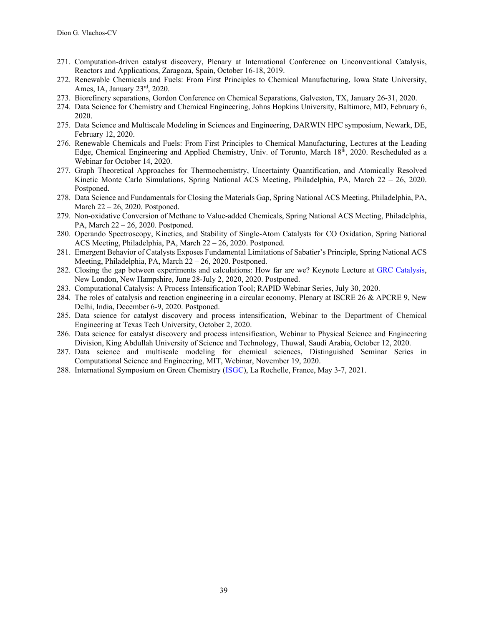- 271. Computation-driven catalyst discovery, Plenary at International Conference on Unconventional Catalysis, Reactors and Applications, Zaragoza, Spain, October 16-18, 2019.
- 272. Renewable Chemicals and Fuels: From First Principles to Chemical Manufacturing, Iowa State University, Ames, IA, January 23rd, 2020.
- 273. Biorefinery separations, Gordon Conference on Chemical Separations, Galveston, TX, January 26-31, 2020.
- 274. Data Science for Chemistry and Chemical Engineering, Johns Hopkins University, Baltimore, MD, February 6, 2020.
- 275. Data Science and Multiscale Modeling in Sciences and Engineering, DARWIN HPC symposium, Newark, DE, February 12, 2020.
- 276. Renewable Chemicals and Fuels: From First Principles to Chemical Manufacturing, Lectures at the Leading Edge, Chemical Engineering and Applied Chemistry, Univ. of Toronto, March  $18<sup>th</sup>$ , 2020. Rescheduled as a Webinar for October 14, 2020.
- 277. Graph Theoretical Approaches for Thermochemistry, Uncertainty Quantification, and Atomically Resolved Kinetic Monte Carlo Simulations, Spring National ACS Meeting, Philadelphia, PA, March 22 – 26, 2020. Postponed.
- 278. Data Science and Fundamentals for Closing the Materials Gap, Spring National ACS Meeting, Philadelphia, PA, March 22 – 26, 2020. Postponed.
- 279. Non-oxidative Conversion of Methane to Value-added Chemicals, Spring National ACS Meeting, Philadelphia, PA, March 22 – 26, 2020. Postponed.
- 280. Operando Spectroscopy, Kinetics, and Stability of Single-Atom Catalysts for CO Oxidation, Spring National ACS Meeting, Philadelphia, PA, March 22 – 26, 2020. Postponed.
- 281. Emergent Behavior of Catalysts Exposes Fundamental Limitations of Sabatier's Principle, Spring National ACS Meeting, Philadelphia, PA, March 22 – 26, 2020. Postponed.
- 282. Closing the gap between experiments and calculations: How far are we? Keynote Lecture at GRC Catalysis, New London, New Hampshire, June 28-July 2, 2020, 2020. Postponed.
- 283. Computational Catalysis: A Process Intensification Tool; RAPID Webinar Series, July 30, 2020.
- 284. The roles of catalysis and reaction engineering in a circular economy, Plenary at ISCRE 26 & APCRE 9, New Delhi, India, December 6-9, 2020. Postponed.
- 285. Data science for catalyst discovery and process intensification, Webinar to the Department of Chemical Engineering at Texas Tech University, October 2, 2020.
- 286. Data science for catalyst discovery and process intensification, Webinar to Physical Science and Engineering Division, King Abdullah University of Science and Technology, Thuwal, Saudi Arabia, October 12, 2020.
- 287. Data science and multiscale modeling for chemical sciences, Distinguished Seminar Series in Computational Science and Engineering, MIT, Webinar, November 19, 2020.
- 288. International Symposium on Green Chemistry (ISGC), La Rochelle, France, May 3-7, 2021.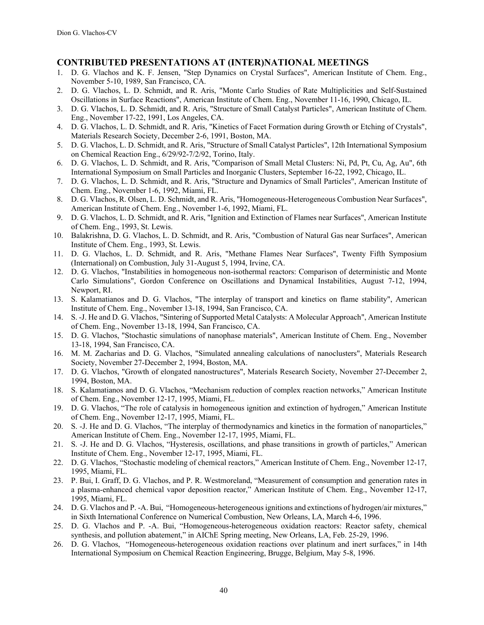# **CONTRIBUTED PRESENTATIONS AT (INTER)NATIONAL MEETINGS**

- 1. D. G. Vlachos and K. F. Jensen, "Step Dynamics on Crystal Surfaces", American Institute of Chem. Eng., November 5-10, 1989, San Francisco, CA.
- 2. D. G. Vlachos, L. D. Schmidt, and R. Aris, "Monte Carlo Studies of Rate Multiplicities and Self-Sustained Oscillations in Surface Reactions", American Institute of Chem. Eng., November 11-16, 1990, Chicago, IL.
- 3. D. G. Vlachos, L. D. Schmidt, and R. Aris, "Structure of Small Catalyst Particles", American Institute of Chem. Eng., November 17-22, 1991, Los Angeles, CA.
- 4. D. G. Vlachos, L. D. Schmidt, and R. Aris, "Kinetics of Facet Formation during Growth or Etching of Crystals", Materials Research Society, December 2-6, 1991, Boston, MA.
- 5. D. G. Vlachos, L. D. Schmidt, and R. Aris, "Structure of Small Catalyst Particles", 12th International Symposium on Chemical Reaction Eng., 6/29/92-7/2/92, Torino, Italy.
- 6. D. G. Vlachos, L. D. Schmidt, and R. Aris, "Comparison of Small Metal Clusters: Ni, Pd, Pt, Cu, Ag, Au", 6th International Symposium on Small Particles and Inorganic Clusters, September 16-22, 1992, Chicago, IL.
- 7. D. G. Vlachos, L. D. Schmidt, and R. Aris, "Structure and Dynamics of Small Particles", American Institute of Chem. Eng., November 1-6, 1992, Miami, FL.
- 8. D. G. Vlachos, R. Olsen, L. D. Schmidt, and R. Aris, "Homogeneous-Heterogeneous Combustion Near Surfaces", American Institute of Chem. Eng., November 1-6, 1992, Miami, FL.
- 9. D. G. Vlachos, L. D. Schmidt, and R. Aris, "Ignition and Extinction of Flames near Surfaces", American Institute of Chem. Eng., 1993, St. Lewis.
- 10. Balakrishna, D. G. Vlachos, L. D. Schmidt, and R. Aris, "Combustion of Natural Gas near Surfaces", American Institute of Chem. Eng., 1993, St. Lewis.
- 11. D. G. Vlachos, L. D. Schmidt, and R. Aris, "Methane Flames Near Surfaces", Twenty Fifth Symposium (International) on Combustion, July 31-August 5, 1994, Irvine, CA.
- 12. D. G. Vlachos, "Instabilities in homogeneous non-isothermal reactors: Comparison of deterministic and Monte Carlo Simulations", Gordon Conference on Oscillations and Dynamical Instabilities, August 7-12, 1994, Newport, RI.
- 13. S. Kalamatianos and D. G. Vlachos, "The interplay of transport and kinetics on flame stability", American Institute of Chem. Eng., November 13-18, 1994, San Francisco, CA.
- 14. S. -J. He and D. G. Vlachos, "Sintering of Supported Metal Catalysts: A Molecular Approach", American Institute of Chem. Eng., November 13-18, 1994, San Francisco, CA.
- 15. D. G. Vlachos, "Stochastic simulations of nanophase materials", American Institute of Chem. Eng., November 13-18, 1994, San Francisco, CA.
- 16. M. M. Zacharias and D. G. Vlachos, "Simulated annealing calculations of nanoclusters", Materials Research Society, November 27-December 2, 1994, Boston, MA.
- 17. D. G. Vlachos, "Growth of elongated nanostructures", Materials Research Society, November 27-December 2, 1994, Boston, MA.
- 18. S. Kalamatianos and D. G. Vlachos, "Mechanism reduction of complex reaction networks," American Institute of Chem. Eng., November 12-17, 1995, Miami, FL.
- 19. D. G. Vlachos, "The role of catalysis in homogeneous ignition and extinction of hydrogen," American Institute of Chem. Eng., November 12-17, 1995, Miami, FL.
- 20. S. -J. He and D. G. Vlachos, "The interplay of thermodynamics and kinetics in the formation of nanoparticles," American Institute of Chem. Eng., November 12-17, 1995, Miami, FL.
- 21. S. -J. He and D. G. Vlachos, "Hysteresis, oscillations, and phase transitions in growth of particles," American Institute of Chem. Eng., November 12-17, 1995, Miami, FL.
- 22. D. G. Vlachos, "Stochastic modeling of chemical reactors," American Institute of Chem. Eng., November 12-17, 1995, Miami, FL.
- 23. P. Bui, I. Graff, D. G. Vlachos, and P. R. Westmoreland, "Measurement of consumption and generation rates in a plasma-enhanced chemical vapor deposition reactor," American Institute of Chem. Eng., November 12-17, 1995, Miami, FL.
- 24. D. G. Vlachos and P. -A. Bui, "Homogeneous-heterogeneous ignitions and extinctions of hydrogen/air mixtures," in Sixth International Conference on Numerical Combustion, New Orleans, LA, March 4-6, 1996.
- 25. D. G. Vlachos and P. -A. Bui, "Homogeneous-heterogeneous oxidation reactors: Reactor safety, chemical synthesis, and pollution abatement," in AIChE Spring meeting, New Orleans, LA, Feb. 25-29, 1996.
- 26. D. G. Vlachos, "Homogeneous-heterogeneous oxidation reactions over platinum and inert surfaces," in 14th International Symposium on Chemical Reaction Engineering, Brugge, Belgium, May 5-8, 1996.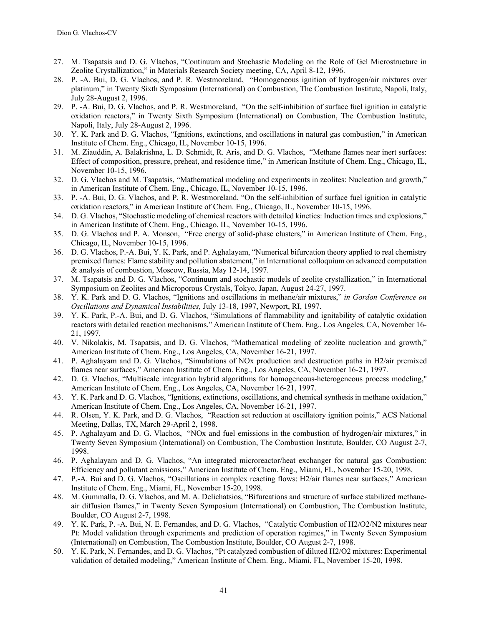- 27. M. Tsapatsis and D. G. Vlachos, "Continuum and Stochastic Modeling on the Role of Gel Microstructure in Zeolite Crystallization," in Materials Research Society meeting, CA, April 8-12, 1996.
- 28. P. -A. Bui, D. G. Vlachos, and P. R. Westmoreland, "Homogeneous ignition of hydrogen/air mixtures over platinum," in Twenty Sixth Symposium (International) on Combustion, The Combustion Institute, Napoli, Italy, July 28-August 2, 1996.
- 29. P. -A. Bui, D. G. Vlachos, and P. R. Westmoreland, "On the self-inhibition of surface fuel ignition in catalytic oxidation reactors," in Twenty Sixth Symposium (International) on Combustion, The Combustion Institute, Napoli, Italy, July 28-August 2, 1996.
- 30. Y. K. Park and D. G. Vlachos, "Ignitions, extinctions, and oscillations in natural gas combustion," in American Institute of Chem. Eng., Chicago, IL, November 10-15, 1996.
- 31. M. Ziauddin, A. Balakrishna, L. D. Schmidt, R. Aris, and D. G. Vlachos, "Methane flames near inert surfaces: Effect of composition, pressure, preheat, and residence time," in American Institute of Chem. Eng., Chicago, IL, November 10-15, 1996.
- 32. D. G. Vlachos and M. Tsapatsis, "Mathematical modeling and experiments in zeolites: Nucleation and growth," in American Institute of Chem. Eng., Chicago, IL, November 10-15, 1996.
- 33. P. -A. Bui, D. G. Vlachos, and P. R. Westmoreland, "On the self-inhibition of surface fuel ignition in catalytic oxidation reactors," in American Institute of Chem. Eng., Chicago, IL, November 10-15, 1996.
- 34. D. G. Vlachos, "Stochastic modeling of chemical reactors with detailed kinetics: Induction times and explosions," in American Institute of Chem. Eng., Chicago, IL, November 10-15, 1996.
- 35. D. G. Vlachos and P. A. Monson, "Free energy of solid-phase clusters," in American Institute of Chem. Eng., Chicago, IL, November 10-15, 1996.
- 36. D. G. Vlachos, P.-A. Bui, Y. K. Park, and P. Aghalayam, "Numerical bifurcation theory applied to real chemistry premixed flames: Flame stability and pollution abatement," in International colloquium on advanced computation & analysis of combustion, Moscow, Russia, May 12-14, 1997.
- 37. M. Tsapatsis and D. G. Vlachos, "Continuum and stochastic models of zeolite crystallization," in International Symposium on Zeolites and Microporous Crystals, Tokyo, Japan, August 24-27, 1997.
- 38. Y. K. Park and D. G. Vlachos, "Ignitions and oscillations in methane/air mixtures," *in Gordon Conference on Oscillations and Dynamical Instabilities,* July 13-18, 1997, Newport, RI, 1997.
- 39. Y. K. Park, P.-A. Bui, and D. G. Vlachos, "Simulations of flammability and ignitability of catalytic oxidation reactors with detailed reaction mechanisms," American Institute of Chem. Eng., Los Angeles, CA, November 16- 21, 1997.
- 40. V. Nikolakis, M. Tsapatsis, and D. G. Vlachos, "Mathematical modeling of zeolite nucleation and growth," American Institute of Chem. Eng., Los Angeles, CA, November 16-21, 1997.
- 41. P. Aghalayam and D. G. Vlachos, "Simulations of NOx production and destruction paths in H2/air premixed flames near surfaces," American Institute of Chem. Eng., Los Angeles, CA, November 16-21, 1997.
- 42. D. G. Vlachos, "Multiscale integration hybrid algorithms for homogeneous-heterogeneous process modeling," American Institute of Chem. Eng., Los Angeles, CA, November 16-21, 1997.
- 43. Y. K. Park and D. G. Vlachos, "Ignitions, extinctions, oscillations, and chemical synthesis in methane oxidation," American Institute of Chem. Eng., Los Angeles, CA, November 16-21, 1997.
- 44. R. Olsen, Y. K. Park, and D. G. Vlachos, "Reaction set reduction at oscillatory ignition points," ACS National Meeting, Dallas, TX, March 29-April 2, 1998.
- 45. P. Aghalayam and D. G. Vlachos, "NOx and fuel emissions in the combustion of hydrogen/air mixtures," in Twenty Seven Symposium (International) on Combustion, The Combustion Institute, Boulder, CO August 2-7, 1998.
- 46. P. Aghalayam and D. G. Vlachos, "An integrated microreactor/heat exchanger for natural gas Combustion: Efficiency and pollutant emissions," American Institute of Chem. Eng., Miami, FL, November 15-20, 1998.
- 47. P.-A. Bui and D. G. Vlachos, "Oscillations in complex reacting flows: H2/air flames near surfaces," American Institute of Chem. Eng., Miami, FL, November 15-20, 1998.
- 48. M. Gummalla, D. G. Vlachos, and M. A. Delichatsios, "Bifurcations and structure of surface stabilized methaneair diffusion flames," in Twenty Seven Symposium (International) on Combustion, The Combustion Institute, Boulder, CO August 2-7, 1998.
- 49. Y. K. Park, P. -A. Bui, N. E. Fernandes, and D. G. Vlachos, "Catalytic Combustion of H2/O2/N2 mixtures near Pt: Model validation through experiments and prediction of operation regimes," in Twenty Seven Symposium (International) on Combustion, The Combustion Institute, Boulder, CO August 2-7, 1998.
- 50. Y. K. Park, N. Fernandes, and D. G. Vlachos, "Pt catalyzed combustion of diluted H2/O2 mixtures: Experimental validation of detailed modeling," American Institute of Chem. Eng., Miami, FL, November 15-20, 1998.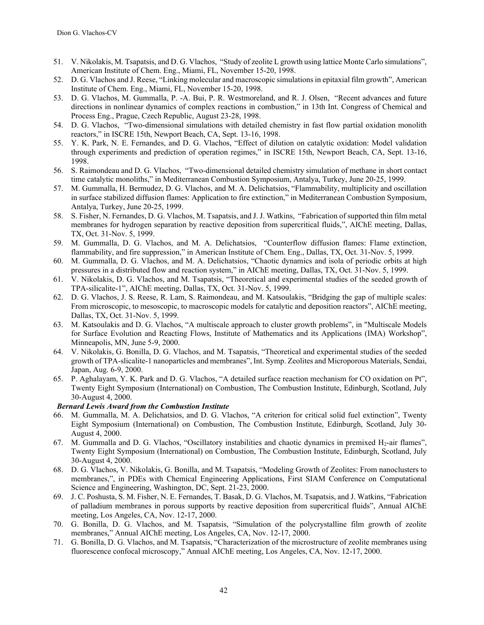- 51. V. Nikolakis, M. Tsapatsis, and D. G. Vlachos, "Study of zeolite L growth using lattice Monte Carlo simulations", American Institute of Chem. Eng., Miami, FL, November 15-20, 1998.
- 52. D. G. Vlachos and J. Reese, "Linking molecular and macroscopic simulations in epitaxial film growth", American Institute of Chem. Eng., Miami, FL, November 15-20, 1998.
- 53. D. G. Vlachos, M. Gummalla, P. -A. Bui, P. R. Westmoreland, and R. J. Olsen, "Recent advances and future directions in nonlinear dynamics of complex reactions in combustion," in 13th Int. Congress of Chemical and Process Eng., Prague, Czech Republic, August 23-28, 1998.
- 54. D. G. Vlachos, "Two-dimensional simulations with detailed chemistry in fast flow partial oxidation monolith reactors," in ISCRE 15th, Newport Beach, CA, Sept. 13-16, 1998.
- 55. Y. K. Park, N. E. Fernandes, and D. G. Vlachos, "Effect of dilution on catalytic oxidation: Model validation through experiments and prediction of operation regimes," in ISCRE 15th, Newport Beach, CA, Sept. 13-16, 1998.
- 56. S. Raimondeau and D. G. Vlachos, "Two-dimensional detailed chemistry simulation of methane in short contact time catalytic monoliths," in Mediterranean Combustion Symposium, Antalya, Turkey, June 20-25, 1999.
- 57. M. Gummalla, H. Bermudez, D. G. Vlachos, and M. A. Delichatsios, "Flammability, multiplicity and oscillation in surface stabilized diffusion flames: Application to fire extinction," in Mediterranean Combustion Symposium, Antalya, Turkey, June 20-25, 1999.
- 58. S. Fisher, N. Fernandes, D. G. Vlachos, M. Tsapatsis, and J. J. Watkins, "Fabrication of supported thin film metal membranes for hydrogen separation by reactive deposition from supercritical fluids,", AIChE meeting, Dallas, TX, Oct. 31-Nov. 5, 1999.
- 59. M. Gummalla, D. G. Vlachos, and M. A. Delichatsios, "Counterflow diffusion flames: Flame extinction, flammability, and fire suppression," in American Institute of Chem. Eng., Dallas, TX, Oct. 31-Nov. 5, 1999.
- 60. M. Gummalla, D. G. Vlachos, and M. A. Delichatsios, "Chaotic dynamics and isola of periodic orbits at high pressures in a distributed flow and reaction system," in AIChE meeting, Dallas, TX, Oct. 31-Nov. 5, 1999.
- 61. V. Nikolakis, D. G. Vlachos, and M. Tsapatsis, "Theoretical and experimental studies of the seeded growth of TPA-silicalite-1", AIChE meeting, Dallas, TX, Oct. 31-Nov. 5, 1999.
- 62. D. G. Vlachos, J. S. Reese, R. Lam, S. Raimondeau, and M. Katsoulakis, "Bridging the gap of multiple scales: From microscopic, to mesoscopic, to macroscopic models for catalytic and deposition reactors", AIChE meeting, Dallas, TX, Oct. 31-Nov. 5, 1999.
- 63. M. Katsoulakis and D. G. Vlachos, "A multiscale approach to cluster growth problems", in "Multiscale Models for Surface Evolution and Reacting Flows, Institute of Mathematics and its Applications (IMA) Workshop", Minneapolis, MN, June 5-9, 2000.
- 64. V. Nikolakis, G. Bonilla, D. G. Vlachos, and M. Tsapatsis, "Theoretical and experimental studies of the seeded growth of TPA-slicalite-1 nanoparticles and membranes", Int. Symp. Zeolites and Microporous Materials, Sendai, Japan, Aug. 6-9, 2000.
- 65. P. Aghalayam, Y. K. Park and D. G. Vlachos, "A detailed surface reaction mechanism for CO oxidation on Pt", Twenty Eight Symposium (International) on Combustion, The Combustion Institute, Edinburgh, Scotland, July 30-August 4, 2000.

## *Bernard Lewis Award from the Combustion Institute*

- 66. M. Gummalla, M. A. Delichatsios, and D. G. Vlachos, "A criterion for critical solid fuel extinction", Twenty Eight Symposium (International) on Combustion, The Combustion Institute, Edinburgh, Scotland, July 30- August 4, 2000.
- 67. M. Gummalla and D. G. Vlachos, "Oscillatory instabilities and chaotic dynamics in premixed  $H_2$ -air flames", Twenty Eight Symposium (International) on Combustion, The Combustion Institute, Edinburgh, Scotland, July 30-August 4, 2000.
- 68. D. G. Vlachos, V. Nikolakis, G. Bonilla, and M. Tsapatsis, "Modeling Growth of Zeolites: From nanoclusters to membranes,", in PDEs with Chemical Engineering Applications, First SIAM Conference on Computational Science and Engineering, Washington, DC, Sept. 21-23, 2000.
- 69. J. C. Poshusta, S. M. Fisher, N. E. Fernandes, T. Basak, D. G. Vlachos, M. Tsapatsis, and J. Watkins, "Fabrication of palladium membranes in porous supports by reactive deposition from supercritical fluids", Annual AIChE meeting, Los Angeles, CA, Nov. 12-17, 2000.
- 70. G. Bonilla, D. G. Vlachos, and M. Tsapatsis, "Simulation of the polycrystalline film growth of zeolite membranes," Annual AIChE meeting, Los Angeles, CA, Nov. 12-17, 2000.
- 71. G. Bonilla, D. G. Vlachos, and M. Tsapatsis, "Characterization of the microstructure of zeolite membranes using fluorescence confocal microscopy," Annual AIChE meeting, Los Angeles, CA, Nov. 12-17, 2000.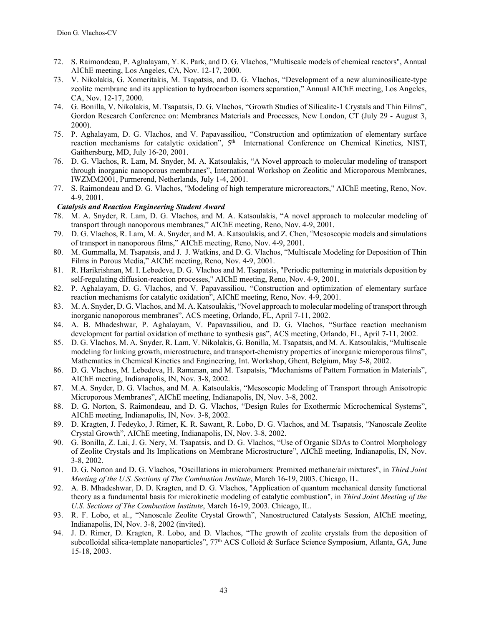- 72. S. Raimondeau, P. Aghalayam, Y. K. Park, and D. G. Vlachos, "Multiscale models of chemical reactors", Annual AIChE meeting, Los Angeles, CA, Nov. 12-17, 2000.
- 73. V. Nikolakis, G. Xomeritakis, M. Tsapatsis, and D. G. Vlachos, "Development of a new aluminosilicate-type zeolite membrane and its application to hydrocarbon isomers separation," Annual AIChE meeting, Los Angeles, CA, Nov. 12-17, 2000.
- 74. G. Bonilla, V. Nikolakis, M. Tsapatsis, D. G. Vlachos, "Growth Studies of Silicalite-1 Crystals and Thin Films", Gordon Research Conference on: Membranes Materials and Processes, New London, CT (July 29 - August 3, 2000).
- 75. P. Aghalayam, D. G. Vlachos, and V. Papavassiliou, "Construction and optimization of elementary surface reaction mechanisms for catalytic oxidation",  $5<sup>th</sup>$  International Conference on Chemical Kinetics, NIST, Gaithersburg, MD, July 16-20, 2001.
- 76. D. G. Vlachos, R. Lam, M. Snyder, M. A. Katsoulakis, "A Novel approach to molecular modeling of transport through inorganic nanoporous membranes", International Workshop on Zeolitic and Microporous Membranes, IWZMM2001, Purmerend, Netherlands, July 1-4, 2001.
- 77. S. Raimondeau and D. G. Vlachos, "Modeling of high temperature microreactors," AIChE meeting, Reno, Nov. 4-9, 2001.

#### *Catalysis and Reaction Engineering Student Award*

- M. A. Snyder, R. Lam, D. G. Vlachos, and M. A. Katsoulakis, "A novel approach to molecular modeling of transport through nanoporous membranes," AIChE meeting, Reno, Nov. 4-9, 2001.
- 79. D. G. Vlachos, R. Lam, M. A. Snyder, and M. A. Katsoulakis, and Z. Chen, "Mesoscopic models and simulations of transport in nanoporous films," AIChE meeting, Reno, Nov. 4-9, 2001.
- 80. M. Gummalla, M. Tsapatsis, and J. J. Watkins, and D. G. Vlachos, "Multiscale Modeling for Deposition of Thin Films in Porous Media," AIChE meeting, Reno, Nov. 4-9, 2001.
- 81. R. Harikrishnan, M. I. Lebedeva, D. G. Vlachos and M. Tsapatsis, "Periodic patterning in materials deposition by self-regulating diffusion-reaction processes," AIChE meeting, Reno, Nov. 4-9, 2001.
- 82. P. Aghalayam, D. G. Vlachos, and V. Papavassiliou, "Construction and optimization of elementary surface reaction mechanisms for catalytic oxidation", AIChE meeting, Reno, Nov. 4-9, 2001.
- 83. M. A. Snyder, D. G. Vlachos, and M. A. Katsoulakis, "Novel approach to molecular modeling of transport through inorganic nanoporous membranes", ACS meeting, Orlando, FL, April 7-11, 2002.
- 84. A. B. Mhadeshwar, P. Aghalayam, V. Papavassiliou, and D. G. Vlachos, "Surface reaction mechanism development for partial oxidation of methane to synthesis gas", ACS meeting, Orlando, FL, April 7-11, 2002.
- 85. D. G. Vlachos, M. A. Snyder, R. Lam, V. Nikolakis, G. Bonilla, M. Tsapatsis, and M. A. Katsoulakis, "Multiscale modeling for linking growth, microstructure, and transport-chemistry properties of inorganic microporous films", Mathematics in Chemical Kinetics and Engineering, Int. Workshop, Ghent, Belgium, May 5-8, 2002.
- 86. D. G. Vlachos, M. Lebedeva, H. Ramanan, and M. Tsapatsis, "Mechanisms of Pattern Formation in Materials", AIChE meeting, Indianapolis, IN, Nov. 3-8, 2002.
- 87. M.A. Snyder, D. G. Vlachos, and M. A. Katsoulakis, "Mesoscopic Modeling of Transport through Anisotropic Microporous Membranes", AIChE meeting, Indianapolis, IN, Nov. 3-8, 2002.
- 88. D. G. Norton, S. Raimondeau, and D. G. Vlachos, "Design Rules for Exothermic Microchemical Systems", AIChE meeting, Indianapolis, IN, Nov. 3-8, 2002.
- 89. D. Kragten, J. Fedeyko, J. Rimer, K. R. Sawant, R. Lobo, D. G. Vlachos, and M. Tsapatsis, "Nanoscale Zeolite Crystal Growth", AIChE meeting, Indianapolis, IN, Nov. 3-8, 2002.
- 90. G. Bonilla, Z. Lai, J. G. Nery, M. Tsapatsis, and D. G. Vlachos, "Use of Organic SDAs to Control Morphology of Zeolite Crystals and Its Implications on Membrane Microstructure", AIChE meeting, Indianapolis, IN, Nov. 3-8, 2002.
- 91. D. G. Norton and D. G. Vlachos, "Oscillations in microburners: Premixed methane/air mixtures", in *Third Joint Meeting of the U.S. Sections of The Combustion Institute*, March 16-19, 2003. Chicago, IL.
- 92. A. B. Mhadeshwar, D. D. Kragten, and D. G. Vlachos, "Application of quantum mechanical density functional theory as a fundamental basis for microkinetic modeling of catalytic combustion", in *Third Joint Meeting of the U.S. Sections of The Combustion Institute*, March 16-19, 2003. Chicago, IL.
- 93. R. F. Lobo, et al., "Nanoscale Zeolite Crystal Growth", Nanostructured Catalysts Session, AIChE meeting, Indianapolis, IN, Nov. 3-8, 2002 (invited).
- 94. J. D. Rimer, D. Kragten, R. Lobo, and D. Vlachos, "The growth of zeolite crystals from the deposition of subcolloidal silica-template nanoparticles", 77<sup>th</sup> ACS Colloid & Surface Science Symposium, Atlanta, GA, June 15-18, 2003.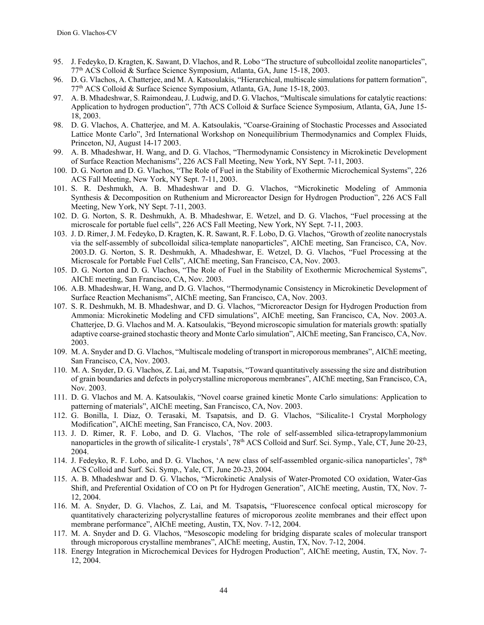- 95. J. Fedeyko, D. Kragten, K. Sawant, D. Vlachos, and R. Lobo "The structure of subcolloidal zeolite nanoparticles", 77th ACS Colloid & Surface Science Symposium, Atlanta, GA, June 15-18, 2003.
- 96. D. G. Vlachos, A. Chatterjee, and M. A. Katsoulakis, "Hierarchical, multiscale simulations for pattern formation", 77th ACS Colloid & Surface Science Symposium, Atlanta, GA, June 15-18, 2003.
- 97. A. B. Mhadeshwar, S. Raimondeau, J. Ludwig, and D. G. Vlachos, "Multiscale simulations for catalytic reactions: Application to hydrogen production", 77th ACS Colloid & Surface Science Symposium, Atlanta, GA, June 15- 18, 2003.
- 98. D. G. Vlachos, A. Chatterjee, and M. A. Katsoulakis, "Coarse-Graining of Stochastic Processes and Associated Lattice Monte Carlo", 3rd International Workshop on Nonequilibrium Thermodynamics and Complex Fluids, Princeton, NJ, August 14-17 2003.
- 99. A. B. Mhadeshwar, H. Wang, and D. G. Vlachos, "Thermodynamic Consistency in Microkinetic Development of Surface Reaction Mechanisms", 226 ACS Fall Meeting, New York, NY Sept. 7-11, 2003.
- 100. D. G. Norton and D. G. Vlachos, "The Role of Fuel in the Stability of Exothermic Microchemical Systems", 226 ACS Fall Meeting, New York, NY Sept. 7-11, 2003.
- 101. S. R. Deshmukh, A. B. Mhadeshwar and D. G. Vlachos, "Microkinetic Modeling of Ammonia Synthesis & Decomposition on Ruthenium and Microreactor Design for Hydrogen Production", 226 ACS Fall Meeting, New York, NY Sept. 7-11, 2003.
- 102. D. G. Norton, S. R. Deshmukh, A. B. Mhadeshwar, E. Wetzel, and D. G. Vlachos, "Fuel processing at the microscale for portable fuel cells", 226 ACS Fall Meeting, New York, NY Sept. 7-11, 2003.
- 103. J. D. Rimer, J. M. Fedeyko, D. Kragten, K. R. Sawant, R. F. Lobo, D. G. Vlachos, "Growth of zeolite nanocrystals via the self-assembly of subcolloidal silica-template nanoparticles", AIChE meeting, San Francisco, CA, Nov. 2003.D. G. Norton, S. R. Deshmukh, A. Mhadeshwar, E. Wetzel, D. G. Vlachos, "Fuel Processing at the Microscale for Portable Fuel Cells", AIChE meeting, San Francisco, CA, Nov. 2003.
- 105. D. G. Norton and D. G. Vlachos, "The Role of Fuel in the Stability of Exothermic Microchemical Systems", AIChE meeting, San Francisco, CA, Nov. 2003.
- 106. A.B. Mhadeshwar, H. Wang, and D. G. Vlachos, "Thermodynamic Consistency in Microkinetic Development of Surface Reaction Mechanisms", AIChE meeting, San Francisco, CA, Nov. 2003.
- 107. S. R. Deshmukh, M. B. Mhadeshwar, and D. G. Vlachos, "Microreactor Design for Hydrogen Production from Ammonia: Microkinetic Modeling and CFD simulations", AIChE meeting, San Francisco, CA, Nov. 2003.A. Chatterjee, D. G. Vlachos and M. A. Katsoulakis, "Beyond microscopic simulation for materials growth: spatially adaptive coarse-grained stochastic theory and Monte Carlo simulation", AIChE meeting, San Francisco, CA, Nov. 2003.
- 109. M. A. Snyder and D. G. Vlachos, "Multiscale modeling of transport in microporous membranes", AIChE meeting, San Francisco, CA, Nov. 2003.
- 110. M. A. Snyder, D. G. Vlachos, Z. Lai, and M. Tsapatsis, "Toward quantitatively assessing the size and distribution of grain boundaries and defects in polycrystalline microporous membranes", AIChE meeting, San Francisco, CA, Nov. 2003.
- 111. D. G. Vlachos and M. A. Katsoulakis, "Novel coarse grained kinetic Monte Carlo simulations: Application to patterning of materials", AIChE meeting, San Francisco, CA, Nov. 2003.
- 112. G. Bonilla, I. Diaz, O. Terasaki, M. Tsapatsis, and D. G. Vlachos, "Silicalite-1 Crystal Morphology Modification", AIChE meeting, San Francisco, CA, Nov. 2003.
- 113. J. D. Rimer, R. F. Lobo, and D. G. Vlachos, 'The role of self-assembled silica-tetrapropylammonium nanoparticles in the growth of silicalite-1 crystals', 78<sup>th</sup> ACS Colloid and Surf. Sci. Symp., Yale, CT, June 20-23, 2004.
- 114. J. Fedeyko, R. F. Lobo, and D. G. Vlachos, 'A new class of self-assembled organic-silica nanoparticles',  $78<sup>th</sup>$ ACS Colloid and Surf. Sci. Symp., Yale, CT, June 20-23, 2004.
- 115. A. B. Mhadeshwar and D. G. Vlachos, "Microkinetic Analysis of Water-Promoted CO oxidation, Water-Gas Shift, and Preferential Oxidation of CO on Pt for Hydrogen Generation", AIChE meeting, Austin, TX, Nov. 7- 12, 2004.
- 116. M. A. Snyder, D. G. Vlachos, Z. Lai, and M. Tsapatsis**,** "Fluorescence confocal optical microscopy for quantitatively characterizing polycrystalline features of microporous zeolite membranes and their effect upon membrane performance", AIChE meeting, Austin, TX, Nov. 7-12, 2004.
- 117. M. A. Snyder and D. G. Vlachos, "Mesoscopic modeling for bridging disparate scales of molecular transport through microporous crystalline membranes", AIChE meeting, Austin, TX, Nov. 7-12, 2004.
- 118. Energy Integration in Microchemical Devices for Hydrogen Production", AIChE meeting, Austin, TX, Nov. 7- 12, 2004.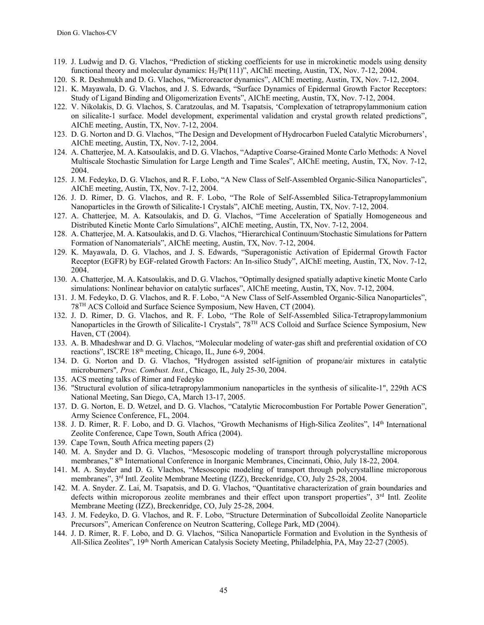- 119. J. Ludwig and D. G. Vlachos, "Prediction of sticking coefficients for use in microkinetic models using density functional theory and molecular dynamics:  $H_2/Pt(111)$ ", AIChE meeting, Austin, TX, Nov. 7-12, 2004.
- 120. S. R. Deshmukh and D. G. Vlachos, "Microreactor dynamics", AIChE meeting, Austin, TX, Nov. 7-12, 2004.
- 121. K. Mayawala, D. G. Vlachos, and J. S. Edwards, "Surface Dynamics of Epidermal Growth Factor Receptors: Study of Ligand Binding and Oligomerization Events", AIChE meeting, Austin, TX, Nov. 7-12, 2004.
- 122. V. Nikolakis, D. G. Vlachos, S. Caratzoulas, and M. Tsapatsis, 'Complexation of tetrapropylammonium cation on silicalite-1 surface. Model development, experimental validation and crystal growth related predictions", AIChE meeting, Austin, TX, Nov. 7-12, 2004.
- 123. D. G. Norton and D. G. Vlachos, "The Design and Development of Hydrocarbon Fueled Catalytic Microburners', AIChE meeting, Austin, TX, Nov. 7-12, 2004.
- 124. A. Chatterjee, M. A. Katsoulakis, and D. G. Vlachos, "Adaptive Coarse-Grained Monte Carlo Methods: A Novel Multiscale Stochastic Simulation for Large Length and Time Scales", AIChE meeting, Austin, TX, Nov. 7-12, 2004.
- 125. J. M. Fedeyko, D. G. Vlachos, and R. F. Lobo, "A New Class of Self-Assembled Organic-Silica Nanoparticles", AIChE meeting, Austin, TX, Nov. 7-12, 2004.
- 126. J. D. Rimer, D. G. Vlachos, and R. F. Lobo, "The Role of Self-Assembled Silica-Tetrapropylammonium Nanoparticles in the Growth of Silicalite-1 Crystals", AIChE meeting, Austin, TX, Nov. 7-12, 2004.
- 127. A. Chatterjee, M. A. Katsoulakis, and D. G. Vlachos, "Time Acceleration of Spatially Homogeneous and Distributed Kinetic Monte Carlo Simulations", AIChE meeting, Austin, TX, Nov. 7-12, 2004.
- 128. A. Chatterjee, M. A. Katsoulakis, and D. G. Vlachos, "Hierarchical Continuum/Stochastic Simulations for Pattern Formation of Nanomaterials", AIChE meeting, Austin, TX, Nov. 7-12, 2004.
- 129. K. Mayawala, D. G. Vlachos, and J. S. Edwards, "Superagonistic Activation of Epidermal Growth Factor Receptor (EGFR) by EGF-related Growth Factors: An In-silico Study", AIChE meeting, Austin, TX, Nov. 7-12, 2004.
- 130. A. Chatterjee, M. A. Katsoulakis, and D. G. Vlachos, "Optimally designed spatially adaptive kinetic Monte Carlo simulations: Nonlinear behavior on catalytic surfaces", AIChE meeting, Austin, TX, Nov. 7-12, 2004.
- 131. J. M. Fedeyko, D. G. Vlachos, and R. F. Lobo, "A New Class of Self-Assembled Organic-Silica Nanoparticles", 78TH ACS Colloid and Surface Science Symposium, New Haven, CT (2004).
- 132. J. D. Rimer, D. G. Vlachos, and R. F. Lobo, "The Role of Self-Assembled Silica-Tetrapropylammonium Nanoparticles in the Growth of Silicalite-1 Crystals", 78<sup>TH</sup> ACS Colloid and Surface Science Symposium, New Haven, CT (2004).
- 133. A. B. Mhadeshwar and D. G. Vlachos, "Molecular modeling of water-gas shift and preferential oxidation of CO reactions", ISCRE 18th meeting, Chicago, IL, June 6-9, 2004.
- 134. D. G. Norton and D. G. Vlachos, "Hydrogen assisted self-ignition of propane/air mixtures in catalytic microburners"*, Proc. Combust. Inst.*, Chicago, IL, July 25-30, 2004.
- 135. ACS meeting talks of Rimer and Fedeyko
- 136. "Structural evolution of silica-tetrapropylammonium nanoparticles in the synthesis of silicalite-1", 229th ACS National Meeting, San Diego, CA, March 13-17, 2005.
- 137. D. G. Norton, E. D. Wetzel, and D. G. Vlachos, "Catalytic Microcombustion For Portable Power Generation", Army Science Conference, FL, 2004.
- 138. J. D. Rimer, R. F. Lobo, and D. G. Vlachos, "Growth Mechanisms of High-Silica Zeolites", 14th International Zeolite Conference, Cape Town, South Africa (2004).
- 139. Cape Town, South Africa meeting papers (2)
- 140. M. A. Snyder and D. G. Vlachos, "Mesoscopic modeling of transport through polycrystalline microporous membranes," 8th International Conference in Inorganic Membranes, Cincinnati, Ohio, July 18-22, 2004.
- 141. M. A. Snyder and D. G. Vlachos, "Mesoscopic modeling of transport through polycrystalline microporous membranes", 3rd Intl. Zeolite Membrane Meeting (IZZ), Breckenridge, CO, July 25-28, 2004.
- 142. M. A. Snyder. Z. Lai, M. Tsapatsis, and D. G. Vlachos, "Quantitative characterization of grain boundaries and defects within microporous zeolite membranes and their effect upon transport properties", 3<sup>rd</sup> Intl. Zeolite Membrane Meeting (IZZ), Breckenridge, CO, July 25-28, 2004.
- 143. J. M. Fedeyko, D. G. Vlachos, and R. F. Lobo, "Structure Determination of Subcolloidal Zeolite Nanoparticle Precursors", American Conference on Neutron Scattering, College Park, MD (2004).
- 144. J. D. Rimer, R. F. Lobo, and D. G. Vlachos, "Silica Nanoparticle Formation and Evolution in the Synthesis of All-Silica Zeolites", 19<sup>th</sup> North American Catalysis Society Meeting, Philadelphia, PA, May 22-27 (2005).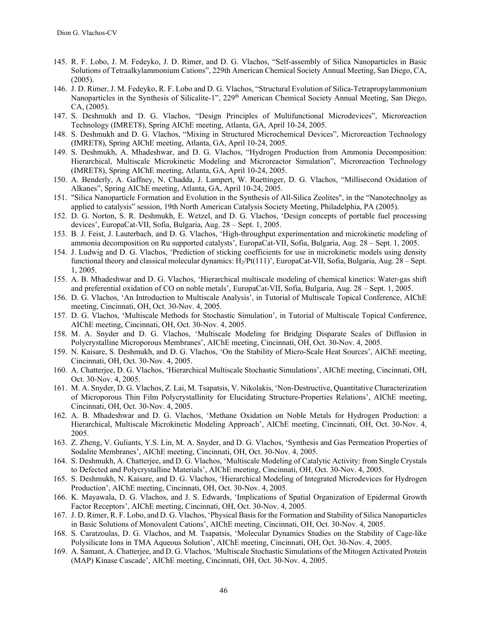- 145. R. F. Lobo, J. M. Fedeyko, J. D. Rimer, and D. G. Vlachos, "Self-assembly of Silica Nanoparticles in Basic Solutions of Tetraalkylammonium Cations", 229th American Chemical Society Annual Meeting, San Diego, CA, (2005).
- 146. J. D. Rimer, J. M. Fedeyko, R. F. Lobo and D. G. Vlachos, "Structural Evolution of Silica-Tetrapropylammonium Nanoparticles in the Synthesis of Silicalite-1", 229<sup>th</sup> American Chemical Society Annual Meeting, San Diego, CA, (2005).
- 147. S. Deshmukh and D. G. Vlachos, "Design Principles of Multifunctional Microdevices", Microreaction Technology (IMRET8), Spring AIChE meeting, Atlanta, GA, April 10-24, 2005.
- 148. S. Deshmukh and D. G. Vlachos, "Mixing in Structured Microchemical Devices", Microreaction Technology (IMRET8), Spring AIChE meeting, Atlanta, GA, April 10-24, 2005.
- 149. S. Deshmukh, A. Mhadeshwar, and D. G. Vlachos, "Hydrogen Production from Ammonia Decomposition: Hierarchical, Multiscale Microkinetic Modeling and Microreactor Simulation", Microreaction Technology (IMRET8), Spring AIChE meeting, Atlanta, GA, April 10-24, 2005.
- 150. A. Benderly, A. Gaffney, N. Chadda, J. Lampert, W. Ruettinger, D. G. Vlachos, "Millisecond Oxidation of Alkanes", Spring AIChE meeting, Atlanta, GA, April 10-24, 2005.
- 151. "Silica Nanoparticle Formation and Evolution in the Synthesis of All-Silica Zeolites", in the "Nanotechnolgy as applied to catalysis" session, 19th North American Catalysis Society Meeting, Philadelphia, PA (2005).
- 152. D. G. Norton, S. R. Deshmukh, E. Wetzel, and D. G. Vlachos, 'Design concepts of portable fuel processing devices', EuropaCat-VII, Sofia, Bulgaria, Aug. 28 – Sept. 1, 2005.
- 153. B. J. Feist, J. Lauterbach, and D. G. Vlachos, 'High-throughput experimentation and microkinetic modeling of ammonia decomposition on Ru supported catalysts', EuropaCat-VII, Sofia, Bulgaria, Aug. 28 – Sept. 1, 2005.
- 154. J. Ludwig and D. G. Vlachos, 'Prediction of sticking coefficients for use in microkinetic models using density functional theory and classical molecular dynamics:  $H_2/Pt(111)$ ', EuropaCat-VII, Sofia, Bulgaria, Aug. 28 – Sept. 1, 2005.
- 155. A. B. Mhadeshwar and D. G. Vlachos, 'Hierarchical multiscale modeling of chemical kinetics: Water-gas shift and preferential oxidation of CO on noble metals', EuropaCat-VII, Sofia, Bulgaria, Aug. 28 – Sept. 1, 2005.
- 156. D. G. Vlachos, 'An Introduction to Multiscale Analysis', in Tutorial of Multiscale Topical Conference, AIChE meeting, Cincinnati, OH, Oct. 30-Nov. 4, 2005.
- 157. D. G. Vlachos, 'Multiscale Methods for Stochastic Simulation', in Tutorial of Multiscale Topical Conference, AIChE meeting, Cincinnati, OH, Oct. 30-Nov. 4, 2005.
- 158. M. A. Snyder and D. G. Vlachos, 'Multiscale Modeling for Bridging Disparate Scales of Diffusion in Polycrystalline Microporous Membranes', AIChE meeting, Cincinnati, OH, Oct. 30-Nov. 4, 2005.
- 159. N. Kaisare, S. Deshmukh, and D. G. Vlachos, 'On the Stability of Micro-Scale Heat Sources', AIChE meeting, Cincinnati, OH, Oct. 30-Nov. 4, 2005.
- 160. A. Chatterjee, D. G. Vlachos, 'Hierarchical Multiscale Stochastic Simulations', AIChE meeting, Cincinnati, OH, Oct. 30-Nov. 4, 2005.
- 161. M. A. Snyder, D. G. Vlachos, Z. Lai, M. Tsapatsis, V. Nikolakis, 'Non-Destructive, Quantitative Characterization of Microporous Thin Film Polycrystallinity for Elucidating Structure-Properties Relations', AIChE meeting, Cincinnati, OH, Oct. 30-Nov. 4, 2005.
- 162. A. B. Mhadeshwar and D. G. Vlachos, 'Methane Oxidation on Noble Metals for Hydrogen Production: a Hierarchical, Multiscale Microkinetic Modeling Approach', AIChE meeting, Cincinnati, OH, Oct. 30-Nov. 4, 2005.
- 163. Z. Zheng, V. Guliants, Y.S. Lin, M. A. Snyder, and D. G. Vlachos, 'Synthesis and Gas Permeation Properties of Sodalite Membranes', AIChE meeting, Cincinnati, OH, Oct. 30-Nov. 4, 2005.
- 164. S. Deshmukh, A. Chatterjee, and D. G. Vlachos, 'Multiscale Modeling of Catalytic Activity: from Single Crystals to Defected and Polycrystalline Materials', AIChE meeting, Cincinnati, OH, Oct. 30-Nov. 4, 2005.
- 165. S. Deshmukh, N. Kaisare, and D. G. Vlachos, 'Hierarchical Modeling of Integrated Microdevices for Hydrogen Production', AIChE meeting, Cincinnati, OH, Oct. 30-Nov. 4, 2005.
- 166. K. Mayawala, D. G. Vlachos, and J. S. Edwards, 'Implications of Spatial Organization of Epidermal Growth Factor Receptors', AIChE meeting, Cincinnati, OH, Oct. 30-Nov. 4, 2005.
- 167. J. D. Rimer, R. F. Lobo, and D. G. Vlachos, 'Physical Basis for the Formation and Stability of Silica Nanoparticles in Basic Solutions of Monovalent Cations', AIChE meeting, Cincinnati, OH, Oct. 30-Nov. 4, 2005.
- 168. S. Caratzoulas, D. G. Vlachos, and M. Tsapatsis, 'Molecular Dynamics Studies on the Stability of Cage-like Polysilicate Ions in TMA Aqueous Solution', AIChE meeting, Cincinnati, OH, Oct. 30-Nov. 4, 2005.
- 169. A. Samant, A. Chatterjee, and D. G. Vlachos, 'Multiscale Stochastic Simulations of the Mitogen Activated Protein (MAP) Kinase Cascade', AIChE meeting, Cincinnati, OH, Oct. 30-Nov. 4, 2005.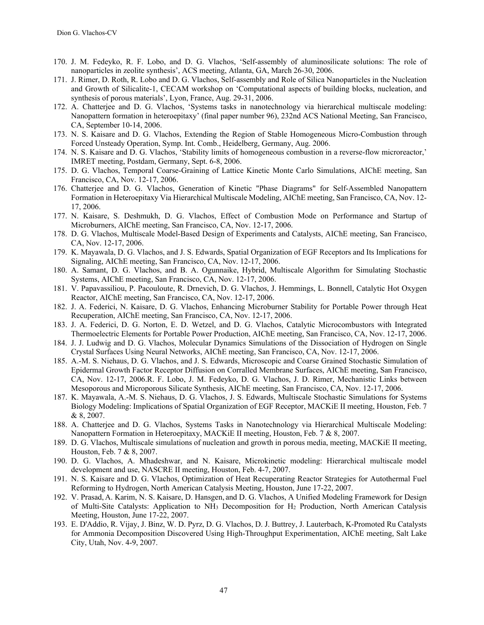- 170. J. M. Fedeyko, R. F. Lobo, and D. G. Vlachos, 'Self-assembly of aluminosilicate solutions: The role of nanoparticles in zeolite synthesis', ACS meeting, Atlanta, GA, March 26-30, 2006.
- 171. J. Rimer, D. Roth, R. Lobo and D. G. Vlachos, Self-assembly and Role of Silica Nanoparticles in the Nucleation and Growth of Silicalite-1, CECAM workshop on 'Computational aspects of building blocks, nucleation, and synthesis of porous materials', Lyon, France, Aug. 29-31, 2006.
- 172. A. Chatterjee and D. G. Vlachos, 'Systems tasks in nanotechnology via hierarchical multiscale modeling: Nanopattern formation in heteroepitaxy' (final paper number 96), 232nd ACS National Meeting, San Francisco, CA, September 10-14, 2006.
- 173. N. S. Kaisare and D. G. Vlachos, Extending the Region of Stable Homogeneous Micro-Combustion through Forced Unsteady Operation, Symp. Int. Comb., Heidelberg, Germany, Aug. 2006.
- 174. N. S. Kaisare and D. G. Vlachos, 'Stability limits of homogeneous combustion in a reverse-flow microreactor,' IMRET meeting, Postdam, Germany, Sept. 6-8, 2006.
- 175. D. G. Vlachos, Temporal Coarse-Graining of Lattice Kinetic Monte Carlo Simulations, AIChE meeting, San Francisco, CA, Nov. 12-17, 2006.
- 176. Chatterjee and D. G. Vlachos, Generation of Kinetic "Phase Diagrams" for Self-Assembled Nanopattern Formation in Heteroepitaxy Via Hierarchical Multiscale Modeling, AIChE meeting, San Francisco, CA, Nov. 12- 17, 2006.
- 177. N. Kaisare, S. Deshmukh, D. G. Vlachos, Effect of Combustion Mode on Performance and Startup of Microburners, AIChE meeting, San Francisco, CA, Nov. 12-17, 2006.
- 178. D. G. Vlachos, Multiscale Model-Based Design of Experiments and Catalysts, AIChE meeting, San Francisco, CA, Nov. 12-17, 2006.
- 179. K. Mayawala, D. G. Vlachos, and J. S. Edwards, Spatial Organization of EGF Receptors and Its Implications for Signaling, AIChE meeting, San Francisco, CA, Nov. 12-17, 2006.
- 180. A. Samant, D. G. Vlachos, and B. A. Ogunnaike, Hybrid, Multiscale Algorithm for Simulating Stochastic Systems, AIChE meeting, San Francisco, CA, Nov. 12-17, 2006.
- 181. V. Papavassiliou, P. Pacouloute, R. Drnevich, D. G. Vlachos, J. Hemmings, L. Bonnell, Catalytic Hot Oxygen Reactor, AIChE meeting, San Francisco, CA, Nov. 12-17, 2006.
- 182. J. A. Federici, N. Kaisare, D. G. Vlachos, Enhancing Microburner Stability for Portable Power through Heat Recuperation, AIChE meeting, San Francisco, CA, Nov. 12-17, 2006.
- 183. J. A. Federici, D. G. Norton, E. D. Wetzel, and D. G. Vlachos, Catalytic Microcombustors with Integrated Thermoelectric Elements for Portable Power Production, AIChE meeting, San Francisco, CA, Nov. 12-17, 2006.
- 184. J. J. Ludwig and D. G. Vlachos, Molecular Dynamics Simulations of the Dissociation of Hydrogen on Single Crystal Surfaces Using Neural Networks, AIChE meeting, San Francisco, CA, Nov. 12-17, 2006.
- 185. A.-M. S. Niehaus, D. G. Vlachos, and J. S. Edwards, Microscopic and Coarse Grained Stochastic Simulation of Epidermal Growth Factor Receptor Diffusion on Corralled Membrane Surfaces, AIChE meeting, San Francisco, CA, Nov. 12-17, 2006.R. F. Lobo, J. M. Fedeyko, D. G. Vlachos, J. D. Rimer, Mechanistic Links between Mesoporous and Microporous Silicate Synthesis, AIChE meeting, San Francisco, CA, Nov. 12-17, 2006.
- 187. K. Mayawala, A.-M. S. Niehaus, D. G. Vlachos, J. S. Edwards, Multiscale Stochastic Simulations for Systems Biology Modeling: Implications of Spatial Organization of EGF Receptor, MACKiE II meeting, Houston, Feb. 7 & 8, 2007.
- 188. A. Chatterjee and D. G. Vlachos, Systems Tasks in Nanotechnology via Hierarchical Multiscale Modeling: Nanopattern Formation in Heteroepitaxy, MACKiE II meeting, Houston, Feb. 7 & 8, 2007.
- 189. D. G. Vlachos, Multiscale simulations of nucleation and growth in porous media, meeting, MACKiE II meeting, Houston, Feb. 7 & 8, 2007.
- 190. D. G. Vlachos, A. Mhadeshwar, and N. Kaisare, Microkinetic modeling: Hierarchical multiscale model development and use, NASCRE II meeting, Houston, Feb. 4-7, 2007.
- 191. N. S. Kaisare and D. G. Vlachos, Optimization of Heat Recuperating Reactor Strategies for Autothermal Fuel Reforming to Hydrogen, North American Catalysis Meeting, Houston, June 17-22, 2007.
- 192. V. Prasad, A. Karim, N. S. Kaisare, D. Hansgen, and D. G. Vlachos, A Unified Modeling Framework for Design of Multi-Site Catalysts: Application to NH3 Decomposition for H2 Production, North American Catalysis Meeting, Houston, June 17-22, 2007.
- 193. E. D'Addio, R. Vijay, J. Binz, W. D. Pyrz, D. G. Vlachos, D. J. Buttrey, J. Lauterbach, K-Promoted Ru Catalysts for Ammonia Decomposition Discovered Using High-Throughput Experimentation, AIChE meeting, Salt Lake City, Utah, Nov. 4-9, 2007.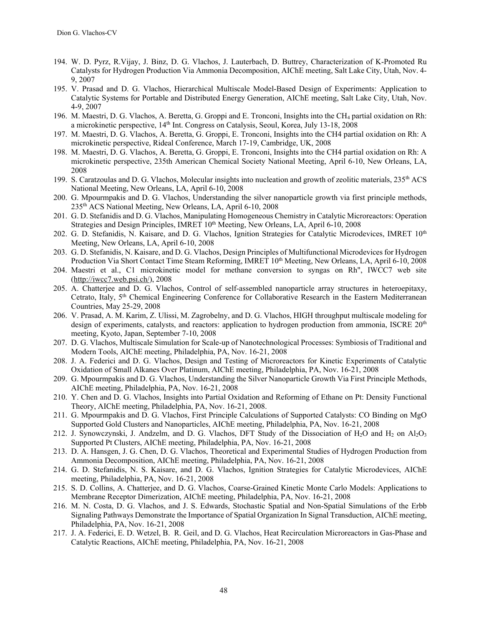- 194. W. D. Pyrz, R.Vijay, J. Binz, D. G. Vlachos, J. Lauterbach, D. Buttrey, Characterization of K-Promoted Ru Catalysts for Hydrogen Production Via Ammonia Decomposition, AIChE meeting, Salt Lake City, Utah, Nov. 4- 9, 2007
- 195. V. Prasad and D. G. Vlachos, Hierarchical Multiscale Model-Based Design of Experiments: Application to Catalytic Systems for Portable and Distributed Energy Generation, AIChE meeting, Salt Lake City, Utah, Nov. 4-9, 2007
- 196. M. Maestri, D. G. Vlachos, A. Beretta, G. Groppi and E. Tronconi, Insights into the CH4 partial oxidation on Rh: a microkinetic perspective, 14<sup>th</sup> Int. Congress on Catalysis, Seoul, Korea, July 13-18, 2008
- 197. M. Maestri, D. G. Vlachos, A. Beretta, G. Groppi, E. Tronconi, Insights into the CH4 partial oxidation on Rh: A microkinetic perspective, Rideal Conference, March 17-19, Cambridge, UK, 2008
- 198. M. Maestri, D. G. Vlachos, A. Beretta, G. Groppi, E. Tronconi, Insights into the CH4 partial oxidation on Rh: A microkinetic perspective, 235th American Chemical Society National Meeting, April 6-10, New Orleans, LA, 2008
- 199. S. Caratzoulas and D. G. Vlachos, Molecular insights into nucleation and growth of zeolitic materials, 235<sup>th</sup> ACS National Meeting, New Orleans, LA, April 6-10, 2008
- 200. G. Mpourmpakis and D. G. Vlachos, Understanding the silver nanoparticle growth via first principle methods, 235th ACS National Meeting, New Orleans, LA, April 6-10, 2008
- 201. G. D. Stefanidis and D. G. Vlachos, Manipulating Homogeneous Chemistry in Catalytic Microreactors: Operation Strategies and Design Principles, IMRET 10<sup>th</sup> Meeting, New Orleans, LA, April 6-10, 2008
- 202. G. D. Stefanidis, N. Kaisare, and D. G. Vlachos, Ignition Strategies for Catalytic Microdevices, IMRET 10th Meeting, New Orleans, LA, April 6-10, 2008
- 203. G. D. Stefanidis, N. Kaisare, and D. G. Vlachos, Design Principles of Multifunctional Microdevices for Hydrogen Production Via Short Contact Time Steam Reforming, IMRET 10th Meeting, New Orleans, LA, April 6-10, 2008
- 204. Maestri et al., C1 microkinetic model for methane conversion to syngas on Rh", IWCC7 web site (http://iwcc7.web.psi.ch/), 2008
- 205. A. Chatterjee and D. G. Vlachos, Control of self-assembled nanoparticle array structures in heteroepitaxy, Cetrato, Italy, 5<sup>th</sup> Chemical Engineering Conference for Collaborative Research in the Eastern Mediterranean Countries, May 25-29, 2008
- 206. V. Prasad, A. M. Karim, Z. Ulissi, M. Zagrobelny, and D. G. Vlachos, HIGH throughput multiscale modeling for design of experiments, catalysts, and reactors: application to hydrogen production from ammonia, ISCRE  $20<sup>th</sup>$ meeting, Kyoto, Japan, September 7-10, 2008
- 207. D. G. Vlachos, Multiscale Simulation for Scale-up of Nanotechnological Processes: Symbiosis of Traditional and Modern Tools, AIChE meeting, Philadelphia, PA, Nov. 16-21, 2008
- 208. J. A. Federici and D. G. Vlachos, Design and Testing of Microreactors for Kinetic Experiments of Catalytic Oxidation of Small Alkanes Over Platinum, AIChE meeting, Philadelphia, PA, Nov. 16-21, 2008
- 209. G. Mpourmpakis and D. G. Vlachos, Understanding the Silver Nanoparticle Growth Via First Principle Methods, AIChE meeting, Philadelphia, PA, Nov. 16-21, 2008
- 210. Y. Chen and D. G. Vlachos, Insights into Partial Oxidation and Reforming of Ethane on Pt: Density Functional Theory, AIChE meeting, Philadelphia, PA, Nov. 16-21, 2008.
- 211. G. Mpourmpakis and D. G. Vlachos, First Principle Calculations of Supported Catalysts: CO Binding on MgO Supported Gold Clusters and Nanoparticles, AIChE meeting, Philadelphia, PA, Nov. 16-21, 2008
- 212. J. Synowczynski, J. Andzelm, and D. G. Vlachos, DFT Study of the Dissociation of  $H_2O$  and  $H_2$  on Al<sub>2</sub>O<sub>3</sub> Supported Pt Clusters, AIChE meeting, Philadelphia, PA, Nov. 16-21, 2008
- 213. D. A. Hansgen, J. G. Chen, D. G. Vlachos, Theoretical and Experimental Studies of Hydrogen Production from Ammonia Decomposition, AIChE meeting, Philadelphia, PA, Nov. 16-21, 2008
- 214. G. D. Stefanidis, N. S. Kaisare, and D. G. Vlachos, Ignition Strategies for Catalytic Microdevices, AIChE meeting, Philadelphia, PA, Nov. 16-21, 2008
- 215. S. D. Collins, A. Chatterjee, and D. G. Vlachos, Coarse-Grained Kinetic Monte Carlo Models: Applications to Membrane Receptor Dimerization, AIChE meeting, Philadelphia, PA, Nov. 16-21, 2008
- 216. M. N. Costa, D. G. Vlachos, and J. S. Edwards, Stochastic Spatial and Non-Spatial Simulations of the Erbb Signaling Pathways Demonstrate the Importance of Spatial Organization In Signal Transduction, AIChE meeting, Philadelphia, PA, Nov. 16-21, 2008
- 217. J. A. Federici, E. D. Wetzel, B. R. Geil, and D. G. Vlachos, Heat Recirculation Microreactors in Gas-Phase and Catalytic Reactions, AIChE meeting, Philadelphia, PA, Nov. 16-21, 2008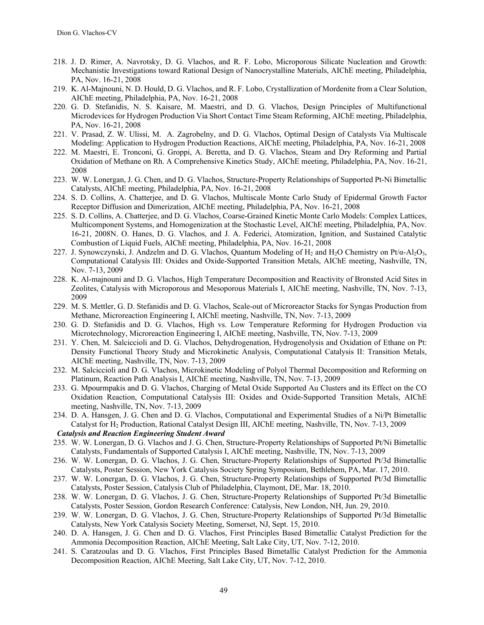- 218. J. D. Rimer, A. Navrotsky, D. G. Vlachos, and R. F. Lobo, Microporous Silicate Nucleation and Growth: Mechanistic Investigations toward Rational Design of Nanocrystalline Materials, AIChE meeting, Philadelphia, PA, Nov. 16-21, 2008
- 219. K. Al-Majnouni, N. D. Hould, D. G. Vlachos, and R. F. Lobo, Crystallization of Mordenite from a Clear Solution, AIChE meeting, Philadelphia, PA, Nov. 16-21, 2008
- 220. G. D. Stefanidis, N. S. Kaisare, M. Maestri, and D. G. Vlachos, Design Principles of Multifunctional Microdevices for Hydrogen Production Via Short Contact Time Steam Reforming, AIChE meeting, Philadelphia, PA, Nov. 16-21, 2008
- 221. V. Prasad, Z. W. Ulissi, M. A. Zagrobelny, and D. G. Vlachos, Optimal Design of Catalysts Via Multiscale Modeling: Application to Hydrogen Production Reactions, AIChE meeting, Philadelphia, PA, Nov. 16-21, 2008
- 222. M. Maestri, E. Tronconi, G. Groppi, A. Beretta, and D. G. Vlachos, Steam and Dry Reforming and Partial Oxidation of Methane on Rh. A Comprehensive Kinetics Study, AIChE meeting, Philadelphia, PA, Nov. 16-21, 2008
- 223. W. W. Lonergan, J. G. Chen, and D. G. Vlachos, Structure-Property Relationships of Supported Pt-Ni Bimetallic Catalysts, AIChE meeting, Philadelphia, PA, Nov. 16-21, 2008
- 224. S. D. Collins, A. Chatterjee, and D. G. Vlachos, Multiscale Monte Carlo Study of Epidermal Growth Factor Receptor Diffusion and Dimerization, AIChE meeting, Philadelphia, PA, Nov. 16-21, 2008
- 225. S. D. Collins, A. Chatterjee, and D. G. Vlachos, Coarse-Grained Kinetic Monte Carlo Models: Complex Lattices, Multicomponent Systems, and Homogenization at the Stochastic Level, AIChE meeting, Philadelphia, PA, Nov. 16-21, 2008N. O. Hanes, D. G. Vlachos, and J. A. Federici, Atomization, Ignition, and Sustained Catalytic Combustion of Liquid Fuels, AIChE meeting, Philadelphia, PA, Nov. 16-21, 2008
- 227. J. Synowczynski, J. Andzelm and D. G. Vlachos, Quantum Modeling of H<sub>2</sub> and H<sub>2</sub>O Chemistry on Pt/ $\alpha$ -Al<sub>2</sub>O<sub>3</sub>, Computational Catalysis III: Oxides and Oxide-Supported Transition Metals, AIChE meeting, Nashville, TN, Nov. 7-13, 2009
- 228. K. Al-majnouni and D. G. Vlachos, High Temperature Decomposition and Reactivity of Bronsted Acid Sites in Zeolites, Catalysis with Microporous and Mesoporous Materials I, AIChE meeting, Nashville, TN, Nov. 7-13, 2009
- 229. M. S. Mettler, G. D. Stefanidis and D. G. Vlachos, Scale-out of Microreactor Stacks for Syngas Production from Methane, Microreaction Engineering I, AIChE meeting, Nashville, TN, Nov. 7-13, 2009
- 230. G. D. Stefanidis and D. G. Vlachos, High vs. Low Temperature Reforming for Hydrogen Production via Microtechnology, Microreaction Engineering I, AIChE meeting, Nashville, TN, Nov. 7-13, 2009
- 231. Y. Chen, M. Salciccioli and D. G. Vlachos, Dehydrogenation, Hydrogenolysis and Oxidation of Ethane on Pt: Density Functional Theory Study and Microkinetic Analysis, Computational Catalysis II: Transition Metals, AIChE meeting, Nashville, TN, Nov. 7-13, 2009
- 232. M. Salciccioli and D. G. Vlachos, Microkinetic Modeling of Polyol Thermal Decomposition and Reforming on Platinum, Reaction Path Analysis I, AIChE meeting, Nashville, TN, Nov. 7-13, 2009
- 233. G. Mpourmpakis and D. G. Vlachos, Charging of Metal Oxide Supported Au Clusters and its Effect on the CO Oxidation Reaction, Computational Catalysis III: Oxides and Oxide-Supported Transition Metals, AIChE meeting, Nashville, TN, Nov. 7-13, 2009
- 234. D. A. Hansgen, J. G. Chen and D. G. Vlachos, Computational and Experimental Studies of a Ni/Pt Bimetallic Catalyst for H2 Production, Rational Catalyst Design III, AIChE meeting, Nashville, TN, Nov. 7-13, 2009 *Catalysis and Reaction Engineering Student Award*
- 235. W. W. Lonergan, D. G. Vlachos and J. G. Chen, Structure-Property Relationships of Supported Pt/Ni Bimetallic Catalysts, Fundamentals of Supported Catalysis I, AIChE meeting, Nashville, TN, Nov. 7-13, 2009
- 236. W. W. Lonergan, D. G. Vlachos, J. G. Chen, Structure-Property Relationships of Supported Pt/3d Bimetallic Catalysts, Poster Session, New York Catalysis Society Spring Symposium, Bethlehem, PA, Mar. 17, 2010.
- 237. W. W. Lonergan, D. G. Vlachos, J. G. Chen, Structure-Property Relationships of Supported Pt/3d Bimetallic Catalysts, Poster Session, Catalysis Club of Philadelphia, Claymont, DE, Mar. 18, 2010.
- 238. W. W. Lonergan, D. G. Vlachos, J. G. Chen, Structure-Property Relationships of Supported Pt/3d Bimetallic Catalysts, Poster Session, Gordon Research Conference: Catalysis, New London, NH, Jun. 29, 2010.
- 239. W. W. Lonergan, D. G. Vlachos, J. G. Chen, Structure-Property Relationships of Supported Pt/3d Bimetallic Catalysts, New York Catalysis Society Meeting, Somerset, NJ, Sept. 15, 2010.
- 240. D. A. Hansgen, J. G. Chen and D. G. Vlachos, First Principles Based Bimetallic Catalyst Prediction for the Ammonia Decomposition Reaction, AIChE Meeting, Salt Lake City, UT, Nov. 7-12, 2010.
- 241. S. Caratzoulas and D. G. Vlachos, First Principles Based Bimetallic Catalyst Prediction for the Ammonia Decomposition Reaction, AIChE Meeting, Salt Lake City, UT, Nov. 7-12, 2010.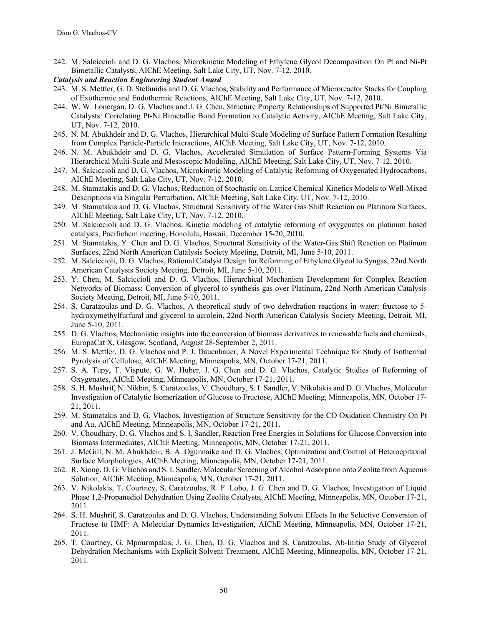- 242. M. Salciccioli and D. G. Vlachos, Microkinetic Modeling of Ethylene Glycol Decomposition On Pt and Ni-Pt Bimetallic Catalysts, AIChE Meeting, Salt Lake City, UT, Nov. 7-12, 2010.
- *Catalysis and Reaction Engineering Student Award*
- 243. M. S. Mettler, G. D. Stefanidis and D. G. Vlachos, Stability and Performance of Microreactor Stacks for Coupling of Exothermic and Endothermic Reactions, AIChE Meeting, Salt Lake City, UT, Nov. 7-12, 2010.
- 244. W. W. Lonergan, D. G. Vlachos and J. G. Chen, Structure Property Relationships of Supported Pt/Ni Bimetallic Catalysts: Correlating Pt-Ni Bimetallic Bond Formation to Catalytic Activity, AIChE Meeting, Salt Lake City, UT, Nov. 7-12, 2010.
- 245. N. M. Abukhdeir and D. G. Vlachos, Hierarchical Multi-Scale Modeling of Surface Pattern Formation Resulting from Complex Particle-Particle Interactions, AIChE Meeting, Salt Lake City, UT, Nov. 7-12, 2010.
- 246. N. M. Abukhdeir and D. G. Vlachos, Accelerated Simulation of Surface Pattern-Forming Systems Via Hierarchical Multi-Scale and Mesoscopic Modeling, AIChE Meeting, Salt Lake City, UT, Nov. 7-12, 2010.
- 247. M. Salciccioli and D. G. Vlachos, Microkinetic Modeling of Catalytic Reforming of Oxygenated Hydrocarbons, AIChE Meeting, Salt Lake City, UT, Nov. 7-12, 2010.
- 248. M. Stamatakis and D. G. Vlachos, Reduction of Stochastic on-Lattice Chemical Kinetics Models to Well-Mixed Descriptions via Singular Perturbation, AIChE Meeting, Salt Lake City, UT, Nov. 7-12, 2010.
- 249. M. Stamatakis and D. G. Vlachos, Structural Sensitivity of the Water Gas Shift Reaction on Platinum Surfaces, AIChE Meeting, Salt Lake City, UT, Nov. 7-12, 2010.
- 250. M. Salciccioli and D. G. Vlachos, Kinetic modeling of catalytic reforming of oxygenates on platinum based catalysts, Pacifichem meeting, Honolulu, Hawaii, December 15-20, 2010.
- 251. M. Stamatakis, Y. Chen and D. G. Vlachos, Structural Sensitivity of the Water-Gas Shift Reaction on Platinum Surfaces, 22nd North American Catalysis Society Meeting, Detroit, MI, June 5-10, 2011.
- 252. M. Salciccioli, D. G. Vlachos, Rational Catalyst Design for Reforming of Ethylene Glycol to Syngas, 22nd North American Catalysis Society Meeting, Detroit, MI, June 5-10, 2011.
- 253. Y. Chen, M. Salciccioli and D. G. Vlachos, Hierarchical Mechanism Development for Complex Reaction Networks of Biomass: Conversion of glycerol to synthesis gas over Platinum, 22nd North American Catalysis Society Meeting, Detroit, MI, June 5-10, 2011.
- 254. S. Caratzoulas and D. G. Vlachos, A theoretical study of two dehydration reactions in water: fructose to 5 hydroxymethylfurfural and glycerol to acrolein, 22nd North American Catalysis Society Meeting, Detroit, MI, June 5-10, 2011.
- 255. D. G. Vlachos, Mechanistic insights into the conversion of biomass derivatives to renewable fuels and chemicals, EuropaCat X, Glasgow, Scotland, August 28-September 2, 2011.
- 256. M. S. Mettler, D. G. Vlachos and P. J. Dauenhauer, A Novel Experimental Technique for Study of Isothermal Pyrolysis of Cellulose, AIChE Meeting, Minneapolis, MN, October 17-21, 2011.
- 257. S. A. Tupy, T. Vispute, G. W. Huber, J. G. Chen and D. G. Vlachos, Catalytic Studies of Reforming of Oxygenates, AIChE Meeting, Minneapolis, MN, October 17-21, 2011.
- 258. S. H. Mushrif, N. Nikbin, S. Caratzoulas, V. Choudhary, S. I. Sandler, V. Nikolakis and D. G. Vlachos, Molecular Investigation of Catalytic Isomerization of Glucose to Fructose, AIChE Meeting, Minneapolis, MN, October 17- 21, 2011.
- 259. M. Stamatakis and D. G. Vlachos, Investigation of Structure Sensitivity for the CO Oxidation Chemistry On Pt and Au, AIChE Meeting, Minneapolis, MN, October 17-21, 2011.
- 260. V. Choudhary, D. G. Vlachos and S. I. Sandler, Reaction Free Energies in Solutions for Glucose Conversion into Biomass Intermediates, AIChE Meeting, Minneapolis, MN, October 17-21, 2011.
- 261. J. McGill, N. M. Abukhdeir, B. A. Ogunnaike and D. G. Vlachos, Optimization and Control of Heteroepitaxial Surface Morphologies, AIChE Meeting, Minneapolis, MN, October 17-21, 2011.
- 262. R. Xiong, D. G. Vlachos and S. I. Sandler, Molecular Screening of Alcohol Adsorption onto Zeolite from Aqueous Solution, AIChE Meeting, Minneapolis, MN, October 17-21, 2011.
- 263. V. Nikolakis, T. Courtney, S. Caratzoulas, R. F. Lobo, J. G. Chen and D. G. Vlachos, Investigation of Liquid Phase 1,2-Propanediol Dehydration Using Zeolite Catalysts, AIChE Meeting, Minneapolis, MN, October 17-21, 2011.
- 264. S. H. Mushrif, S. Caratzoulas and D. G. Vlachos, Understanding Solvent Effects In the Selective Conversion of Fructose to HMF: A Molecular Dynamics Investigation, AIChE Meeting, Minneapolis, MN, October 17-21, 2011.
- 265. T. Courtney, G. Mpourmpakis, J. G. Chen, D. G. Vlachos and S. Caratzoulas, Ab-Initio Study of Glycerol Dehydration Mechanisms with Explicit Solvent Treatment, AIChE Meeting, Minneapolis, MN, October 17-21, 2011.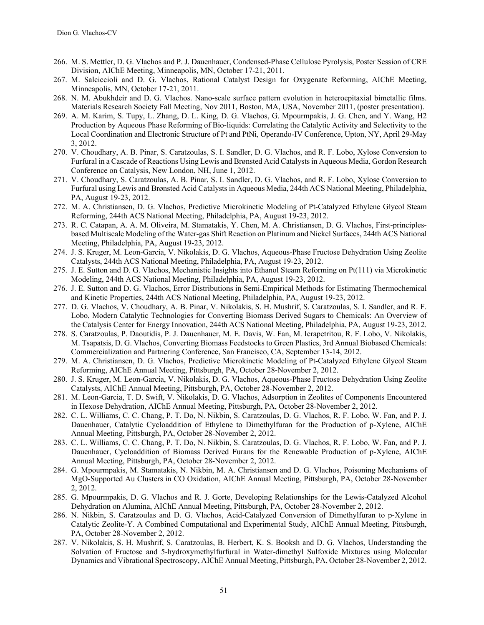- 266. M. S. Mettler, D. G. Vlachos and P. J. Dauenhauer, Condensed-Phase Cellulose Pyrolysis, Poster Session of CRE Division, AIChE Meeting, Minneapolis, MN, October 17-21, 2011.
- 267. M. Salciccioli and D. G. Vlachos, Rational Catalyst Design for Oxygenate Reforming, AIChE Meeting, Minneapolis, MN, October 17-21, 2011.
- 268. N. M. Abukhdeir and D. G. Vlachos. Nano-scale surface pattern evolution in heteroepitaxial bimetallic films. Materials Research Society Fall Meeting, Nov 2011, Boston, MA, USA, November 2011, (poster presentation).
- 269. A. M. Karim, S. Tupy, L. Zhang, D. L. King, D. G. Vlachos, G. Mpourmpakis, J. G. Chen, and Y. Wang, H2 Production by Aqueous Phase Reforming of Bio-liquids: Correlating the Catalytic Activity and Selectivity to the Local Coordination and Electronic Structure of Pt and PtNi, Operando-IV Conference, Upton, NY, April 29-May 3, 2012.
- 270. V. Choudhary, A. B. Pinar, S. Caratzoulas, S. I. Sandler, D. G. Vlachos, and R. F. Lobo, Xylose Conversion to Furfural in a Cascade of Reactions Using Lewis and Brønsted Acid Catalysts in Aqueous Media, Gordon Research Conference on Catalysis, New London, NH, June 1, 2012.
- 271. V. Choudhary, S. Caratzoulas, A. B. Pinar, S. I. Sandler, D. G. Vlachos, and R. F. Lobo, Xylose Conversion to Furfural using Lewis and Brønsted Acid Catalysts in Aqueous Media, 244th ACS National Meeting, Philadelphia, PA, August 19-23, 2012.
- 272. M. A. Christiansen, D. G. Vlachos, Predictive Microkinetic Modeling of Pt-Catalyzed Ethylene Glycol Steam Reforming, 244th ACS National Meeting, Philadelphia, PA, August 19-23, 2012.
- 273. R. C. Catapan, A. A. M. Oliveira, M. Stamatakis, Y. Chen, M. A. Christiansen, D. G. Vlachos, First-principlesbased Multiscale Modeling of the Water-gas Shift Reaction on Platinum and Nickel Surfaces, 244th ACS National Meeting, Philadelphia, PA, August 19-23, 2012.
- 274. J. S. Kruger, M. Leon-Garcia, V. Nikolakis, D. G. Vlachos, Aqueous-Phase Fructose Dehydration Using Zeolite Catalysts, 244th ACS National Meeting, Philadelphia, PA, August 19-23, 2012.
- 275. J. E. Sutton and D. G. Vlachos, Mechanistic Insights into Ethanol Steam Reforming on Pt(111) via Microkinetic Modeling, 244th ACS National Meeting, Philadelphia, PA, August 19-23, 2012.
- 276. J. E. Sutton and D. G. Vlachos, Error Distributions in Semi-Empirical Methods for Estimating Thermochemical and Kinetic Properties, 244th ACS National Meeting, Philadelphia, PA, August 19-23, 2012.
- 277. D. G. Vlachos, V. Choudhary, A. B. Pinar, V. Nikolakis, S. H. Mushrif, S. Caratzoulas, S. I. Sandler, and R. F. Lobo, Modern Catalytic Technologies for Converting Biomass Derived Sugars to Chemicals: An Overview of the Catalysis Center for Energy Innovation, 244th ACS National Meeting, Philadelphia, PA, August 19-23, 2012.
- 278. S. Caratzoulas, P. Daoutidis, P. J. Dauenhauer, M. E. Davis, W. Fan, M. Ierapetritou, R. F. Lobo, V. Nikolakis, M. Tsapatsis, D. G. Vlachos, Converting Biomass Feedstocks to Green Plastics, 3rd Annual Biobased Chemicals: Commercialization and Partnering Conference, San Francisco, CA, September 13-14, 2012.
- 279. M. A. Christiansen, D. G. Vlachos, Predictive Microkinetic Modeling of Pt-Catalyzed Ethylene Glycol Steam Reforming, AIChE Annual Meeting, Pittsburgh, PA, October 28-November 2, 2012.
- 280. J. S. Kruger, M. Leon-Garcia, V. Nikolakis, D. G. Vlachos, Aqueous-Phase Fructose Dehydration Using Zeolite Catalysts, AIChE Annual Meeting, Pittsburgh, PA, October 28-November 2, 2012.
- 281. M. Leon-Garcia, T. D. Swift, V. Nikolakis, D. G. Vlachos, Adsorption in Zeolites of Components Encountered in Hexose Dehydration, AIChE Annual Meeting, Pittsburgh, PA, October 28-November 2, 2012.
- 282. C. L. Williams, C. C. Chang, P. T. Do, N. Nikbin, S. Caratzoulas, D. G. Vlachos, R. F. Lobo, W. Fan, and P. J. Dauenhauer, Catalytic Cycloaddition of Ethylene to Dimethylfuran for the Production of p-Xylene, AIChE Annual Meeting, Pittsburgh, PA, October 28-November 2, 2012.
- 283. C. L. Williams, C. C. Chang, P. T. Do, N. Nikbin, S. Caratzoulas, D. G. Vlachos, R. F. Lobo, W. Fan, and P. J. Dauenhauer, Cycloaddition of Biomass Derived Furans for the Renewable Production of p-Xylene, AIChE Annual Meeting, Pittsburgh, PA, October 28-November 2, 2012.
- 284. G. Mpourmpakis, M. Stamatakis, N. Nikbin, M. A. Christiansen and D. G. Vlachos, Poisoning Mechanisms of MgO-Supported Au Clusters in CO Oxidation, AIChE Annual Meeting, Pittsburgh, PA, October 28-November 2, 2012.
- 285. G. Mpourmpakis, D. G. Vlachos and R. J. Gorte, Developing Relationships for the Lewis-Catalyzed Alcohol Dehydration on Alumina, AIChE Annual Meeting, Pittsburgh, PA, October 28-November 2, 2012.
- 286. N. Nikbin, S. Caratzoulas and D. G. Vlachos, Acid-Catalyzed Conversion of Dimethylfuran to p-Xylene in Catalytic Zeolite-Y. A Combined Computational and Experimental Study, AIChE Annual Meeting, Pittsburgh, PA, October 28-November 2, 2012.
- 287. V. Nikolakis, S. H. Mushrif, S. Caratzoulas, B. Herbert, K. S. Booksh and D. G. Vlachos, Understanding the Solvation of Fructose and 5-hydroxymethylfurfural in Water-dimethyl Sulfoxide Mixtures using Molecular Dynamics and Vibrational Spectroscopy, AIChE Annual Meeting, Pittsburgh, PA, October 28-November 2, 2012.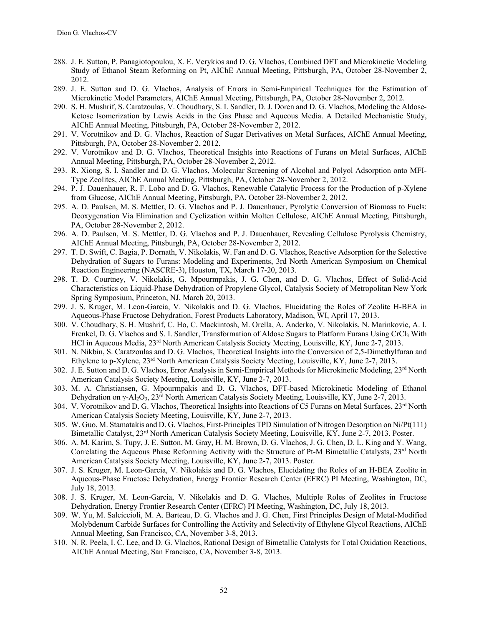- 288. J. E. Sutton, P. Panagiotopoulou, X. E. Verykios and D. G. Vlachos, Combined DFT and Microkinetic Modeling Study of Ethanol Steam Reforming on Pt, AIChE Annual Meeting, Pittsburgh, PA, October 28-November 2, 2012.
- 289. J. E. Sutton and D. G. Vlachos, Analysis of Errors in Semi-Empirical Techniques for the Estimation of Microkinetic Model Parameters, AIChE Annual Meeting, Pittsburgh, PA, October 28-November 2, 2012.
- 290. S. H. Mushrif, S. Caratzoulas, V. Choudhary, S. I. Sandler, D. J. Doren and D. G. Vlachos, Modeling the Aldose-Ketose Isomerization by Lewis Acids in the Gas Phase and Aqueous Media. A Detailed Mechanistic Study, AIChE Annual Meeting, Pittsburgh, PA, October 28-November 2, 2012.
- 291. V. Vorotnikov and D. G. Vlachos, Reaction of Sugar Derivatives on Metal Surfaces, AIChE Annual Meeting, Pittsburgh, PA, October 28-November 2, 2012.
- 292. V. Vorotnikov and D. G. Vlachos, Theoretical Insights into Reactions of Furans on Metal Surfaces, AIChE Annual Meeting, Pittsburgh, PA, October 28-November 2, 2012.
- 293. R. Xiong, S. I. Sandler and D. G. Vlachos, Molecular Screening of Alcohol and Polyol Adsorption onto MFI-Type Zeolites, AIChE Annual Meeting, Pittsburgh, PA, October 28-November 2, 2012.
- 294. P. J. Dauenhauer, R. F. Lobo and D. G. Vlachos, Renewable Catalytic Process for the Production of p-Xylene from Glucose, AIChE Annual Meeting, Pittsburgh, PA, October 28-November 2, 2012.
- 295. A. D. Paulsen, M. S. Mettler, D. G. Vlachos and P. J. Dauenhauer, Pyrolytic Conversion of Biomass to Fuels: Deoxygenation Via Elimination and Cyclization within Molten Cellulose, AIChE Annual Meeting, Pittsburgh, PA, October 28-November 2, 2012.
- 296. A. D. Paulsen, M. S. Mettler, D. G. Vlachos and P. J. Dauenhauer, Revealing Cellulose Pyrolysis Chemistry, AIChE Annual Meeting, Pittsburgh, PA, October 28-November 2, 2012.
- 297. T. D. Swift, C. Bagia, P. Dornath, V. Nikolakis, W. Fan and D. G. Vlachos, Reactive Adsorption for the Selective Dehydration of Sugars to Furans: Modeling and Experiments, 3rd North American Symposium on Chemical Reaction Engineering (NASCRE-3), Houston, TX, March 17-20, 2013.
- 298. T. D. Courtney, V. Nikolakis, G. Mpourmpakis, J. G. Chen, and D. G. Vlachos, Effect of Solid-Acid Characteristics on Liquid-Phase Dehydration of Propylene Glycol, Catalysis Society of Metropolitan New York Spring Symposium, Princeton, NJ, March 20, 2013.
- 299. J. S. Kruger, M. Leon-Garcia, V. Nikolakis and D. G. Vlachos, Elucidating the Roles of Zeolite H-BEA in Aqueous-Phase Fructose Dehydration, Forest Products Laboratory, Madison, WI, April 17, 2013.
- 300. V. Choudhary, S. H. Mushrif, C. Ho, C. Mackintosh, M. Orella, A. Anderko, V. Nikolakis, N. Marinkovic, A. I. Frenkel, D. G. Vlachos and S. I. Sandler, Transformation of Aldose Sugars to Platform Furans Using CrCl<sub>3</sub> With HCl in Aqueous Media, 23<sup>rd</sup> North American Catalysis Society Meeting, Louisville, KY, June 2-7, 2013.
- 301. N. Nikbin, S. Caratzoulas and D. G. Vlachos, Theoretical Insights into the Conversion of 2,5-Dimethylfuran and Ethylene to p-Xylene, 23rd North American Catalysis Society Meeting, Louisville, KY, June 2-7, 2013.
- 302. J. E. Sutton and D. G. Vlachos, Error Analysis in Semi-Empirical Methods for Microkinetic Modeling, 23<sup>rd</sup> North American Catalysis Society Meeting, Louisville, KY, June 2-7, 2013.
- 303. M. A. Christiansen, G. Mpourmpakis and D. G. Vlachos, DFT-based Microkinetic Modeling of Ethanol Dehydration on γ-Al<sub>2</sub>O<sub>3</sub>, 23<sup>rd</sup> North American Catalysis Society Meeting, Louisville, KY, June 2-7, 2013.
- 304. V. Vorotnikov and D. G. Vlachos, Theoretical Insights into Reactions of C5 Furans on Metal Surfaces, 23<sup>rd</sup> North American Catalysis Society Meeting, Louisville, KY, June 2-7, 2013.
- 305. W. Guo, M. Stamatakis and D. G. Vlachos, First-Principles TPD Simulation of Nitrogen Desorption on Ni/Pt(111) Bimetallic Catalyst, 23<sup>rd</sup> North American Catalysis Society Meeting, Louisville, KY, June 2-7, 2013. Poster.
- 306. A. M. Karim, S. Tupy, J. E. Sutton, M. Gray, H. M. Brown, D. G. Vlachos, J. G. Chen, D. L. King and Y. Wang, Correlating the Aqueous Phase Reforming Activity with the Structure of Pt-M Bimetallic Catalysts, 23<sup>rd</sup> North American Catalysis Society Meeting, Louisville, KY, June 2-7, 2013. Poster.
- 307. J. S. Kruger, M. Leon-Garcia, V. Nikolakis and D. G. Vlachos, Elucidating the Roles of an H-BEA Zeolite in Aqueous-Phase Fructose Dehydration, Energy Frontier Research Center (EFRC) PI Meeting, Washington, DC, July 18, 2013.
- 308. J. S. Kruger, M. Leon-Garcia, V. Nikolakis and D. G. Vlachos, Multiple Roles of Zeolites in Fructose Dehydration, Energy Frontier Research Center (EFRC) PI Meeting, Washington, DC, July 18, 2013.
- 309. W. Yu, M. Salciccioli, M. A. Barteau, D. G. Vlachos and J. G. Chen, First Principles Design of Metal-Modified Molybdenum Carbide Surfaces for Controlling the Activity and Selectivity of Ethylene Glycol Reactions, AIChE Annual Meeting, San Francisco, CA, November 3-8, 2013.
- 310. N. R. Peela, I. C. Lee, and D. G. Vlachos, Rational Design of Bimetallic Catalysts for Total Oxidation Reactions, AIChE Annual Meeting, San Francisco, CA, November 3-8, 2013.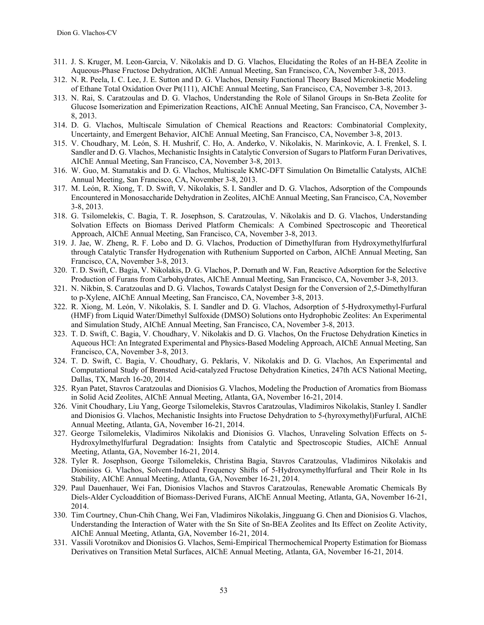- 311. J. S. Kruger, M. Leon-Garcia, V. Nikolakis and D. G. Vlachos, Elucidating the Roles of an H-BEA Zeolite in Aqueous-Phase Fructose Dehydration, AIChE Annual Meeting, San Francisco, CA, November 3-8, 2013.
- 312. N. R. Peela, I. C. Lee, J. E. Sutton and D. G. Vlachos, Density Functional Theory Based Microkinetic Modeling of Ethane Total Oxidation Over Pt(111), AIChE Annual Meeting, San Francisco, CA, November 3-8, 2013.
- 313. N. Rai, S. Caratzoulas and D. G. Vlachos, Understanding the Role of Silanol Groups in Sn-Beta Zeolite for Glucose Isomerization and Epimerization Reactions, AIChE Annual Meeting, San Francisco, CA, November 3- 8, 2013.
- 314. D. G. Vlachos, Multiscale Simulation of Chemical Reactions and Reactors: Combinatorial Complexity, Uncertainty, and Emergent Behavior, AIChE Annual Meeting, San Francisco, CA, November 3-8, 2013.
- 315. V. Choudhary, M. León, S. H. Mushrif, C. Ho, A. Anderko, V. Nikolakis, N. Marinkovic, A. I. Frenkel, S. I. Sandler and D. G. Vlachos, Mechanistic Insights in Catalytic Conversion of Sugars to Platform Furan Derivatives, AIChE Annual Meeting, San Francisco, CA, November 3-8, 2013.
- 316. W. Guo, M. Stamatakis and D. G. Vlachos, Multiscale KMC-DFT Simulation On Bimetallic Catalysts, AIChE Annual Meeting, San Francisco, CA, November 3-8, 2013.
- 317. M. León, R. Xiong, T. D. Swift, V. Nikolakis, S. I. Sandler and D. G. Vlachos, Adsorption of the Compounds Encountered in Monosaccharide Dehydration in Zeolites, AIChE Annual Meeting, San Francisco, CA, November 3-8, 2013.
- 318. G. Tsilomelekis, C. Bagia, T. R. Josephson, S. Caratzoulas, V. Nikolakis and D. G. Vlachos, Understanding Solvation Effects on Biomass Derived Platform Chemicals: A Combined Spectroscopic and Theoretical Approach, AIChE Annual Meeting, San Francisco, CA, November 3-8, 2013.
- 319. J. Jae, W. Zheng, R. F. Lobo and D. G. Vlachos, Production of Dimethylfuran from Hydroxymethylfurfural through Catalytic Transfer Hydrogenation with Ruthenium Supported on Carbon, AIChE Annual Meeting, San Francisco, CA, November 3-8, 2013.
- 320. T. D. Swift, C. Bagia, V. Nikolakis, D. G. Vlachos, P. Dornath and W. Fan, Reactive Adsorption for the Selective Production of Furans from Carbohydrates, AIChE Annual Meeting, San Francisco, CA, November 3-8, 2013.
- 321. N. Nikbin, S. Caratzoulas and D. G. Vlachos, Towards Catalyst Design for the Conversion of 2,5-Dimethylfuran to p-Xylene, AIChE Annual Meeting, San Francisco, CA, November 3-8, 2013.
- 322. R. Xiong, M. León, V. Nikolakis, S. I. Sandler and D. G. Vlachos, Adsorption of 5-Hydroxymethyl-Furfural (HMF) from Liquid Water/Dimethyl Sulfoxide (DMSO) Solutions onto Hydrophobic Zeolites: An Experimental and Simulation Study, AIChE Annual Meeting, San Francisco, CA, November 3-8, 2013.
- 323. T. D. Swift, C. Bagia, V. Choudhary, V. Nikolakis and D. G. Vlachos, On the Fructose Dehydration Kinetics in Aqueous HCl: An Integrated Experimental and Physics-Based Modeling Approach, AIChE Annual Meeting, San Francisco, CA, November 3-8, 2013.
- 324. T. D. Swift, C. Bagia, V. Choudhary, G. Peklaris, V. Nikolakis and D. G. Vlachos, An Experimental and Computational Study of Brønsted Acid-catalyzed Fructose Dehydration Kinetics, 247th ACS National Meeting, Dallas, TX, March 16-20, 2014.
- 325. Ryan Patet, Stavros Caratzoulas and Dionisios G. Vlachos, Modeling the Production of Aromatics from Biomass in Solid Acid Zeolites, AIChE Annual Meeting, Atlanta, GA, November 16-21, 2014.
- 326. Vinit Choudhary, Liu Yang, George Tsilomelekis, Stavros Caratzoulas, Vladimiros Nikolakis, Stanley I. Sandler and Dionisios G. Vlachos, Mechanistic Insights into Fructose Dehydration to 5-(hyroxymethyl)Furfural, AIChE Annual Meeting, Atlanta, GA, November 16-21, 2014.
- 327. George Tsilomelekis, Vladimiros Nikolakis and Dionisios G. Vlachos, Unraveling Solvation Effects on 5- Hydroxylmethylfurfural Degradation: Insights from Catalytic and Spectroscopic Studies, AIChE Annual Meeting, Atlanta, GA, November 16-21, 2014.
- 328. Tyler R. Josephson, George Tsilomelekis, Christina Bagia, Stavros Caratzoulas, Vladimiros Nikolakis and Dionisios G. Vlachos, Solvent-Induced Frequency Shifts of 5-Hydroxymethylfurfural and Their Role in Its Stability, AIChE Annual Meeting, Atlanta, GA, November 16-21, 2014.
- 329. Paul Dauenhauer, Wei Fan, Dionisios Vlachos and Stavros Caratzoulas, Renewable Aromatic Chemicals By Diels-Alder Cycloaddition of Biomass-Derived Furans, AIChE Annual Meeting, Atlanta, GA, November 16-21, 2014.
- 330. Tim Courtney, Chun-Chih Chang, Wei Fan, Vladimiros Nikolakis, Jingguang G. Chen and Dionisios G. Vlachos, Understanding the Interaction of Water with the Sn Site of Sn-BEA Zeolites and Its Effect on Zeolite Activity, AIChE Annual Meeting, Atlanta, GA, November 16-21, 2014.
- 331. Vassili Vorotnikov and Dionisios G. Vlachos, Semi-Empirical Thermochemical Property Estimation for Biomass Derivatives on Transition Metal Surfaces, AIChE Annual Meeting, Atlanta, GA, November 16-21, 2014.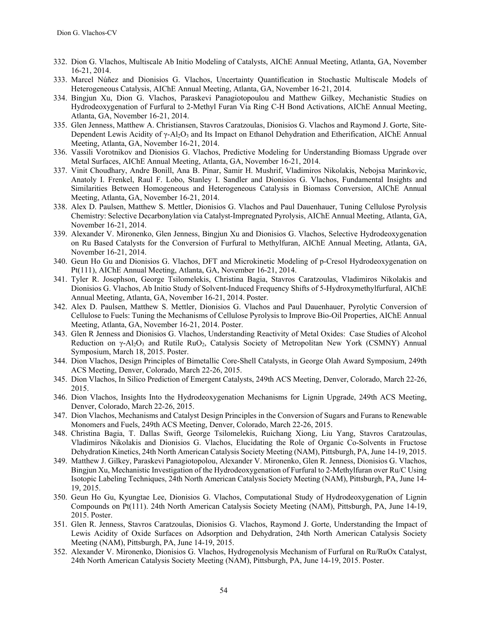- 332. Dion G. Vlachos, Multiscale Ab Initio Modeling of Catalysts, AIChE Annual Meeting, Atlanta, GA, November 16-21, 2014.
- 333. Marcel Núñez and Dionisios G. Vlachos, Uncertainty Quantification in Stochastic Multiscale Models of Heterogeneous Catalysis, AIChE Annual Meeting, Atlanta, GA, November 16-21, 2014.
- 334. Bingjun Xu, Dion G. Vlachos, Paraskevi Panagiotopoulou and Matthew Gilkey, Mechanistic Studies on Hydrodeoxygenation of Furfural to 2-Methyl Furan Via Ring C-H Bond Activations, AIChE Annual Meeting, Atlanta, GA, November 16-21, 2014.
- 335. Glen Jenness, Matthew A. Christiansen, Stavros Caratzoulas, Dionisios G. Vlachos and Raymond J. Gorte, Site-Dependent Lewis Acidity of  $\gamma$ -Al<sub>2</sub>O<sub>3</sub> and Its Impact on Ethanol Dehydration and Etherification, AIChE Annual Meeting, Atlanta, GA, November 16-21, 2014.
- 336. Vassili Vorotnikov and Dionisios G. Vlachos, Predictive Modeling for Understanding Biomass Upgrade over Metal Surfaces, AIChE Annual Meeting, Atlanta, GA, November 16-21, 2014.
- 337. Vinit Choudhary, Andre Bonill, Ana B. Pinar, Samir H. Mushrif, Vladimiros Nikolakis, Nebojsa Marinkovic, Anatoly I. Frenkel, Raul F. Lobo, Stanley I. Sandler and Dionisios G. Vlachos, Fundamental Insights and Similarities Between Homogeneous and Heterogeneous Catalysis in Biomass Conversion, AIChE Annual Meeting, Atlanta, GA, November 16-21, 2014.
- 338. Alex D. Paulsen, Matthew S. Mettler, Dionisios G. Vlachos and Paul Dauenhauer, Tuning Cellulose Pyrolysis Chemistry: Selective Decarbonylation via Catalyst-Impregnated Pyrolysis, AIChE Annual Meeting, Atlanta, GA, November 16-21, 2014.
- 339. Alexander V. Mironenko, Glen Jenness, Bingjun Xu and Dionisios G. Vlachos, Selective Hydrodeoxygenation on Ru Based Catalysts for the Conversion of Furfural to Methylfuran, AIChE Annual Meeting, Atlanta, GA, November 16-21, 2014.
- 340. Geun Ho Gu and Dionisios G. Vlachos, DFT and Microkinetic Modeling of p-Cresol Hydrodeoxygenation on Pt(111), AIChE Annual Meeting, Atlanta, GA, November 16-21, 2014.
- 341. Tyler R. Josephson, George Tsilomelekis, Christina Bagia, Stavros Caratzoulas, Vladimiros Nikolakis and Dionisios G. Vlachos, Ab Initio Study of Solvent-Induced Frequency Shifts of 5-Hydroxymethylfurfural, AIChE Annual Meeting, Atlanta, GA, November 16-21, 2014. Poster.
- 342. Alex D. Paulsen, Matthew S. Mettler, Dionisios G. Vlachos and Paul Dauenhauer, Pyrolytic Conversion of Cellulose to Fuels: Tuning the Mechanisms of Cellulose Pyrolysis to Improve Bio-Oil Properties, AIChE Annual Meeting, Atlanta, GA, November 16-21, 2014. Poster.
- 343. Glen R Jenness and Dionisios G. Vlachos, Understanding Reactivity of Metal Oxides: Case Studies of Alcohol Reduction on γ-Al<sub>2</sub>O<sub>3</sub> and Rutile RuO<sub>2</sub>, Catalysis Society of Metropolitan New York (CSMNY) Annual Symposium, March 18, 2015. Poster.
- 344. Dion Vlachos, Design Principles of Bimetallic Core-Shell Catalysts, in George Olah Award Symposium, 249th ACS Meeting, Denver, Colorado, March 22-26, 2015.
- 345. Dion Vlachos, In Silico Prediction of Emergent Catalysts, 249th ACS Meeting, Denver, Colorado, March 22-26, 2015.
- 346. Dion Vlachos, Insights Into the Hydrodeoxygenation Mechanisms for Lignin Upgrade, 249th ACS Meeting, Denver, Colorado, March 22-26, 2015.
- 347. Dion Vlachos, Mechanisms and Catalyst Design Principles in the Conversion of Sugars and Furans to Renewable Monomers and Fuels, 249th ACS Meeting, Denver, Colorado, March 22-26, 2015.
- 348. Christina Bagia, T. Dallas Swift, George Tsilomelekis, Ruichang Xiong, Liu Yang, Stavros Caratzoulas, Vladimiros Nikolakis and Dionisios G. Vlachos, Elucidating the Role of Organic Co-Solvents in Fructose Dehydration Kinetics, 24th North American Catalysis Society Meeting (NAM), Pittsburgh, PA, June 14-19, 2015.
- 349. Matthew J. Gilkey, Paraskevi Panagiotopolou, Alexander V. Mironenko, Glen R. Jenness, Dionisios G. Vlachos, Bingjun Xu, Mechanistic Investigation of the Hydrodeoxygenation of Furfural to 2-Methylfuran over Ru/C Using Isotopic Labeling Techniques, 24th North American Catalysis Society Meeting (NAM), Pittsburgh, PA, June 14- 19, 2015.
- 350. Geun Ho Gu, Kyungtae Lee, Dionisios G. Vlachos, Computational Study of Hydrodeoxygenation of Lignin Compounds on Pt(111). 24th North American Catalysis Society Meeting (NAM), Pittsburgh, PA, June 14-19, 2015. Poster.
- 351. Glen R. Jenness, Stavros Caratzoulas, Dionisios G. Vlachos, Raymond J. Gorte, Understanding the Impact of Lewis Acidity of Oxide Surfaces on Adsorption and Dehydration, 24th North American Catalysis Society Meeting (NAM), Pittsburgh, PA, June 14-19, 2015.
- 352. Alexander V. Mironenko, Dionisios G. Vlachos, Hydrogenolysis Mechanism of Furfural on Ru/RuOx Catalyst, 24th North American Catalysis Society Meeting (NAM), Pittsburgh, PA, June 14-19, 2015. Poster.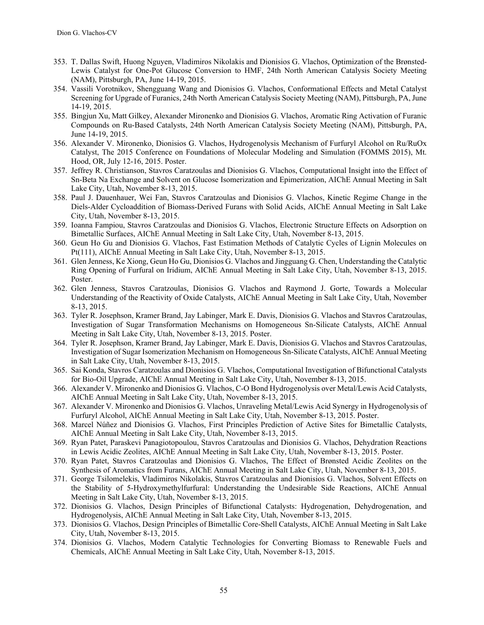- 353. T. Dallas Swift, Huong Nguyen, Vladimiros Nikolakis and Dionisios G. Vlachos, Optimization of the Brønsted-Lewis Catalyst for One-Pot Glucose Conversion to HMF, 24th North American Catalysis Society Meeting (NAM), Pittsburgh, PA, June 14-19, 2015.
- 354. Vassili Vorotnikov, Shengguang Wang and Dionisios G. Vlachos, Conformational Effects and Metal Catalyst Screening for Upgrade of Furanics, 24th North American Catalysis Society Meeting (NAM), Pittsburgh, PA, June 14-19, 2015.
- 355. Bingjun Xu, Matt Gilkey, Alexander Mironenko and Dionisios G. Vlachos, Aromatic Ring Activation of Furanic Compounds on Ru-Based Catalysts, 24th North American Catalysis Society Meeting (NAM), Pittsburgh, PA, June 14-19, 2015.
- 356. Alexander V. Mironenko, Dionisios G. Vlachos, Hydrogenolysis Mechanism of Furfuryl Alcohol on Ru/RuOx Catalyst, The 2015 Conference on Foundations of Molecular Modeling and Simulation (FOMMS 2015), Mt. Hood, OR, July 12-16, 2015. Poster.
- 357. Jeffrey R. Christianson, Stavros Caratzoulas and Dionisios G. Vlachos, Computational Insight into the Effect of Sn-Beta Na Exchange and Solvent on Glucose Isomerization and Epimerization, AIChE Annual Meeting in Salt Lake City, Utah, November 8-13, 2015.
- 358. Paul J. Dauenhauer, Wei Fan, Stavros Caratzoulas and Dionisios G. Vlachos, Kinetic Regime Change in the Diels-Alder Cycloaddition of Biomass-Derived Furans with Solid Acids, AIChE Annual Meeting in Salt Lake City, Utah, November 8-13, 2015.
- 359. Ioanna Fampiou, Stavros Caratzoulas and Dionisios G. Vlachos, Electronic Structure Effects on Adsorption on Bimetallic Surfaces, AIChE Annual Meeting in Salt Lake City, Utah, November 8-13, 2015.
- 360. Geun Ho Gu and Dionisios G. Vlachos, Fast Estimation Methods of Catalytic Cycles of Lignin Molecules on Pt(111), AIChE Annual Meeting in Salt Lake City, Utah, November 8-13, 2015.
- 361. Glen Jenness, Ke Xiong, Geun Ho Gu, Dionisios G. Vlachos and Jingguang G. Chen, Understanding the Catalytic Ring Opening of Furfural on Iridium, AIChE Annual Meeting in Salt Lake City, Utah, November 8-13, 2015. Poster.
- 362. Glen Jenness, Stavros Caratzoulas, Dionisios G. Vlachos and Raymond J. Gorte, Towards a Molecular Understanding of the Reactivity of Oxide Catalysts, AIChE Annual Meeting in Salt Lake City, Utah, November 8-13, 2015.
- 363. Tyler R. Josephson, Kramer Brand, Jay Labinger, Mark E. Davis, Dionisios G. Vlachos and Stavros Caratzoulas, Investigation of Sugar Transformation Mechanisms on Homogeneous Sn-Silicate Catalysts, AIChE Annual Meeting in Salt Lake City, Utah, November 8-13, 2015. Poster.
- 364. Tyler R. Josephson, Kramer Brand, Jay Labinger, Mark E. Davis, Dionisios G. Vlachos and Stavros Caratzoulas, Investigation of Sugar Isomerization Mechanism on Homogeneous Sn-Silicate Catalysts, AIChE Annual Meeting in Salt Lake City, Utah, November 8-13, 2015.
- 365. Sai Konda, Stavros Caratzoulas and Dionisios G. Vlachos, Computational Investigation of Bifunctional Catalysts for Bio-Oil Upgrade, AIChE Annual Meeting in Salt Lake City, Utah, November 8-13, 2015.
- 366. Alexander V. Mironenko and Dionisios G. Vlachos, C-O Bond Hydrogenolysis over Metal/Lewis Acid Catalysts, AIChE Annual Meeting in Salt Lake City, Utah, November 8-13, 2015.
- 367. Alexander V. Mironenko and Dionisios G. Vlachos, Unraveling Metal/Lewis Acid Synergy in Hydrogenolysis of Furfuryl Alcohol, AIChE Annual Meeting in Salt Lake City, Utah, November 8-13, 2015. Poster.
- 368. Marcel Núñez and Dionisios G. Vlachos, First Principles Prediction of Active Sites for Bimetallic Catalysts, AIChE Annual Meeting in Salt Lake City, Utah, November 8-13, 2015.
- 369. Ryan Patet, Paraskevi Panagiotopoulou, Stavros Caratzoulas and Dionisios G. Vlachos, Dehydration Reactions in Lewis Acidic Zeolites, AIChE Annual Meeting in Salt Lake City, Utah, November 8-13, 2015. Poster.
- 370. Ryan Patet, Stavros Caratzoulas and Dionisios G. Vlachos, The Effect of Brønsted Acidic Zeolites on the Synthesis of Aromatics from Furans, AIChE Annual Meeting in Salt Lake City, Utah, November 8-13, 2015.
- 371. George Tsilomelekis, Vladimiros Nikolakis, Stavros Caratzoulas and Dionisios G. Vlachos, Solvent Effects on the Stability of 5-Hydroxymethylfurfural: Understanding the Undesirable Side Reactions, AIChE Annual Meeting in Salt Lake City, Utah, November 8-13, 2015.
- 372. Dionisios G. Vlachos, Design Principles of Bifunctional Catalysts: Hydrogenation, Dehydrogenation, and Hydrogenolysis, AIChE Annual Meeting in Salt Lake City, Utah, November 8-13, 2015.
- 373. Dionisios G. Vlachos, Design Principles of Bimetallic Core-Shell Catalysts, AIChE Annual Meeting in Salt Lake City, Utah, November 8-13, 2015.
- 374. Dionisios G. Vlachos, Modern Catalytic Technologies for Converting Biomass to Renewable Fuels and Chemicals, AIChE Annual Meeting in Salt Lake City, Utah, November 8-13, 2015.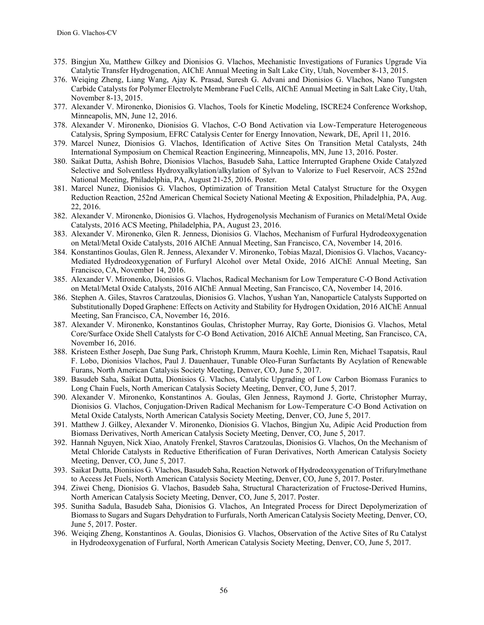- 375. Bingjun Xu, Matthew Gilkey and Dionisios G. Vlachos, Mechanistic Investigations of Furanics Upgrade Via Catalytic Transfer Hydrogenation, AIChE Annual Meeting in Salt Lake City, Utah, November 8-13, 2015.
- 376. Weiqing Zheng, Liang Wang, Ajay K. Prasad, Suresh G. Advani and Dionisios G. Vlachos, Nano Tungsten Carbide Catalysts for Polymer Electrolyte Membrane Fuel Cells, AIChE Annual Meeting in Salt Lake City, Utah, November 8-13, 2015.
- 377. Alexander V. Mironenko, Dionisios G. Vlachos, Tools for Kinetic Modeling, ISCRE24 Conference Workshop, Minneapolis, MN, June 12, 2016.
- 378. Alexander V. Mironenko, Dionisios G. Vlachos, C-O Bond Activation via Low-Temperature Heterogeneous Catalysis, Spring Symposium, EFRC Catalysis Center for Energy Innovation, Newark, DE, April 11, 2016.
- 379. Marcel Nunez, Dionisios G. Vlachos, Identification of Active Sites On Transition Metal Catalysts, 24th International Symposium on Chemical Reaction Engineering, Minneapolis, MN, June 13, 2016. Poster.
- 380. Saikat Dutta, Ashish Bohre, Dionisios Vlachos, Basudeb Saha, Lattice Interrupted Graphene Oxide Catalyzed Selective and Solventless Hydroxyalkylation/alkylation of Sylvan to Valorize to Fuel Reservoir, ACS 252nd National Meeting, Philadelphia, PA, August 21-25, 2016. Poster.
- 381. Marcel Nunez, Dionisios G. Vlachos, Optimization of Transition Metal Catalyst Structure for the Oxygen Reduction Reaction, 252nd American Chemical Society National Meeting & Exposition, Philadelphia, PA, Aug. 22, 2016.
- 382. Alexander V. Mironenko, Dionisios G. Vlachos, Hydrogenolysis Mechanism of Furanics on Metal/Metal Oxide Catalysts, 2016 ACS Meeting, Philadelphia, PA, August 23, 2016.
- 383. Alexander V. Mironenko, Glen R. Jenness, Dionisios G. Vlachos, Mechanism of Furfural Hydrodeoxygenation on Metal/Metal Oxide Catalysts, 2016 AIChE Annual Meeting, San Francisco, CA, November 14, 2016.
- 384. Konstantinos Goulas, Glen R. Jenness, Alexander V. Mironenko, Tobias Mazal, Dionisios G. Vlachos, Vacancy-Mediated Hydrodeoxygenation of Furfuryl Alcohol over Metal Oxide, 2016 AIChE Annual Meeting, San Francisco, CA, November 14, 2016.
- 385. Alexander V. Mironenko, Dionisios G. Vlachos, Radical Mechanism for Low Temperature C-O Bond Activation on Metal/Metal Oxide Catalysts, 2016 AIChE Annual Meeting, San Francisco, CA, November 14, 2016.
- 386. Stephen A. Giles, Stavros Caratzoulas, Dionisios G. Vlachos, Yushan Yan, Nanoparticle Catalysts Supported on Substitutionally Doped Graphene: Effects on Activity and Stability for Hydrogen Oxidation, 2016 AIChE Annual Meeting, San Francisco, CA, November 16, 2016.
- 387. Alexander V. Mironenko, Konstantinos Goulas, Christopher Murray, Ray Gorte, Dionisios G. Vlachos, Metal Core/Surface Oxide Shell Catalysts for C-O Bond Activation, 2016 AIChE Annual Meeting, San Francisco, CA, November 16, 2016.
- 388. Kristeen Esther Joseph, Dae Sung Park, Christoph Krumm, Maura Koehle, Limin Ren, Michael Tsapatsis, Raul F. Lobo, Dionisios Vlachos, Paul J. Dauenhauer, Tunable Oleo-Furan Surfactants By Acylation of Renewable Furans, North American Catalysis Society Meeting, Denver, CO, June 5, 2017.
- 389. Basudeb Saha, Saikat Dutta, Dionisios G. Vlachos, Catalytic Upgrading of Low Carbon Biomass Furanics to Long Chain Fuels, North American Catalysis Society Meeting, Denver, CO, June 5, 2017.
- 390. Alexander V. Mironenko, Konstantinos A. Goulas, Glen Jenness, Raymond J. Gorte, Christopher Murray, Dionisios G. Vlachos, Conjugation-Driven Radical Mechanism for Low-Temperature C-O Bond Activation on Metal Oxide Catalysts, North American Catalysis Society Meeting, Denver, CO, June 5, 2017.
- 391. Matthew J. Gilkey, Alexander V. Mironenko, Dionisios G. Vlachos, Bingjun Xu, Adipic Acid Production from Biomass Derivatives, North American Catalysis Society Meeting, Denver, CO, June 5, 2017.
- 392. Hannah Nguyen, Nick Xiao, Anatoly Frenkel, Stavros Caratzoulas, Dionisios G. Vlachos, On the Mechanism of Metal Chloride Catalysts in Reductive Etherification of Furan Derivatives, North American Catalysis Society Meeting, Denver, CO, June 5, 2017.
- 393. Saikat Dutta, Dionisios G. Vlachos, Basudeb Saha, Reaction Network of Hydrodeoxygenation of Trifurylmethane to Access Jet Fuels, North American Catalysis Society Meeting, Denver, CO, June 5, 2017. Poster.
- 394. Ziwei Cheng, Dionisios G. Vlachos, Basudeb Saha, Structural Characterization of Fructose-Derived Humins, North American Catalysis Society Meeting, Denver, CO, June 5, 2017. Poster.
- 395. Sunitha Sadula, Basudeb Saha, Dionisios G. Vlachos, An Integrated Process for Direct Depolymerization of Biomass to Sugars and Sugars Dehydration to Furfurals, North American Catalysis Society Meeting, Denver, CO, June 5, 2017. Poster.
- 396. Weiqing Zheng, Konstantinos A. Goulas, Dionisios G. Vlachos, Observation of the Active Sites of Ru Catalyst in Hydrodeoxygenation of Furfural, North American Catalysis Society Meeting, Denver, CO, June 5, 2017.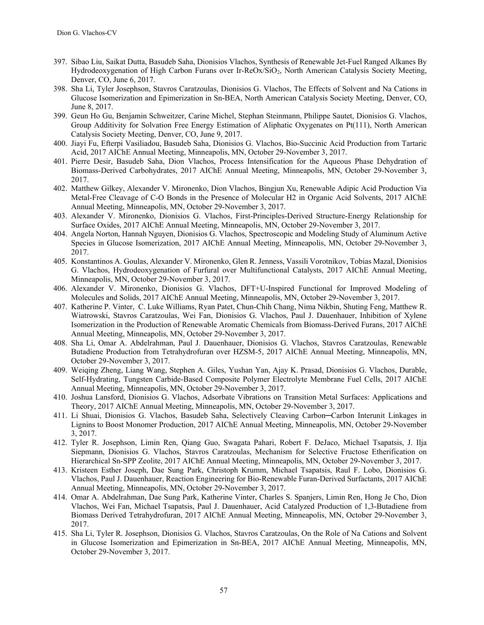- 397. Sibao Liu, Saikat Dutta, Basudeb Saha, Dionisios Vlachos, Synthesis of Renewable Jet-Fuel Ranged Alkanes By Hydrodeoxygenation of High Carbon Furans over Ir-ReOx/SiO2, North American Catalysis Society Meeting, Denver, CO, June 6, 2017.
- 398. Sha Li, Tyler Josephson, Stavros Caratzoulas, Dionisios G. Vlachos, The Effects of Solvent and Na Cations in Glucose Isomerization and Epimerization in Sn-BEA, North American Catalysis Society Meeting, Denver, CO, June 8, 2017.
- 399. Geun Ho Gu, Benjamin Schweitzer, Carine Michel, Stephan Steinmann, Philippe Sautet, Dionisios G. Vlachos, Group Additivity for Solvation Free Energy Estimation of Aliphatic Oxygenates on Pt(111), North American Catalysis Society Meeting, Denver, CO, June 9, 2017.
- 400. Jiayi Fu, Efterpi Vasiliadou, Basudeb Saha, Dionisios G. Vlachos, Bio-Succinic Acid Production from Tartaric Acid, 2017 AIChE Annual Meeting, Minneapolis, MN, October 29-November 3, 2017.
- 401. Pierre Desir, Basudeb Saha, Dion Vlachos, Process Intensification for the Aqueous Phase Dehydration of Biomass-Derived Carbohydrates, 2017 AIChE Annual Meeting, Minneapolis, MN, October 29-November 3, 2017.
- 402. Matthew Gilkey, Alexander V. Mironenko, Dion Vlachos, Bingjun Xu, Renewable Adipic Acid Production Via Metal-Free Cleavage of C-O Bonds in the Presence of Molecular H2 in Organic Acid Solvents, 2017 AIChE Annual Meeting, Minneapolis, MN, October 29-November 3, 2017.
- 403. Alexander V. Mironenko, Dionisios G. Vlachos, First-Principles-Derived Structure-Energy Relationship for Surface Oxides, 2017 AIChE Annual Meeting, Minneapolis, MN, October 29-November 3, 2017.
- 404. Angela Norton, Hannah Nguyen, Dionisios G. Vlachos, Spectroscopic and Modeling Study of Aluminum Active Species in Glucose Isomerization, 2017 AIChE Annual Meeting, Minneapolis, MN, October 29-November 3, 2017.
- 405. Konstantinos A. Goulas, Alexander V. Mironenko, Glen R. Jenness, Vassili Vorotnikov, Tobias Mazal, Dionisios G. Vlachos, Hydrodeoxygenation of Furfural over Multifunctional Catalysts, 2017 AIChE Annual Meeting, Minneapolis, MN, October 29-November 3, 2017.
- 406. Alexander V. Mironenko, Dionisios G. Vlachos, DFT+U-Inspired Functional for Improved Modeling of Molecules and Solids, 2017 AIChE Annual Meeting, Minneapolis, MN, October 29-November 3, 2017.
- 407. Katherine P. Vinter, C. Luke Williams, Ryan Patet, Chun-Chih Chang, Nima Nikbin, Shuting Feng, Matthew R. Wiatrowski, Stavros Caratzoulas, Wei Fan, Dionisios G. Vlachos, Paul J. Dauenhauer, Inhibition of Xylene Isomerization in the Production of Renewable Aromatic Chemicals from Biomass-Derived Furans, 2017 AIChE Annual Meeting, Minneapolis, MN, October 29-November 3, 2017.
- 408. Sha Li, Omar A. Abdelrahman, Paul J. Dauenhauer, Dionisios G. Vlachos, Stavros Caratzoulas, Renewable Butadiene Production from Tetrahydrofuran over HZSM-5, 2017 AIChE Annual Meeting, Minneapolis, MN, October 29-November 3, 2017.
- 409. Weiqing Zheng, Liang Wang, Stephen A. Giles, Yushan Yan, Ajay K. Prasad, Dionisios G. Vlachos, Durable, Self-Hydrating, Tungsten Carbide-Based Composite Polymer Electrolyte Membrane Fuel Cells, 2017 AIChE Annual Meeting, Minneapolis, MN, October 29-November 3, 2017.
- 410. Joshua Lansford, Dionisios G. Vlachos, Adsorbate Vibrations on Transition Metal Surfaces: Applications and Theory, 2017 AIChE Annual Meeting, Minneapolis, MN, October 29-November 3, 2017.
- 411. Li Shuai, Dionisios G. Vlachos, Basudeb Saha, Selectively Cleaving Carbon-Carbon Interunit Linkages in Lignins to Boost Monomer Production, 2017 AIChE Annual Meeting, Minneapolis, MN, October 29-November 3, 2017.
- 412. Tyler R. Josephson, Limin Ren, Qiang Guo, Swagata Pahari, Robert F. DeJaco, Michael Tsapatsis, J. Ilja Siepmann, Dionisios G. Vlachos, Stavros Caratzoulas, Mechanism for Selective Fructose Etherification on Hierarchical Sn-SPP Zeolite, 2017 AIChE Annual Meeting, Minneapolis, MN, October 29-November 3, 2017.
- 413. Kristeen Esther Joseph, Dae Sung Park, Christoph Krumm, Michael Tsapatsis, Raul F. Lobo, Dionisios G. Vlachos, Paul J. Dauenhauer, Reaction Engineering for Bio-Renewable Furan-Derived Surfactants, 2017 AIChE Annual Meeting, Minneapolis, MN, October 29-November 3, 2017.
- 414. Omar A. Abdelrahman, Dae Sung Park, Katherine Vinter, Charles S. Spanjers, Limin Ren, Hong Je Cho, Dion Vlachos, Wei Fan, Michael Tsapatsis, Paul J. Dauenhauer, Acid Catalyzed Production of 1,3-Butadiene from Biomass Derived Tetrahydrofuran, 2017 AIChE Annual Meeting, Minneapolis, MN, October 29-November 3, 2017.
- 415. Sha Li, Tyler R. Josephson, Dionisios G. Vlachos, Stavros Caratzoulas, On the Role of Na Cations and Solvent in Glucose Isomerization and Epimerization in Sn-BEA, 2017 AIChE Annual Meeting, Minneapolis, MN, October 29-November 3, 2017.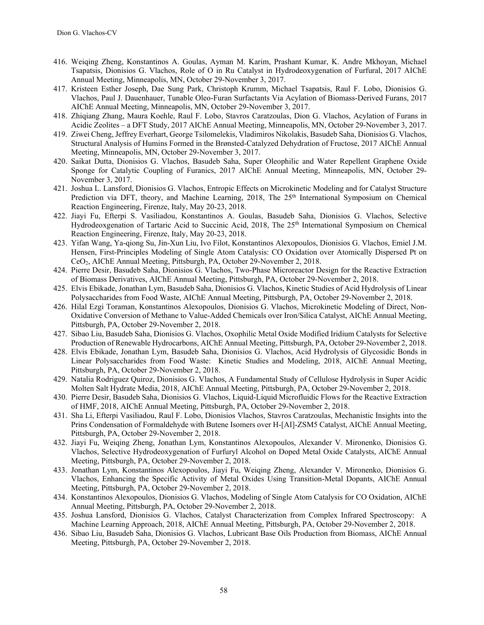- 416. Weiqing Zheng, Konstantinos A. Goulas, Ayman M. Karim, Prashant Kumar, K. Andre Mkhoyan, Michael Tsapatsis, Dionisios G. Vlachos, Role of O in Ru Catalyst in Hydrodeoxygenation of Furfural, 2017 AIChE Annual Meeting, Minneapolis, MN, October 29-November 3, 2017.
- 417. Kristeen Esther Joseph, Dae Sung Park, Christoph Krumm, Michael Tsapatsis, Raul F. Lobo, Dionisios G. Vlachos, Paul J. Dauenhauer, Tunable Oleo-Furan Surfactants Via Acylation of Biomass-Derived Furans, 2017 AIChE Annual Meeting, Minneapolis, MN, October 29-November 3, 2017.
- 418. Zhiqiang Zhang, Maura Koehle, Raul F. Lobo, Stavros Caratzoulas, Dion G. Vlachos, Acylation of Furans in Acidic Zeolites – a DFT Study, 2017 AIChE Annual Meeting, Minneapolis, MN, October 29-November 3, 2017.
- 419. Ziwei Cheng, Jeffrey Everhart, George Tsilomelekis, Vladimiros Nikolakis, Basudeb Saha, Dionisios G. Vlachos, Structural Analysis of Humins Formed in the Brønsted-Catalyzed Dehydration of Fructose, 2017 AIChE Annual Meeting, Minneapolis, MN, October 29-November 3, 2017.
- 420. Saikat Dutta, Dionisios G. Vlachos, Basudeb Saha, Super Oleophilic and Water Repellent Graphene Oxide Sponge for Catalytic Coupling of Furanics, 2017 AIChE Annual Meeting, Minneapolis, MN, October 29- November 3, 2017.
- 421. Joshua L. Lansford, Dionisios G. Vlachos, Entropic Effects on Microkinetic Modeling and for Catalyst Structure Prediction via DFT, theory, and Machine Learning, 2018, The  $25<sup>th</sup>$  International Symposium on Chemical Reaction Engineering, Firenze, Italy, May 20-23, 2018.
- 422. Jiayi Fu, Efterpi S. Vasiliadou, Konstantinos A. Goulas, Basudeb Saha, Dionisios G. Vlachos, Selective Hydrodeoxgenation of Tartaric Acid to Succinic Acid, 2018, The 25th International Symposium on Chemical Reaction Engineering, Firenze, Italy, May 20-23, 2018.
- 423. Yifan Wang, Ya-qiong Su, Jin-Xun Liu, Ivo Filot, Konstantinos Alexopoulos, Dionisios G. Vlachos, Emiel J.M. Hensen, First-Principles Modeling of Single Atom Catalysis: CO Oxidation over Atomically Dispersed Pt on CeO2, AIChE Annual Meeting, Pittsburgh, PA, October 29-November 2, 2018.
- 424. Pierre Desir, Basudeb Saha, Dionisios G. Vlachos, Two-Phase Microreactor Design for the Reactive Extraction of Biomass Derivatives, AIChE Annual Meeting, Pittsburgh, PA, October 29-November 2, 2018.
- 425. Elvis Ebikade, Jonathan Lym, Basudeb Saha, Dionisios G. Vlachos, Kinetic Studies of Acid Hydrolysis of Linear Polysaccharides from Food Waste, AIChE Annual Meeting, Pittsburgh, PA, October 29-November 2, 2018.
- 426. Hilal Ezgi Toraman, Konstantinos Alexopoulos, Dionisios G. Vlachos, Microkinetic Modeling of Direct, Non-Oxidative Conversion of Methane to Value-Added Chemicals over Iron/Silica Catalyst, AIChE Annual Meeting, Pittsburgh, PA, October 29-November 2, 2018.
- 427. Sibao Liu, Basudeb Saha, Dionisios G. Vlachos, Oxophilic Metal Oxide Modified Iridium Catalysts for Selective Production of Renewable Hydrocarbons, AIChE Annual Meeting, Pittsburgh, PA, October 29-November 2, 2018.
- 428. Elvis Ebikade, Jonathan Lym, Basudeb Saha, Dionisios G. Vlachos, Acid Hydrolysis of Glycosidic Bonds in Linear Polysaccharides from Food Waste: Kinetic Studies and Modeling, 2018, AIChE Annual Meeting, Pittsburgh, PA, October 29-November 2, 2018.
- 429. Natalia Rodriguez Quiroz, Dionisios G. Vlachos, A Fundamental Study of Cellulose Hydrolysis in Super Acidic Molten Salt Hydrate Media, 2018, AIChE Annual Meeting, Pittsburgh, PA, October 29-November 2, 2018.
- 430. Pierre Desir, Basudeb Saha, Dionisios G. Vlachos, Liquid-Liquid Microfluidic Flows for the Reactive Extraction of HMF, 2018, AIChE Annual Meeting, Pittsburgh, PA, October 29-November 2, 2018.
- 431. Sha Li, Efterpi Vasiliadou, Raul F. Lobo, Dionisios Vlachos, Stavros Caratzoulas, Mechanistic Insights into the Prins Condensation of Formaldehyde with Butene Isomers over H-[AI]-ZSM5 Catalyst, AIChE Annual Meeting, Pittsburgh, PA, October 29-November 2, 2018.
- 432. Jiayi Fu, Weiqing Zheng, Jonathan Lym, Konstantinos Alexopoulos, Alexander V. Mironenko, Dionisios G. Vlachos, Selective Hydrodeoxygenation of Furfuryl Alcohol on Doped Metal Oxide Catalysts, AIChE Annual Meeting, Pittsburgh, PA, October 29-November 2, 2018.
- 433. Jonathan Lym, Konstantinos Alexopoulos, Jiayi Fu, Weiqing Zheng, Alexander V. Mironenko, Dionisios G. Vlachos, Enhancing the Specific Activity of Metal Oxides Using Transition-Metal Dopants, AIChE Annual Meeting, Pittsburgh, PA, October 29-November 2, 2018.
- 434. Konstantinos Alexopoulos, Dionisios G. Vlachos, Modeling of Single Atom Catalysis for CO Oxidation, AIChE Annual Meeting, Pittsburgh, PA, October 29-November 2, 2018.
- 435. Joshua Lansford, Dionisios G. Vlachos, Catalyst Characterization from Complex Infrared Spectroscopy: A Machine Learning Approach, 2018, AIChE Annual Meeting, Pittsburgh, PA, October 29-November 2, 2018.
- 436. Sibao Liu, Basudeb Saha, Dionisios G. Vlachos, Lubricant Base Oils Production from Biomass, AIChE Annual Meeting, Pittsburgh, PA, October 29-November 2, 2018.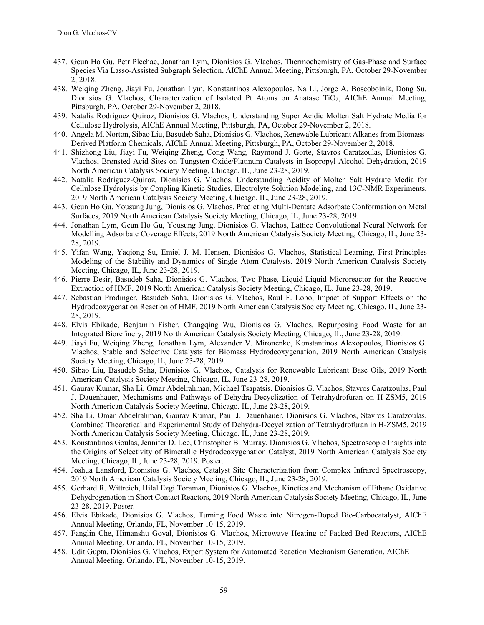- 437. Geun Ho Gu, Petr Plechac, Jonathan Lym, Dionisios G. Vlachos, Thermochemistry of Gas-Phase and Surface Species Via Lasso-Assisted Subgraph Selection, AIChE Annual Meeting, Pittsburgh, PA, October 29-November 2, 2018.
- 438. Weiqing Zheng, Jiayi Fu, Jonathan Lym, Konstantinos Alexopoulos, Na Li, Jorge A. Boscoboinik, Dong Su, Dionisios G. Vlachos, Characterization of Isolated Pt Atoms on Anatase TiO<sub>2</sub>, AIChE Annual Meeting, Pittsburgh, PA, October 29-November 2, 2018.
- 439. Natalia Rodriguez Quiroz, Dionisios G. Vlachos, Understanding Super Acidic Molten Salt Hydrate Media for Cellulose Hydrolysis, AIChE Annual Meeting, Pittsburgh, PA, October 29-November 2, 2018.
- 440. Angela M. Norton, Sibao Liu, Basudeb Saha, Dionisios G. Vlachos, Renewable Lubricant Alkanes from Biomass-Derived Platform Chemicals, AIChE Annual Meeting, Pittsburgh, PA, October 29-November 2, 2018.
- 441. Shizhong Liu, Jiayi Fu, Weiqing Zheng, Cong Wang, Raymond J. Gorte, Stavros Caratzoulas, Dionisios G. Vlachos, Brønsted Acid Sites on Tungsten Oxide/Platinum Catalysts in Isopropyl Alcohol Dehydration, 2019 North American Catalysis Society Meeting, Chicago, IL, June 23-28, 2019.
- 442. Natalia Rodriguez-Quiroz, Dionisios G. Vlachos, Understanding Acidity of Molten Salt Hydrate Media for Cellulose Hydrolysis by Coupling Kinetic Studies, Electrolyte Solution Modeling, and 13C-NMR Experiments, 2019 North American Catalysis Society Meeting, Chicago, IL, June 23-28, 2019.
- 443. Geun Ho Gu, Yousung Jung, Dionisios G. Vlachos, Predicting Multi-Dentate Adsorbate Conformation on Metal Surfaces, 2019 North American Catalysis Society Meeting, Chicago, IL, June 23-28, 2019.
- 444. Jonathan Lym, Geun Ho Gu, Yousung Jung, Dionisios G. Vlachos, Lattice Convolutional Neural Network for Modelling Adsorbate Coverage Effects, 2019 North American Catalysis Society Meeting, Chicago, IL, June 23- 28, 2019.
- 445. Yifan Wang, Yaqiong Su, Emiel J. M. Hensen, Dionisios G. Vlachos, Statistical-Learning, First-Principles Modeling of the Stability and Dynamics of Single Atom Catalysts, 2019 North American Catalysis Society Meeting, Chicago, IL, June 23-28, 2019.
- 446. Pierre Desir, Basudeb Saha, Dionisios G. Vlachos, Two-Phase, Liquid-Liquid Microreactor for the Reactive Extraction of HMF, 2019 North American Catalysis Society Meeting, Chicago, IL, June 23-28, 2019.
- 447. Sebastian Prodinger, Basudeb Saha, Dionisios G. Vlachos, Raul F. Lobo, Impact of Support Effects on the Hydrodeoxygenation Reaction of HMF, 2019 North American Catalysis Society Meeting, Chicago, IL, June 23- 28, 2019.
- 448. Elvis Ebikade, Benjamin Fisher, Changqing Wu, Dionisios G. Vlachos, Repurposing Food Waste for an Integrated Biorefinery, 2019 North American Catalysis Society Meeting, Chicago, IL, June 23-28, 2019.
- 449. Jiayi Fu, Weiqing Zheng, Jonathan Lym, Alexander V. Mironenko, Konstantinos Alexopoulos, Dionisios G. Vlachos, Stable and Selective Catalysts for Biomass Hydrodeoxygenation, 2019 North American Catalysis Society Meeting, Chicago, IL, June 23-28, 2019.
- 450. Sibao Liu, Basudeb Saha, Dionisios G. Vlachos, Catalysis for Renewable Lubricant Base Oils, 2019 North American Catalysis Society Meeting, Chicago, IL, June 23-28, 2019.
- 451. Gaurav Kumar, Sha Li, Omar Abdelrahman, Michael Tsapatsis, Dionisios G. Vlachos, Stavros Caratzoulas, Paul J. Dauenhauer, Mechanisms and Pathways of Dehydra-Decyclization of Tetrahydrofuran on H-ZSM5, 2019 North American Catalysis Society Meeting, Chicago, IL, June 23-28, 2019.
- 452. Sha Li, Omar Abdelrahman, Gaurav Kumar, Paul J. Dauenhauer, Dionisios G. Vlachos, Stavros Caratzoulas, Combined Theoretical and Experimental Study of Dehydra-Decyclization of Tetrahydrofuran in H-ZSM5, 2019 North American Catalysis Society Meeting, Chicago, IL, June 23-28, 2019.
- 453. Konstantinos Goulas, Jennifer D. Lee, Christopher B. Murray, Dionisios G. Vlachos, Spectroscopic Insights into the Origins of Selectivity of Bimetallic Hydrodeoxygenation Catalyst, 2019 North American Catalysis Society Meeting, Chicago, IL, June 23-28, 2019. Poster.
- 454. Joshua Lansford, Dionisios G. Vlachos, Catalyst Site Characterization from Complex Infrared Spectroscopy, 2019 North American Catalysis Society Meeting, Chicago, IL, June 23-28, 2019.
- 455. Gerhard R. Wittreich, Hilal Ezgi Toraman, Dionisios G. Vlachos, Kinetics and Mechanism of Ethane Oxidative Dehydrogenation in Short Contact Reactors, 2019 North American Catalysis Society Meeting, Chicago, IL, June 23-28, 2019. Poster.
- 456. Elvis Ebikade, Dionisios G. Vlachos, Turning Food Waste into Nitrogen-Doped Bio-Carbocatalyst, AIChE Annual Meeting, Orlando, FL, November 10-15, 2019.
- 457. Fanglin Che, Himanshu Goyal, Dionisios G. Vlachos, Microwave Heating of Packed Bed Reactors, AIChE Annual Meeting, Orlando, FL, November 10-15, 2019.
- 458. Udit Gupta, Dionisios G. Vlachos, Expert System for Automated Reaction Mechanism Generation, AIChE Annual Meeting, Orlando, FL, November 10-15, 2019.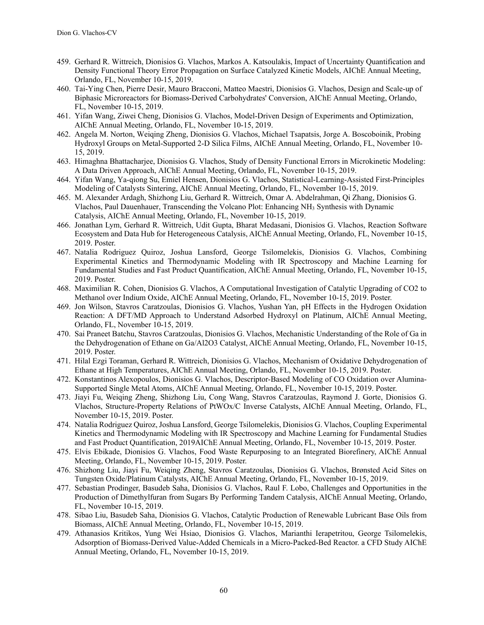- 459. Gerhard R. Wittreich, Dionisios G. Vlachos, Markos A. Katsoulakis, Impact of Uncertainty Quantification and Density Functional Theory Error Propagation on Surface Catalyzed Kinetic Models, AIChE Annual Meeting, Orlando, FL, November 10-15, 2019.
- 460. Tai-Ying Chen, Pierre Desir, Mauro Bracconi, Matteo Maestri, Dionisios G. Vlachos, Design and Scale-up of Biphasic Microreactors for Biomass-Derived Carbohydrates' Conversion, AIChE Annual Meeting, Orlando, FL, November 10-15, 2019.
- 461. Yifan Wang, Ziwei Cheng, Dionisios G. Vlachos, Model-Driven Design of Experiments and Optimization, AIChE Annual Meeting, Orlando, FL, November 10-15, 2019.
- 462. Angela M. Norton, Weiqing Zheng, Dionisios G. Vlachos, Michael Tsapatsis, Jorge A. Boscoboinik, Probing Hydroxyl Groups on Metal-Supported 2-D Silica Films, AIChE Annual Meeting, Orlando, FL, November 10- 15, 2019.
- 463. Himaghna Bhattacharjee, Dionisios G. Vlachos, Study of Density Functional Errors in Microkinetic Modeling: A Data Driven Approach, AIChE Annual Meeting, Orlando, FL, November 10-15, 2019.
- 464. Yifan Wang, Ya-qiong Su, Emiel Hensen, Dionisios G. Vlachos, Statistical-Learning-Assisted First-Principles Modeling of Catalysts Sintering, AIChE Annual Meeting, Orlando, FL, November 10-15, 2019.
- 465. M. Alexander Ardagh, Shizhong Liu, Gerhard R. Wittreich, Omar A. Abdelrahman, Qi Zhang, Dionisios G. Vlachos, Paul Dauenhauer, Transcending the Volcano Plot: Enhancing NH3 Synthesis with Dynamic Catalysis, AIChE Annual Meeting, Orlando, FL, November 10-15, 2019.
- 466. Jonathan Lym, Gerhard R. Wittreich, Udit Gupta, Bharat Medasani, Dionisios G. Vlachos, Reaction Software Ecosystem and Data Hub for Heterogeneous Catalysis, AIChE Annual Meeting, Orlando, FL, November 10-15, 2019. Poster.
- 467. Natalia Rodriguez Quiroz, Joshua Lansford, George Tsilomelekis, Dionisios G. Vlachos, Combining Experimental Kinetics and Thermodynamic Modeling with IR Spectroscopy and Machine Learning for Fundamental Studies and Fast Product Quantification, AIChE Annual Meeting, Orlando, FL, November 10-15, 2019. Poster.
- 468. Maximilian R. Cohen, Dionisios G. Vlachos, A Computational Investigation of Catalytic Upgrading of CO2 to Methanol over Indium Oxide, AIChE Annual Meeting, Orlando, FL, November 10-15, 2019. Poster.
- 469. Jon Wilson, Stavros Caratzoulas, Dionisios G. Vlachos, Yushan Yan, pH Effects in the Hydrogen Oxidation Reaction: A DFT/MD Approach to Understand Adsorbed Hydroxyl on Platinum, AIChE Annual Meeting, Orlando, FL, November 10-15, 2019.
- 470. Sai Praneet Batchu, Stavros Caratzoulas, Dionisios G. Vlachos, Mechanistic Understanding of the Role of Ga in the Dehydrogenation of Ethane on Ga/Al2O3 Catalyst, AIChE Annual Meeting, Orlando, FL, November 10-15, 2019. Poster.
- 471. Hilal Ezgi Toraman, Gerhard R. Wittreich, Dionisios G. Vlachos, Mechanism of Oxidative Dehydrogenation of Ethane at High Temperatures, AIChE Annual Meeting, Orlando, FL, November 10-15, 2019. Poster.
- 472. Konstantinos Alexopoulos, Dionisios G. Vlachos, Descriptor-Based Modeling of CO Oxidation over Alumina-Supported Single Metal Atoms, AIChE Annual Meeting, Orlando, FL, November 10-15, 2019. Poster.
- 473. Jiayi Fu, Weiqing Zheng, Shizhong Liu, Cong Wang, Stavros Caratzoulas, Raymond J. Gorte, Dionisios G. Vlachos, Structure-Property Relations of PtWOx/C Inverse Catalysts, AIChE Annual Meeting, Orlando, FL, November 10-15, 2019. Poster.
- 474. Natalia Rodriguez Quiroz, Joshua Lansford, George Tsilomelekis, Dionisios G. Vlachos, Coupling Experimental Kinetics and Thermodynamic Modeling with IR Spectroscopy and Machine Learning for Fundamental Studies and Fast Product Quantification, 2019AIChE Annual Meeting, Orlando, FL, November 10-15, 2019. Poster.
- 475. Elvis Ebikade, Dionisios G. Vlachos, Food Waste Repurposing to an Integrated Biorefinery, AIChE Annual Meeting, Orlando, FL, November 10-15, 2019. Poster.
- 476. Shizhong Liu, Jiayi Fu, Weiqing Zheng, Stavros Caratzoulas, Dionisios G. Vlachos, Brønsted Acid Sites on Tungsten Oxide/Platinum Catalysts, AIChE Annual Meeting, Orlando, FL, November 10-15, 2019.
- 477. Sebastian Prodinger, Basudeb Saha, Dionisios G. Vlachos, Raul F. Lobo, Challenges and Opportunities in the Production of Dimethylfuran from Sugars By Performing Tandem Catalysis, AIChE Annual Meeting, Orlando, FL, November 10-15, 2019.
- 478. Sibao Liu, Basudeb Saha, Dionisios G. Vlachos, Catalytic Production of Renewable Lubricant Base Oils from Biomass, AIChE Annual Meeting, Orlando, FL, November 10-15, 2019.
- 479. Athanasios Kritikos, Yung Wei Hsiao, Dionisios G. Vlachos, Marianthi Ierapetritou, George Tsilomelekis, Adsorption of Biomass-Derived Value-Added Chemicals in a Micro-Packed-Bed Reactor. a CFD Study AIChE Annual Meeting, Orlando, FL, November 10-15, 2019.